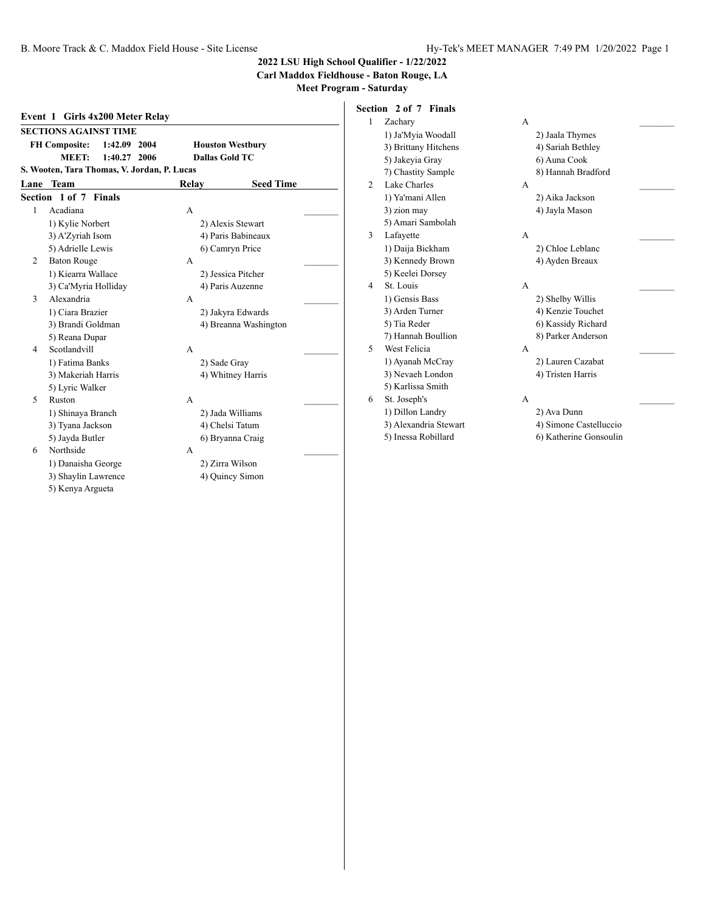#### **Carl Maddox Fieldhouse - Baton Rouge, LA**

|                          | <b>SECTIONS AGAINST TIME</b> |                                             |       |                         |
|--------------------------|------------------------------|---------------------------------------------|-------|-------------------------|
|                          | <b>FH Composite:</b>         | 1:42.09<br>2004                             |       | <b>Houston Westbury</b> |
|                          | MEET:                        | 1:40.27<br>2006                             |       | <b>Dallas Gold TC</b>   |
|                          |                              | S. Wooten, Tara Thomas, V. Jordan, P. Lucas |       |                         |
| Lane                     | <b>Team</b>                  |                                             | Relay | <b>Seed Time</b>        |
|                          | Section 1 of 7 Finals        |                                             |       |                         |
| 1                        | Acadiana                     |                                             | A     |                         |
|                          | 1) Kylie Norbert             |                                             |       | 2) Alexis Stewart       |
|                          | 3) A'Zyriah Isom             |                                             |       | 4) Paris Babineaux      |
|                          | 5) Adrielle Lewis            |                                             |       | 6) Camryn Price         |
| 2                        | <b>Baton Rouge</b>           |                                             | A     |                         |
|                          | 1) Kiearra Wallace           |                                             |       | 2) Jessica Pitcher      |
|                          | 3) Ca'Myria Holliday         |                                             |       | 4) Paris Auzenne        |
| 3                        | Alexandria                   |                                             | A     |                         |
|                          | 1) Ciara Brazier             |                                             |       | 2) Jakyra Edwards       |
|                          | 3) Brandi Goldman            |                                             |       | 4) Breanna Washington   |
|                          | 5) Reana Dupar               |                                             |       |                         |
| 4                        | Scotlandvill                 |                                             | A     |                         |
|                          | 1) Fatima Banks              |                                             |       | 2) Sade Gray            |
|                          | 3) Makeriah Harris           |                                             |       | 4) Whitney Harris       |
|                          | 5) Lyric Walker              |                                             |       |                         |
| $\overline{\phantom{0}}$ | Ruston                       |                                             | A     |                         |
|                          | 1) Shinaya Branch            |                                             |       | 2) Jada Williams        |
|                          | 3) Tyana Jackson             |                                             |       | 4) Chelsi Tatum         |
|                          | 5) Jayda Butler              |                                             |       | 6) Bryanna Craig        |
| 6                        | Northside                    |                                             | A     |                         |
|                          | 1) Danaisha George           |                                             |       | 2) Zirra Wilson         |
|                          | 3) Shaylin Lawrence          |                                             |       | 4) Quincy Simon         |
|                          | 5) Kenya Argueta             |                                             |       |                         |

| Section 2 of 7 Finals |  |  |
|-----------------------|--|--|
|                       |  |  |

| 1 | Zachary               | A              |                        |  |
|---|-----------------------|----------------|------------------------|--|
|   | 1) Ja'Myia Woodall    |                | 2) Jaala Thymes        |  |
|   | 3) Brittany Hitchens  |                | 4) Sariah Bethley      |  |
|   | 5) Jakeyia Gray       |                | 6) Auna Cook           |  |
|   | 7) Chastity Sample    |                | 8) Hannah Bradford     |  |
| 2 | Lake Charles          | A              |                        |  |
|   | 1) Ya'mani Allen      |                | 2) Aika Jackson        |  |
|   | 3) zion may           |                | 4) Jayla Mason         |  |
|   | 5) Amari Sambolah     |                |                        |  |
| 3 | Lafayette             | $\overline{A}$ |                        |  |
|   | 1) Daija Bickham      |                | 2) Chloe Leblanc       |  |
|   | 3) Kennedy Brown      |                | 4) Ayden Breaux        |  |
|   | 5) Keelei Dorsey      |                |                        |  |
| 4 | St. Louis             | A              |                        |  |
|   | 1) Gensis Bass        |                | 2) Shelby Willis       |  |
|   | 3) Arden Turner       |                | 4) Kenzie Touchet      |  |
|   | 5) Tia Reder          |                | 6) Kassidy Richard     |  |
|   | 7) Hannah Boullion    |                | 8) Parker Anderson     |  |
| 5 | West Felicia          | $\mathsf{A}$   |                        |  |
|   | 1) Ayanah McCray      |                | 2) Lauren Cazabat      |  |
|   | 3) Nevaeh London      |                | 4) Tristen Harris      |  |
|   | 5) Karlissa Smith     |                |                        |  |
| 6 | St. Joseph's          | A              |                        |  |
|   | 1) Dillon Landry      |                | 2) Ava Dunn            |  |
|   | 3) Alexandria Stewart |                | 4) Simone Castelluccio |  |
|   | 5) Inessa Robillard   |                | 6) Katherine Gonsoulin |  |

| 2) Jaala Thymes    |  |
|--------------------|--|
| 4) Sariah Bethley  |  |
| 6) Auna Cook       |  |
| 8) Hannah Bradford |  |
|                    |  |
| 2) Aika Jackson    |  |
| 4) Jayla Mason     |  |
|                    |  |
|                    |  |
| 2) Chloe Leblanc   |  |
| 4) Ayden Breaux    |  |
|                    |  |
|                    |  |
| 2) Shelby Willis   |  |
| 4) Kenzie Touchet  |  |
| 6) Kassidy Richard |  |
| 8) Parker Anderson |  |
|                    |  |
| 2) Lauren Cazabat  |  |
| 4) Tristen Harris  |  |
|                    |  |

- 2) Ava Dunn
- 4) Simone Castelluccio
- 6) Katherine Gonsoulin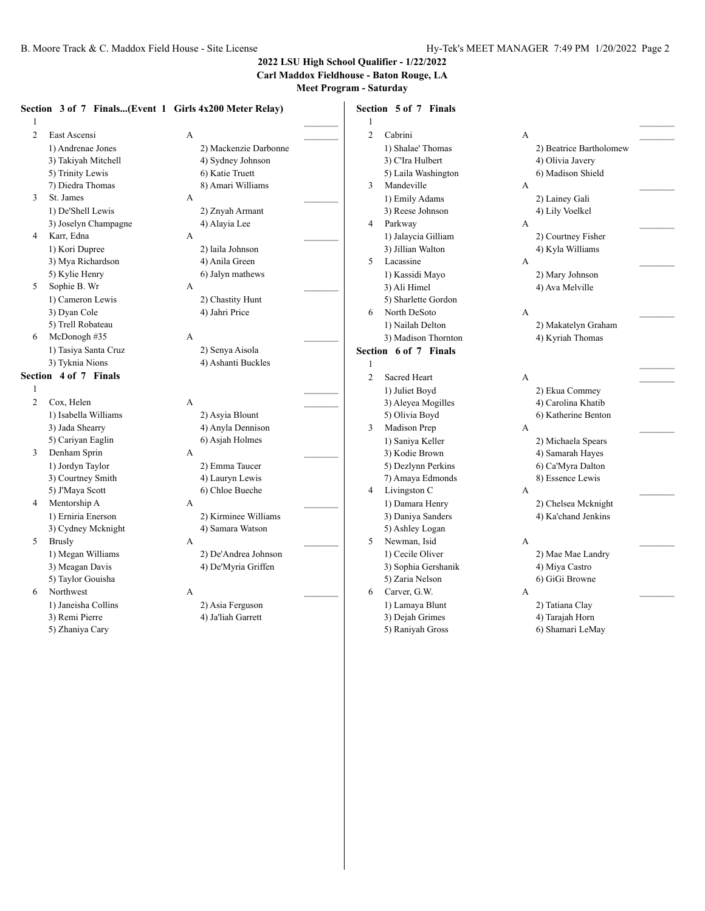#### **2022 LSU High School Qualifier - 1/22/2022 Carl Maddox Fieldhouse - Baton Rouge, LA**

**Meet Program - Saturday**

#### **Section 3 of 7 Finals...(Event 1 Girls 4x200 Meter Relay)**  $1$   $\overline{\phantom{a}}$ 2 East Ascensi A \_\_\_\_\_\_\_\_\_ 1) Andrenae Jones 2) Mackenzie Darbonne 3) Takiyah Mitchell 4) Sydney Johnson 5) Trinity Lewis 6) Katie Truett 7) Diedra Thomas 8) Amari Williams 3 St. James A \_\_\_\_\_\_\_\_\_ 1) De'Shell Lewis 2) Znyah Armant 3) Joselyn Champagne 4) Alayia Lee 4 Karr, Edna A \_\_\_\_\_\_\_\_\_ 1) Kori Dupree 2) laila Johnson 3) Mya Richardson 4) Anila Green 5) Kylie Henry 6) Jalyn mathews 5 Sophie B. Wr A 1) Cameron Lewis 2) Chastity Hunt 3) Dyan Cole 4) Jahri Price 5) Trell Robateau 6  $McDonogh \#35$  A 1) Tasiya Santa Cruz 2) Senya Aisola 3) Tyknia Nions 4) Ashanti Buckles **Section 4 of 7 Finals** 1  $\Box$ 2 Cox, Helen A 1) Isabella Williams 2) Asyia Blount 3) Jada Shearry 4) Anyla Dennison 5) Cariyan Eaglin 6) Asjah Holmes 3 Denham Sprin A \_\_\_\_\_\_\_\_\_ 1) Jordyn Taylor 2) Emma Taucer 3) Courtney Smith 4) Lauryn Lewis 5) J'Maya Scott 6) Chloe Bueche 4 Mentorship A A \_\_\_\_\_\_\_\_\_ 1) Erniria Enerson 2) Kirminee Williams 3) Cydney Mcknight 4) Samara Watson 5 Brusly  $A$ 1) Megan Williams 2) De'Andrea Johnson 3) Meagan Davis 4) De'Myria Griffen 5) Taylor Gouisha 6 Northwest A 1) Janeisha Collins 2) Asia Ferguson 3) Remi Pierre 4) Ja'liah Garrett 5) Zhaniya Cary **Section 5 of 7 Finals**  $1$   $\overline{\phantom{a}}$ 2 Cabrini A \_\_\_\_\_\_\_\_\_ 1) Shalae' Thomas 2) Beatrice Bartholomew 3) C'Ira Hulbert 4) Olivia Javery 5) Laila Washington 6) Madison Shield 3 Mandeville A 1) Emily Adams 2) Lainey Gali 3) Reese Johnson 4) Lily Voelkel 4 Parkway A 1) Jalaycia Gilliam 2) Courtney Fisher 3) Jillian Walton 4) Kyla Williams 5 Lacassine A \_\_\_\_\_\_\_\_\_ 1) Kassidi Mayo 2) Mary Johnson 3) Ali Himel 4) Ava Melville 5) Sharlette Gordon 6 North DeSoto A \_\_\_\_\_\_\_\_\_ 1) Nailah Delton 2) Makatelyn Graham 3) Madison Thornton 4) Kyriah Thomas **Section 6 of 7 Finals**  $1$   $\overline{\phantom{a}}$ 2 Sacred Heart A 1) Juliet Boyd 2) Ekua Commey 3) Aleyea Mogilles 4) Carolina Khatib 5) Olivia Boyd 6) Katherine Benton 3 Madison Prep A 1) Saniya Keller 2) Michaela Spears 3) Kodie Brown 4) Samarah Hayes 5) Dezlynn Perkins 6) Ca'Myra Dalton 7) Amaya Edmonds 8) Essence Lewis 4 Livingston C A 1) Damara Henry 2) Chelsea Mcknight 3) Daniya Sanders 4) Ka'chand Jenkins 5) Ashley Logan 5 Newman, Isid A 1) Cecile Oliver 2) Mae Mae Landry 3) Sophia Gershanik 4) Miya Castro 5) Zaria Nelson 6) GiGi Browne 6 Carver, G.W. A \_\_\_\_\_\_\_\_\_ 1) Lamaya Blunt 2) Tatiana Clay 3) Dejah Grimes 4) Tarajah Horn 5) Raniyah Gross 6) Shamari LeMay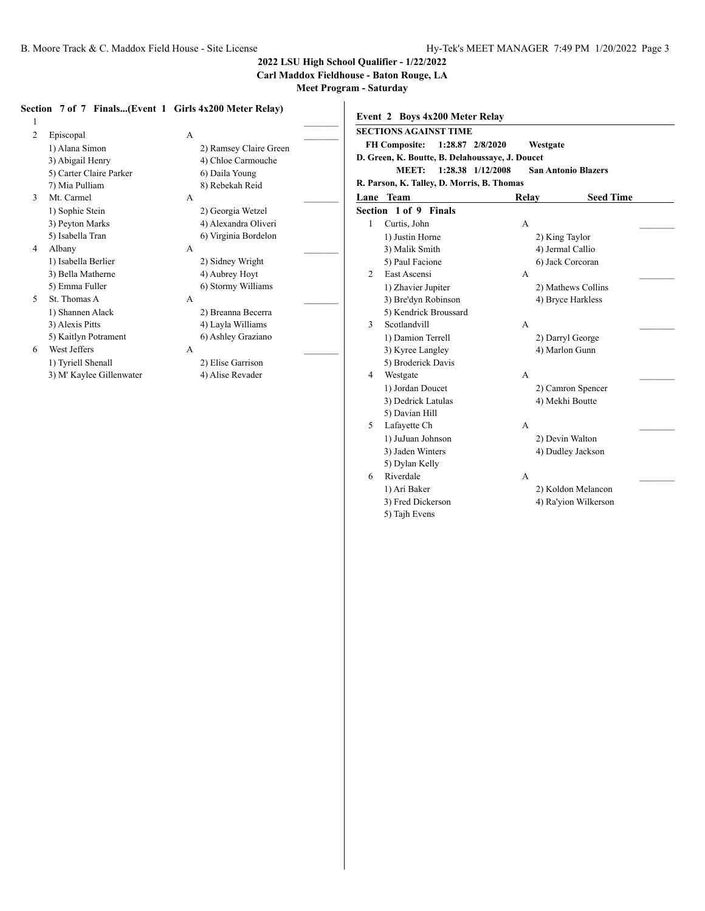3) Dedrick Latulas 4) Mekhi Boutte

1) JuJuan Johnson 2) Devin Walton 3) Jaden Winters 4) Dudley Jackson

1) Ari Baker 2) Koldon Melancon 3) Fred Dickerson 4) Ra'yion Wilkerson

5) Davian Hill

5) Dylan Kelly

5) Tajh Evens

5 Lafayette Ch A

6 Riverdale A

**2022 LSU High School Qualifier - 1/22/2022**

**Carl Maddox Fieldhouse - Baton Rouge, LA**

|                                                                                 | Section 7 of 7 Finals(Event 1 Girls 4x200 Meter Relay)                            | Event 2 Boys 4x200 Meter Relay                                                                                |                                                 |  |
|---------------------------------------------------------------------------------|-----------------------------------------------------------------------------------|---------------------------------------------------------------------------------------------------------------|-------------------------------------------------|--|
| Episcopal                                                                       | A                                                                                 | <b>SECTIONS AGAINST TIME</b><br><b>FH Composite:</b>                                                          | 1:28.87 2/8/2020<br>Westgate                    |  |
| 1) Alana Simon<br>3) Abigail Henry<br>5) Carter Claire Parker<br>7) Mia Pulliam | 2) Ramsey Claire Green<br>4) Chloe Carmouche<br>6) Daila Young<br>8) Rebekah Reid | D. Green, K. Boutte, B. Delahoussaye, J. Doucet<br><b>MEET:</b><br>R. Parson, K. Talley, D. Morris, B. Thomas | 1:28.38 1/12/2008<br><b>San Antonio Blazers</b> |  |
| Mt. Carmel                                                                      | А                                                                                 | Lane Team                                                                                                     | <b>Seed Time</b><br>Relay                       |  |
| 1) Sophie Stein                                                                 | 2) Georgia Wetzel                                                                 | Section 1 of 9 Finals                                                                                         |                                                 |  |
| 3) Peyton Marks                                                                 | 4) Alexandra Oliveri                                                              | Curtis, John                                                                                                  | A                                               |  |
| 5) Isabella Tran                                                                | 6) Virginia Bordelon                                                              | 1) Justin Horne                                                                                               | 2) King Taylor                                  |  |
| Albany<br>4                                                                     | A                                                                                 | 3) Malik Smith                                                                                                | 4) Jermal Callio                                |  |
| 1) Isabella Berlier                                                             | 2) Sidney Wright                                                                  | 5) Paul Facione                                                                                               | 6) Jack Corcoran                                |  |
| 3) Bella Matherne                                                               | 4) Aubrey Hoyt                                                                    | $\mathfrak{D}$<br>East Ascensi                                                                                | A                                               |  |
| 5) Emma Fuller                                                                  | 6) Stormy Williams                                                                | 1) Zhavier Jupiter                                                                                            | 2) Mathews Collins                              |  |
| St. Thomas A                                                                    | A                                                                                 | 3) Bre'dyn Robinson                                                                                           | 4) Bryce Harkless                               |  |
| 1) Shannen Alack                                                                | 2) Breanna Becerra                                                                | 5) Kendrick Broussard                                                                                         |                                                 |  |
| 3) Alexis Pitts                                                                 | 4) Layla Williams                                                                 | Scotlandvill                                                                                                  | А                                               |  |
| 5) Kaitlyn Potrament                                                            | 6) Ashley Graziano                                                                | 1) Damion Terrell                                                                                             | 2) Darryl George                                |  |
| West Jeffers<br>6                                                               | А                                                                                 | 3) Kyree Langley                                                                                              | 4) Marlon Gunn                                  |  |
| 1) Tyriell Shenall                                                              | 2) Elise Garrison                                                                 | 5) Broderick Davis                                                                                            |                                                 |  |
| 3) M' Kaylee Gillenwater                                                        | 4) Alise Revader                                                                  | Westgate<br>4                                                                                                 | А                                               |  |
|                                                                                 |                                                                                   | 1) Jordan Doucet                                                                                              | 2) Camron Spencer                               |  |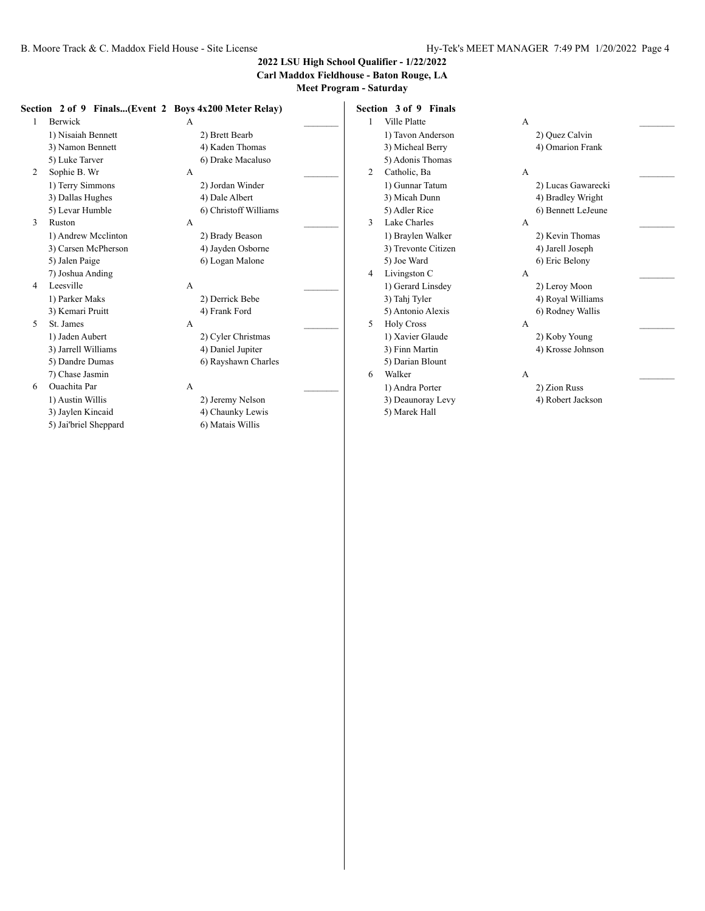**Carl Maddox Fieldhouse - Baton Rouge, LA**

**Meet Program - Saturday**

|   |                     | Section 2 of 9 Finals(Event 2 Boys 4x200 Meter Relay) | Section 3 of 9 Finals          |                    |
|---|---------------------|-------------------------------------------------------|--------------------------------|--------------------|
|   | Berwick             | А                                                     | Ville Platte                   | А                  |
|   | 1) Nisaiah Bennett  | 2) Brett Bearb                                        | 1) Tavon Anderson              | 2) Quez Calvin     |
|   | 3) Namon Bennett    | 4) Kaden Thomas                                       | 3) Micheal Berry               | 4) Omarion Frank   |
|   | 5) Luke Tarver      | 6) Drake Macaluso                                     | 5) Adonis Thomas               |                    |
| 2 | Sophie B. Wr        | А                                                     | Catholic, Ba<br>$\overline{2}$ | А                  |
|   | 1) Terry Simmons    | 2) Jordan Winder                                      | 1) Gunnar Tatum                | 2) Lucas Gawarecki |
|   | 3) Dallas Hughes    | 4) Dale Albert                                        | 3) Micah Dunn                  | 4) Bradley Wright  |
|   | 5) Levar Humble     | 6) Christoff Williams                                 | 5) Adler Rice                  | 6) Bennett LeJeune |
| 3 | Ruston              | A                                                     | Lake Charles<br>3              | A                  |
|   | 1) Andrew Mcclinton | 2) Brady Beason                                       | 1) Braylen Walker              | 2) Kevin Thomas    |
|   | 3) Carsen McPherson | 4) Jayden Osborne                                     | 3) Trevonte Citizen            | 4) Jarell Joseph   |
|   | 5) Jalen Paige      | 6) Logan Malone                                       | 5) Joe Ward                    | 6) Eric Belony     |
|   | 7) Joshua Anding    |                                                       | Livingston C<br>4              | A                  |
| 4 | Leesville           | A                                                     | 1) Gerard Linsdey              | 2) Leroy Moon      |
|   | 1) Parker Maks      | 2) Derrick Bebe                                       | 3) Tahj Tyler                  | 4) Royal Williams  |
|   | 3) Kemari Pruitt    | 4) Frank Ford                                         | 5) Antonio Alexis              | 6) Rodney Wallis   |
| 5 | St. James           | A                                                     | <b>Holy Cross</b><br>5         | А                  |
|   | 1) Jaden Aubert     | 2) Cyler Christmas                                    | 1) Xavier Glaude               | 2) Koby Young      |
|   | 3) Jarrell Williams | 4) Daniel Jupiter                                     | 3) Finn Martin                 | 4) Krosse Johnson  |
|   | 5) Dandre Dumas     | 6) Rayshawn Charles                                   | 5) Darian Blount               |                    |
|   | 7) Chase Jasmin     |                                                       | Walker<br>6                    | A                  |
| 6 | Ouachita Par        | A                                                     | 1) Andra Porter                | 2) Zion Russ       |
|   | 1) Austin Willis    | 2) Jeremy Nelson                                      | 3) Deaunoray Levy              | 4) Robert Jackson  |

5) Marek Hall

3) Jaylen Kincaid 4) Chaunky Lewis 5) Jai'briel Sheppard 6) Matais Willis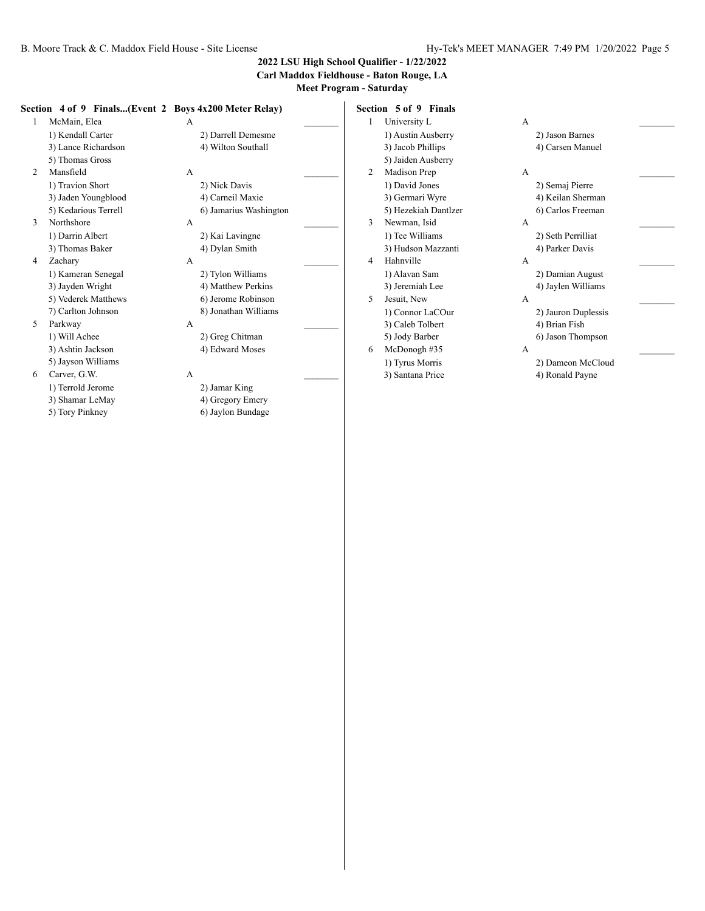#### **Carl Maddox Fieldhouse - Baton Rouge, LA**

**Meet Program - Saturday**

#### **Section 4 of 9 Finals...(Event 2 Boys 4x200 Meter Relay)**

| 1 | McMain, Elea         | A |                        |  |
|---|----------------------|---|------------------------|--|
|   | 1) Kendall Carter    |   | 2) Darrell Demesme     |  |
|   | 3) Lance Richardson  |   | 4) Wilton Southall     |  |
|   | 5) Thomas Gross      |   |                        |  |
| 2 | Mansfield            | A |                        |  |
|   | 1) Travion Short     |   | 2) Nick Davis          |  |
|   | 3) Jaden Youngblood  |   | 4) Carneil Maxie       |  |
|   | 5) Kedarious Terrell |   | 6) Jamarius Washington |  |
| 3 | Northshore           | A |                        |  |
|   | 1) Darrin Albert     |   | 2) Kai Lavingne        |  |
|   | 3) Thomas Baker      |   | 4) Dylan Smith         |  |
| 4 | Zachary              | A |                        |  |
|   | 1) Kameran Senegal   |   | 2) Tylon Williams      |  |
|   | 3) Jayden Wright     |   | 4) Matthew Perkins     |  |
|   | 5) Vederek Matthews  |   | 6) Jerome Robinson     |  |
|   | 7) Carlton Johnson   |   | 8) Jonathan Williams   |  |
| 5 | Parkway              | A |                        |  |
|   | 1) Will Achee        |   | 2) Greg Chitman        |  |
|   | 3) Ashtin Jackson    |   | 4) Edward Moses        |  |
|   | 5) Jayson Williams   |   |                        |  |
| 6 | Carver, G.W.         | А |                        |  |

1) Terrold Jerome 2) Jamar King 3) Shamar LeMay 4) Gregory Emery

5) Tory Pinkney 6) Jaylon Bundage

2) Darrell Demesme 4) Wilton Southall 2) Nick Davis 4) Carneil Maxie 6) Jamarius Washington 2) Kai Lavingne 4) Dylan Smith 2) Tylon Williams 4) Matthew Perkins 6) Jerome Robinson 8) Jonathan Williams 2) Greg Chitman 4) Edward Moses 6 Carver, G.W.  $A$ 

|   | <b>Section 5 of 9 Finals</b> |              |                     |
|---|------------------------------|--------------|---------------------|
| 1 | University L                 | A            |                     |
|   | 1) Austin Ausberry           |              | 2) Jason Barnes     |
|   | 3) Jacob Phillips            |              | 4) Carsen Manuel    |
|   | 5) Jaiden Ausberry           |              |                     |
| 2 | Madison Prep                 | A            |                     |
|   | 1) David Jones               |              | 2) Semaj Pierre     |
|   | 3) Germari Wyre              |              | 4) Keilan Sherman   |
|   | 5) Hezekiah Dantlzer         |              | 6) Carlos Freeman   |
| 3 | Newman, Isid                 | $\mathsf{A}$ |                     |
|   | 1) Tee Williams              |              | 2) Seth Perrilliat  |
|   | 3) Hudson Mazzanti           |              | 4) Parker Davis     |
| 4 | Hahnville                    | $\mathsf{A}$ |                     |
|   | 1) Alavan Sam                |              | 2) Damian August    |
|   | 3) Jeremiah Lee              |              | 4) Jaylen Williams  |
| 5 | Jesuit, New                  | $\mathsf{A}$ |                     |
|   | 1) Connor LaCOur             |              | 2) Jauron Duplessis |
|   | 3) Caleb Tolbert             |              | 4) Brian Fish       |
|   | 5) Jody Barber               |              | 6) Jason Thompson   |
| 6 | McDonogh#35                  | $\mathsf{A}$ |                     |
|   | 1) Tyrus Morris              |              | 2) Dameon McCloud   |
|   | 3) Santana Price             |              | 4) Ronald Payne     |
|   |                              |              |                     |
|   |                              |              |                     |

| 1 | University L         | A |                     |  |
|---|----------------------|---|---------------------|--|
|   | 1) Austin Ausberry   |   | 2) Jason Barnes     |  |
|   | 3) Jacob Phillips    |   | 4) Carsen Manuel    |  |
|   | 5) Jaiden Ausberry   |   |                     |  |
| 2 | Madison Prep         | A |                     |  |
|   | 1) David Jones       |   | 2) Semaj Pierre     |  |
|   | 3) Germari Wyre      |   | 4) Keilan Sherman   |  |
|   | 5) Hezekiah Dantlzer |   | 6) Carlos Freeman   |  |
| 3 | Newman, Isid         | A |                     |  |
|   | 1) Tee Williams      |   | 2) Seth Perrilliat  |  |
|   | 3) Hudson Mazzanti   |   | 4) Parker Davis     |  |
| 4 | Hahnville            | A |                     |  |
|   | 1) Alavan Sam        |   | 2) Damian August    |  |
|   | 3) Jeremiah Lee      |   | 4) Jaylen Williams  |  |
| 5 | Jesuit, New          | A |                     |  |
|   | 1) Connor LaCOur     |   | 2) Jauron Duplessis |  |
|   | 3) Caleb Tolbert     |   | 4) Brian Fish       |  |
|   | 5) Jody Barber       |   | 6) Jason Thompson   |  |
| 6 | McDonogh #35         | A |                     |  |
|   | 1) Tyrus Morris      |   | 2) Dameon McCloud   |  |
|   | 3) Santana Price     |   | 4) Ronald Payne     |  |
|   |                      |   |                     |  |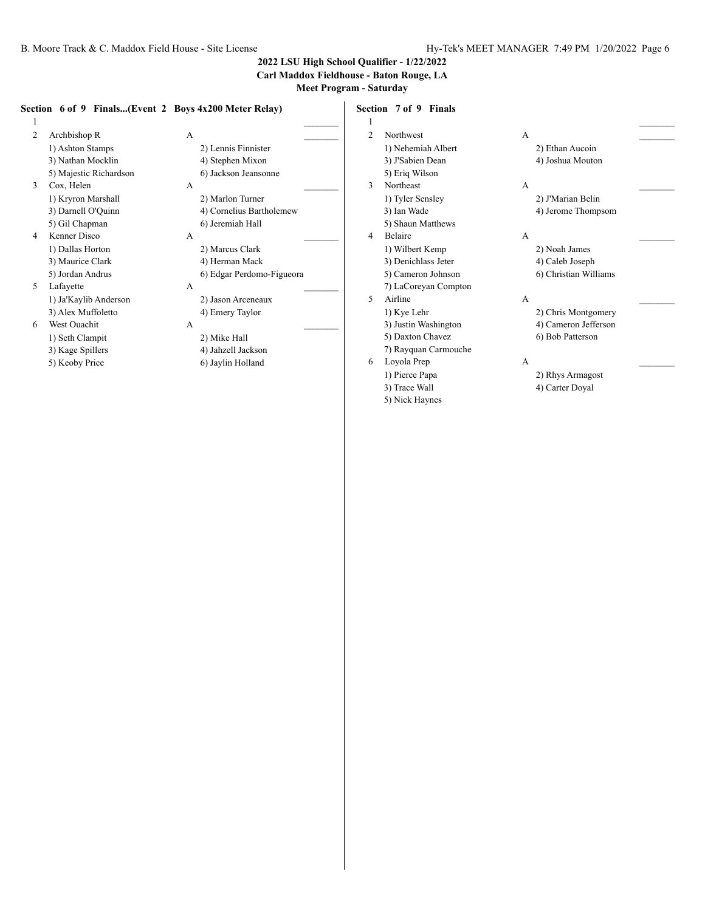**Carl Maddox Fieldhouse - Baton Rouge, LA**

**Meet Program - Saturday**

#### **Section 6 of 9 Finals...(Event 2 Boys 4x200 Meter Relay)**

 $1$   $\overline{\phantom{a}}$ 2 Archbishop R A 1) Ashton Stamps 2) Lennis Finnister 3) Nathan Mocklin 4) Stephen Mixon 5) Majestic Richardson 6) Jackson Jeansonne 3 Cox, Helen A 1) Kryron Marshall 2) Marlon Turner 5) Gil Chapman 6) Jeremiah Hall 4 Kenner Disco A \_\_\_\_\_\_\_\_\_

- 5 Lafayette A \_\_\_\_\_\_\_\_\_ 1) Ja'Kaylib Anderson 2) Jason Arceneaux 3) Alex Muffoletto 4) Emery Taylor
- 6 West Ouachit A \_\_\_\_\_\_\_\_\_ 1) Seth Clampit 2) Mike Hall 3) Kage Spillers 4) Jahzell Jackson
	-

3) Darnell O'Quinn 4) Cornelius Bartholemew 1) Dallas Horton 2) Marcus Clark 3) Maurice Clark 4) Herman Mack 5) Jordan Andrus 6) Edgar Perdomo-Figueora

5) Keoby Price 6) Jaylin Holland

**Section 7 of 9 Finals**  $1$   $\overline{\phantom{a}}$ 2 Northwest A

- 1) Nehemiah Albert 2) Ethan Aucoin 3) J'Sabien Dean 4) Joshua Mouton 5) Eriq Wilson 3 Northeast A \_\_\_\_\_\_\_\_\_ 1) Tyler Sensley 2) J'Marian Belin 3) Ian Wade 4) Jerome Thompsom 5) Shaun Matthews 4 Belaire A 1) Wilbert Kemp 2) Noah James 3) Denichlass Jeter 4) Caleb Joseph 5) Cameron Johnson 6) Christian Williams 7) LaCoreyan Compton 5 Airline A \_\_\_\_\_\_\_\_\_ 1) Kye Lehr 2) Chris Montgomery 3) Justin Washington 4) Cameron Jefferson 5) Daxton Chavez 6) Bob Patterson 7) Rayquan Carmouche 6 Loyola Prep A \_\_\_\_\_\_\_\_\_ 1) Pierce Papa 2) Rhys Armagost 3) Trace Wall 4) Carter Doyal
	- 5) Nick Haynes

- 
- 

- 
-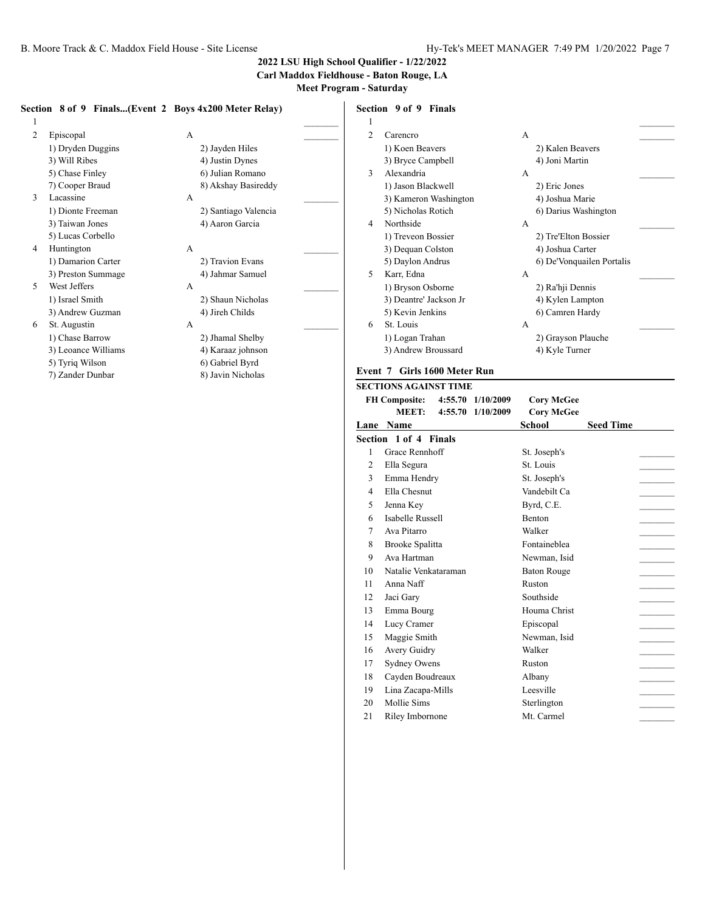**Carl Maddox Fieldhouse - Baton Rouge, LA**

**Meet Program - Saturday**

#### **Section 8 of 9 Finals...(Event 2 Boys 4x200 Meter Relay)**

| 1              |                     |   |                      |  |
|----------------|---------------------|---|----------------------|--|
| $\mathfrak{D}$ | Episcopal           | A |                      |  |
|                | 1) Dryden Duggins   |   | 2) Jayden Hiles      |  |
|                | 3) Will Ribes       |   | 4) Justin Dynes      |  |
|                | 5) Chase Finley     |   | 6) Julian Romano     |  |
|                | 7) Cooper Braud     |   | 8) Akshay Basireddy  |  |
| 3              | Lacassine           | A |                      |  |
|                | 1) Dionte Freeman   |   | 2) Santiago Valencia |  |
|                | 3) Taiwan Jones     |   | 4) Aaron Garcia      |  |
|                | 5) Lucas Corbello   |   |                      |  |
| 4              | Huntington          | A |                      |  |
|                | 1) Damarion Carter  |   | 2) Travion Evans     |  |
|                | 3) Preston Summage  |   | 4) Jahmar Samuel     |  |
| 5              | West Jeffers        | A |                      |  |
|                | 1) Israel Smith     |   | 2) Shaun Nicholas    |  |
|                | 3) Andrew Guzman    |   | 4) Jireh Childs      |  |
| 6              | St. Augustin        | A |                      |  |
|                | 1) Chase Barrow     |   | 2) Jhamal Shelby     |  |
|                | 3) Leoance Williams |   | 4) Karaaz johnson    |  |
|                | 5) Tyriq Wilson     |   | 6) Gabriel Byrd      |  |
|                | 7) Zander Dunbar    |   | 8) Javin Nicholas    |  |

## **Section 9 of 9 Finals**

| 1              |                        |   |                           |  |
|----------------|------------------------|---|---------------------------|--|
| $\mathfrak{D}$ | Carencro               | A |                           |  |
|                | 1) Koen Beavers        |   | 2) Kalen Beavers          |  |
|                | 3) Bryce Campbell      |   | 4) Joni Martin            |  |
| 3              | Alexandria             | A |                           |  |
|                | 1) Jason Blackwell     |   | 2) Eric Jones             |  |
|                | 3) Kameron Washington  |   | 4) Joshua Marie           |  |
|                | 5) Nicholas Rotich     |   | 6) Darius Washington      |  |
| 4              | Northside              | A |                           |  |
|                | 1) Treveon Bossier     |   | 2) Tre'Elton Bossier      |  |
|                | 3) Dequan Colston      |   | 4) Joshua Carter          |  |
|                | 5) Daylon Andrus       |   | 6) De'Vonquailen Portalis |  |
| 5              | Karr, Edna             | A |                           |  |
|                | 1) Bryson Osborne      |   | 2) Ra'hji Dennis          |  |
|                | 3) Deantre' Jackson Jr |   | 4) Kylen Lampton          |  |
|                | 5) Kevin Jenkins       |   | 6) Camren Hardy           |  |
| 6              | St. Louis              | A |                           |  |
|                | 1) Logan Trahan        |   | 2) Grayson Plauche        |  |
|                | 3) Andrew Broussard    |   | 4) Kyle Turner            |  |
|                |                        |   |                           |  |

#### **Event 7 Girls 1600 Meter Run**

|      | <b>SECTIONS AGAINST TIME</b>  |                                        |                                        |                  |  |
|------|-------------------------------|----------------------------------------|----------------------------------------|------------------|--|
|      | <b>FH Composite:</b><br>MEET: | 4:55.70 1/10/2009<br>4:55.70 1/10/2009 | <b>Corv McGee</b><br><b>Cory McGee</b> |                  |  |
| Lane | <b>Name</b>                   |                                        | School                                 | <b>Seed Time</b> |  |
|      | Section 1 of 4 Finals         |                                        |                                        |                  |  |
| 1    | Grace Rennhoff                |                                        | St. Joseph's                           |                  |  |
| 2    | Ella Segura                   |                                        | St. Louis                              |                  |  |
| 3    | Emma Hendry                   |                                        | St. Joseph's                           |                  |  |
| 4    | Ella Chesnut                  |                                        | Vandebilt Ca                           |                  |  |
| 5    | Jenna Key                     |                                        | Byrd, C.E.                             |                  |  |
| 6    | Isabelle Russell              |                                        | <b>Benton</b>                          |                  |  |
| 7    | Ava Pitarro                   |                                        | Walker                                 |                  |  |
| 8    | Brooke Spalitta               |                                        | Fontaineblea                           |                  |  |
| 9    | Ava Hartman                   |                                        | Newman, Isid                           |                  |  |
| 10   | Natalie Venkataraman          |                                        | <b>Baton Rouge</b>                     |                  |  |
| 11   | Anna Naff                     |                                        | Ruston                                 |                  |  |
| 12   | Jaci Gary                     |                                        | Southside                              |                  |  |
| 13   | Emma Bourg                    |                                        | Houma Christ                           |                  |  |
| 14   | Lucy Cramer                   |                                        | Episcopal                              |                  |  |
| 15   | Maggie Smith                  |                                        | Newman, Isid                           |                  |  |
| 16   | Avery Guidry                  |                                        | Walker                                 |                  |  |
| 17   | <b>Sydney Owens</b>           |                                        | Ruston                                 |                  |  |
| 18   | Cayden Boudreaux              |                                        | Albany                                 |                  |  |
| 19   | Lina Zacapa-Mills             |                                        | Leesville                              |                  |  |
| 20   | Mollie Sims                   |                                        | Sterlington                            |                  |  |
| 21   | Riley Imbornone               |                                        | Mt. Carmel                             |                  |  |
|      |                               |                                        |                                        |                  |  |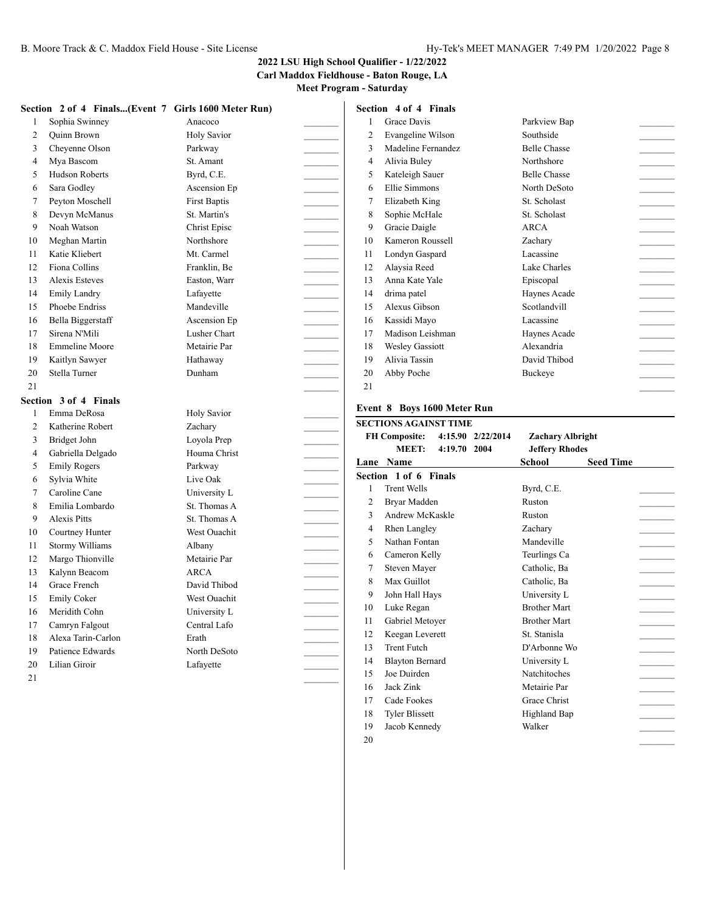#### **Carl Maddox Fieldhouse - Baton Rouge, LA**

**Meet Program - Saturday**

|                |                        | Section 2 of 4 Finals(Event 7 Girls 1600 Meter Run) |                | Section 4 of 4 Finals                     |                                   |                  |
|----------------|------------------------|-----------------------------------------------------|----------------|-------------------------------------------|-----------------------------------|------------------|
| -1             | Sophia Swinney         | Anacoco                                             | 1              | Grace Davis                               | Parkview Bap                      |                  |
| $\overline{2}$ | <b>Quinn Brown</b>     | <b>Holy Savior</b>                                  | $\overline{2}$ | Evangeline Wilson                         | Southside                         |                  |
| 3              | Cheyenne Olson         | Parkway                                             | 3              | Madeline Fernandez                        | <b>Belle Chasse</b>               |                  |
| 4              | Mya Bascom             | St. Amant                                           | $\overline{4}$ | Alivia Buley                              | Northshore                        |                  |
| 5              | <b>Hudson Roberts</b>  | Byrd, C.E.                                          | 5              | Kateleigh Sauer                           | <b>Belle Chasse</b>               |                  |
| 6              | Sara Godley            | Ascension Ep                                        | 6              | Ellie Simmons                             | North DeSoto                      |                  |
| 7              | Peyton Moschell        | <b>First Baptis</b>                                 | $\overline{7}$ | Elizabeth King                            | St. Scholast                      |                  |
| 8              | Devyn McManus          | St. Martin's                                        | 8              | Sophie McHale                             | St. Scholast                      |                  |
| 9              | Noah Watson            | Christ Episc                                        | 9              | Gracie Daigle                             | <b>ARCA</b>                       |                  |
| 10             | Meghan Martin          | Northshore                                          | 10             | Kameron Roussell                          | Zachary                           |                  |
| 11             | Katie Kliebert         | Mt. Carmel                                          | 11             | Londyn Gaspard                            | Lacassine                         |                  |
| 12             | Fiona Collins          | Franklin, Be                                        | 12             | Alaysia Reed                              | Lake Charles                      | $\sim$ 100 $\mu$ |
| 13             | Alexis Esteves         | Easton, Warr                                        | 13             | Anna Kate Yale                            | Episcopal                         | $\sim$ 100 $\mu$ |
| 14             | <b>Emily Landry</b>    | Lafayette                                           | 14             | drima patel                               | Haynes Acade                      |                  |
| 15             | Phoebe Endriss         | Mandeville                                          | 15             | Alexus Gibson                             | Scotlandvill                      |                  |
| 16             | Bella Biggerstaff      | Ascension Ep                                        | 16             | Kassidi Mayo                              | Lacassine                         |                  |
| 17             | Sirena N'Mili          | Lusher Chart                                        | 17             | Madison Leishman                          | Havnes Acade                      |                  |
| 18             | <b>Emmeline Moore</b>  | Metairie Par                                        | 18             | <b>Wesley Gassiott</b>                    | Alexandria                        |                  |
| 19             | Kaitlyn Sawyer         | Hathaway                                            | 19             | Alivia Tassin                             | David Thibod                      |                  |
| 20             | Stella Turner          | Dunham                                              | 20             | Abby Poche                                | <b>Buckeye</b>                    |                  |
| 21             |                        |                                                     | 21             |                                           |                                   |                  |
|                | Section 3 of 4 Finals  |                                                     |                |                                           |                                   |                  |
| -1             | Emma DeRosa            | <b>Holy Savior</b>                                  |                | Event 8 Boys 1600 Meter Run               |                                   |                  |
| $\overline{2}$ | Katherine Robert       | Zachary                                             |                | <b>SECTIONS AGAINST TIME</b>              |                                   |                  |
| 3              | Bridget John           |                                                     |                |                                           |                                   |                  |
|                |                        | Loyola Prep                                         |                | <b>FH Composite:</b><br>4:15.90 2/22/2014 | <b>Zachary Albright</b>           |                  |
| 4              | Gabriella Delgado      | Houma Christ                                        |                | <b>MEET:</b><br>4:19.70 2004              | <b>Jeffery Rhodes</b>             |                  |
| 5              | <b>Emily Rogers</b>    | Parkway                                             |                | Lane Name                                 | <b>School</b><br><b>Seed Time</b> |                  |
| 6              | Sylvia White           | Live Oak                                            |                | Section 1 of 6 Finals                     |                                   |                  |
| 7              | Caroline Cane          | University L                                        | 1              | <b>Trent Wells</b>                        | Byrd, C.E.                        |                  |
| 8              | Emilia Lombardo        | St. Thomas A                                        | $\overline{2}$ | Bryar Madden                              | Ruston                            |                  |
| 9              | <b>Alexis Pitts</b>    | St. Thomas A                                        | 3              | Andrew McKaskle                           | Ruston                            |                  |
| 10             | Courtney Hunter        | West Ouachit                                        | $\overline{4}$ | <b>Rhen Langley</b>                       | Zachary                           |                  |
| 11             | <b>Stormy Williams</b> | Albany                                              | 5              | Nathan Fontan                             | Mandeville                        |                  |
| 12             | Margo Thionville       | Metairie Par                                        | 6              | Cameron Kelly                             | Teurlings Ca                      |                  |
| 13             | Kalynn Beacom          | ARCA                                                | $\tau$         | Steven Mayer                              | Catholic, Ba                      |                  |
| 14             | Grace French           | David Thibod                                        | 8              | Max Guillot                               | Catholic, Ba                      |                  |
| 15             | <b>Emily Coker</b>     | West Ouachit                                        | 9              | John Hall Hays                            | University L                      |                  |
| 16             | Meridith Cohn          | University L                                        | 10             | Luke Regan                                | <b>Brother Mart</b>               |                  |
| 17             | Camryn Falgout         | Central Lafo                                        | 11             | Gabriel Metoyer                           | <b>Brother Mart</b>               |                  |
| 18             | Alexa Tarin-Carlon     | Erath                                               | 12             | Keegan Leverett                           | St. Stanisla                      |                  |
| 19             | Patience Edwards       | North DeSoto                                        | 13             | Trent Futch                               | D'Arbonne Wo                      |                  |
| 20             | Lilian Giroir          | Lafayette                                           | 14             | <b>Blayton Bernard</b>                    | University L                      |                  |
| 21             |                        |                                                     | 15             | Joe Duirden                               | Natchitoches                      |                  |
|                |                        |                                                     | 16             | Jack Zink<br>Cade Fookes                  | Metairie Par<br>Grace Christ      |                  |

18 Tyler Blissett Highland Bap 19 Jacob Kennedy Walker

\_\_\_\_\_\_\_\_\_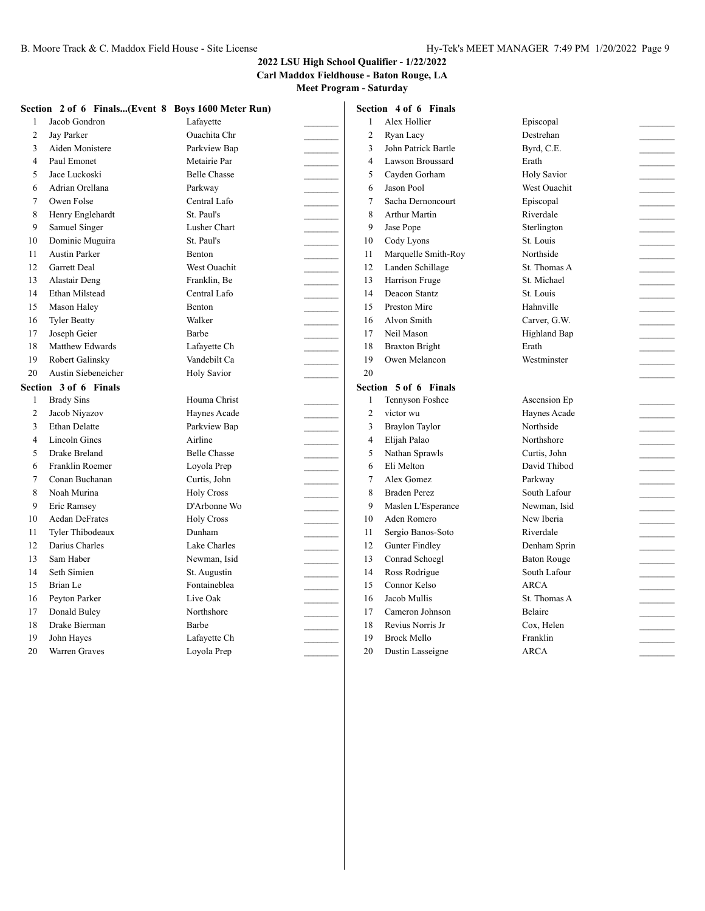**Carl Maddox Fieldhouse - Baton Rouge, LA**

|                |                       | Section 2 of 6 Finals(Event 8 Boys 1600 Meter Run) |                | Section 4 of 6 Finals |                     |  |
|----------------|-----------------------|----------------------------------------------------|----------------|-----------------------|---------------------|--|
| 1              | Jacob Gondron         | Lafayette                                          | $\mathbf{1}$   | Alex Hollier          | Episcopal           |  |
| $\overline{2}$ | Jay Parker            | Ouachita Chr                                       | $\overline{2}$ | Ryan Lacy             | Destrehan           |  |
| 3              | Aiden Monistere       | Parkview Bap                                       | 3              | John Patrick Bartle   | Byrd, C.E.          |  |
| $\overline{4}$ | Paul Emonet           | Metairie Par                                       | $\overline{4}$ | Lawson Broussard      | Erath               |  |
| 5              | Jace Luckoski         | <b>Belle Chasse</b>                                | 5              | Cayden Gorham         | <b>Holy Savior</b>  |  |
| 6              | Adrian Orellana       | Parkway                                            | 6              | Jason Pool            | West Ouachit        |  |
| $\overline{7}$ | Owen Folse            | Central Lafo                                       | $\overline{7}$ | Sacha Dernoncourt     | Episcopal           |  |
| 8              | Henry Englehardt      | St. Paul's                                         | 8              | <b>Arthur Martin</b>  | Riverdale           |  |
| 9              | Samuel Singer         | Lusher Chart                                       | 9              | Jase Pope             | Sterlington         |  |
| 10             | Dominic Muguira       | St. Paul's                                         | 10             | Cody Lyons            | St. Louis           |  |
| 11             | <b>Austin Parker</b>  | Benton                                             | 11             | Marquelle Smith-Roy   | Northside           |  |
| 12             | <b>Garrett Deal</b>   | West Ouachit                                       | 12             | Landen Schillage      | St. Thomas A        |  |
| 13             | Alastair Deng         | Franklin, Be                                       | 13             | Harrison Fruge        | St. Michael         |  |
| 14             | Ethan Milstead        | Central Lafo                                       | 14             | Deacon Stantz         | St. Louis           |  |
| 15             | Mason Haley           | <b>Benton</b>                                      | 15             | Preston Mire          | Hahnville           |  |
| 16             | <b>Tyler Beatty</b>   | Walker                                             | 16             | Alvon Smith           | Carver, G.W.        |  |
| 17             | Joseph Geier          | Barbe                                              | 17             | Neil Mason            | <b>Highland Bap</b> |  |
| 18             | Matthew Edwards       | Lafavette Ch                                       | 18             | <b>Braxton Bright</b> | Erath               |  |
| 19             | Robert Galinsky       | Vandebilt Ca                                       | 19             | Owen Melancon         | Westminster         |  |
| 20             | Austin Siebeneicher   | <b>Holy Savior</b>                                 | 20             |                       |                     |  |
|                | Section 3 of 6 Finals |                                                    |                | Section 5 of 6 Finals |                     |  |
| 1              | <b>Brady Sins</b>     | Houma Christ                                       | $\mathbf{1}$   | Tennyson Foshee       | Ascension Ep        |  |
| 2              | Jacob Niyazov         | Haynes Acade                                       | $\overline{2}$ | victor wu             | Haynes Acade        |  |
| 3              | <b>Ethan Delatte</b>  | Parkview Bap                                       | 3              | <b>Braylon Taylor</b> | Northside           |  |
| $\overline{4}$ | <b>Lincoln Gines</b>  | Airline                                            | $\overline{4}$ | Elijah Palao          | Northshore          |  |
| 5              | Drake Breland         | <b>Belle Chasse</b>                                | 5              | Nathan Sprawls        | Curtis, John        |  |
| 6              | Franklin Roemer       | Loyola Prep                                        | 6              | Eli Melton            | David Thibod        |  |
| $\overline{7}$ | Conan Buchanan        | Curtis, John                                       | $\overline{7}$ | Alex Gomez            | Parkway             |  |
| 8              | Noah Murina           | <b>Holy Cross</b>                                  | 8              | <b>Braden Perez</b>   | South Lafour        |  |
| 9              | Eric Ramsey           | D'Arbonne Wo                                       | 9              | Maslen L'Esperance    | Newman, Isid        |  |
| 10             | <b>Aedan DeFrates</b> | <b>Holy Cross</b>                                  | 10             | Aden Romero           | New Iberia          |  |
| 11             | Tyler Thibodeaux      | Dunham                                             | 11             | Sergio Banos-Soto     | Riverdale           |  |
| 12             | Darius Charles        | Lake Charles                                       | 12             | <b>Gunter Findley</b> | Denham Sprin        |  |
| 13             | Sam Haber             | Newman, Isid                                       | 13             | Conrad Schoegl        | <b>Baton Rouge</b>  |  |
| 14             | Seth Simien           | St. Augustin                                       | 14             | Ross Rodrigue         | South Lafour        |  |
| 15             | Brian Le              | Fontaineblea                                       | 15             | Connor Kelso          | <b>ARCA</b>         |  |
| 16             | Peyton Parker         | Live Oak                                           | 16             | Jacob Mullis          | St. Thomas A        |  |
| 17             | Donald Buley          | Northshore                                         | 17             | Cameron Johnson       | Belaire             |  |
| 18             | Drake Bierman         | Barbe                                              | 18             | Revius Norris Jr      | Cox. Helen          |  |
| 19             | John Hayes            | Lafayette Ch                                       | 19             | <b>Brock Mello</b>    | Franklin            |  |
| 20             | Warren Graves         | Loyola Prep                                        | 20             | Dustin Lasseigne      | <b>ARCA</b>         |  |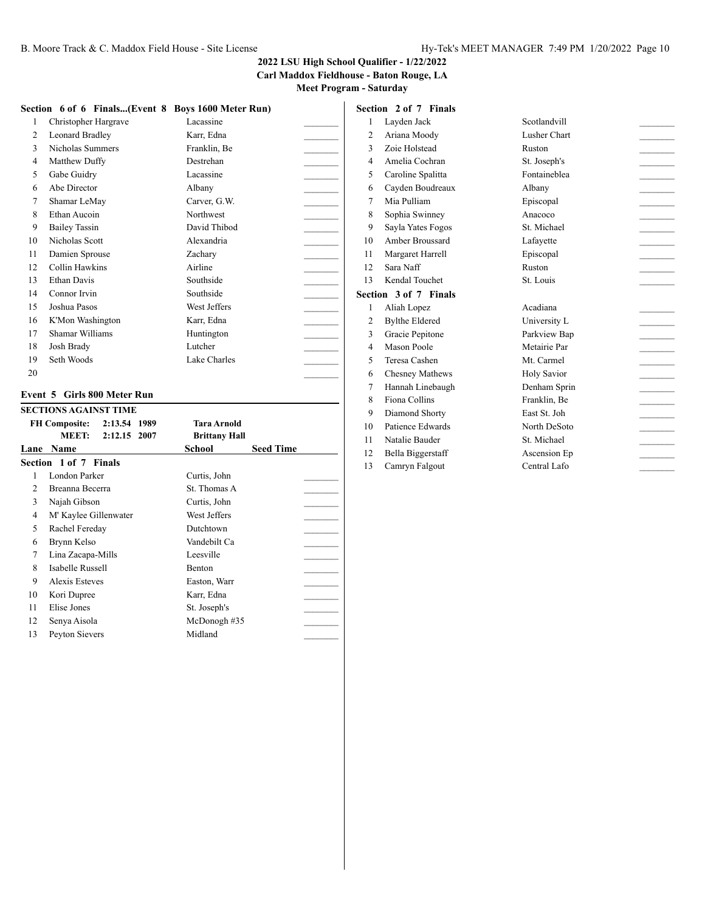#### **2022 LSU High School Qualifier - 1/22/2022 Carl Maddox Fieldhouse - Baton Rouge, LA**

**Meet Program - Saturday**

#### **Section 6 of 6 Finals...(Event 8 Boys 1600 Meter Run)**

| 1  | Christopher Hargrave | Lacassine    |  |
|----|----------------------|--------------|--|
| 2  | Leonard Bradley      | Karr, Edna   |  |
| 3  | Nicholas Summers     | Franklin, Be |  |
| 4  | Matthew Duffy        | Destrehan    |  |
| 5  | Gabe Guidry          | Lacassine    |  |
| 6  | Abe Director         | Albany       |  |
| 7  | Shamar LeMay         | Carver, G.W. |  |
| 8  | Ethan Aucoin         | Northwest    |  |
| 9  | <b>Bailey Tassin</b> | David Thibod |  |
| 10 | Nicholas Scott       | Alexandria   |  |
| 11 | Damien Sprouse       | Zachary      |  |
| 12 | Collin Hawkins       | Airline      |  |
| 13 | Ethan Davis          | Southside    |  |
| 14 | Connor Irvin         | Southside    |  |
| 15 | Joshua Pasos         | West Jeffers |  |
| 16 | K'Mon Washington     | Karr, Edna   |  |
| 17 | Shamar Williams      | Huntington   |  |
| 18 | Josh Brady           | Lutcher      |  |
| 19 | Seth Woods           | Lake Charles |  |
| 20 |                      |              |  |

#### **Event 5 Girls 800 Meter Run**

|    | <b>SECTIONS AGAINST TIME</b>         |                            |  |
|----|--------------------------------------|----------------------------|--|
|    | 2:13.54 1989<br><b>FH Composite:</b> | Tara Arnold                |  |
|    | <b>MEET:</b><br>2:12.15 2007         | <b>Brittany Hall</b>       |  |
|    | Lane Name                            | <b>Seed Time</b><br>School |  |
|    | Section 1 of 7 Finals                |                            |  |
| 1  | London Parker                        | Curtis, John               |  |
| 2  | Breanna Becerra                      | St. Thomas A               |  |
| 3  | Najah Gibson                         | Curtis, John               |  |
| 4  | M' Kaylee Gillenwater                | West Jeffers               |  |
| 5  | Rachel Fereday                       | Dutchtown                  |  |
| 6  | Brynn Kelso                          | Vandebilt Ca               |  |
| 7  | Lina Zacapa-Mills                    | Leesville                  |  |
| 8  | Isabelle Russell                     | Benton                     |  |
| 9  | Alexis Esteves                       | Easton, Warr               |  |
| 10 | Kori Dupree                          | Karr, Edna                 |  |
| 11 | Elise Jones                          | St. Joseph's               |  |
| 12 | Senya Aisola                         | McDonogh#35                |  |
| 13 | Peyton Sievers                       | Midland                    |  |

#### **Section 2 of 7 Finals** 1 Layden Jack Scotlandvill 2 Ariana Moody Lusher Chart 3 Zoie Holstead Ruston 4 Amelia Cochran St. Joseph's 5 Caroline Spalitta Fontaineblea 6 Cayden Boudreaux Albany \_\_\_\_\_\_\_\_\_ 7 Mia Pulliam Episcopal \_\_\_\_\_\_\_\_\_ 8 Sophia Swinney Anacoco Anacoco 9 Sayla Yates Fogos St. Michael \_\_\_\_\_\_\_\_\_ 10 Amber Broussard Lafayette 11 Margaret Harrell **Episcopal** 12 Sara Naff Ruston 13 Kendal Touchet St. Louis \_\_\_\_\_\_\_\_\_ **Section 3 of 7 Finals** 1 Aliah Lopez Acadiana

- 2 Bylthe Eldered University L
- 3 Gracie Pepitone Parkview Bap
- 4 Mason Poole Metairie Par
- 
- 7 Hannah Linebaugh Denham Sprin
- 8 Fiona Collins Franklin, Be
- 9 Diamond Shorty East St. Joh \_\_\_\_\_\_\_\_\_
- 10 Patience Edwards North DeSoto
- 11 Natalie Bauder St. Michael
- 12 Bella Biggerstaff Ascension Ep
- 13 Camryn Falgout Central Lafo

5 Teresa Cashen Mt. Carmel 2008 6 Chesney Mathews Holy Savior \_\_\_\_\_\_\_\_\_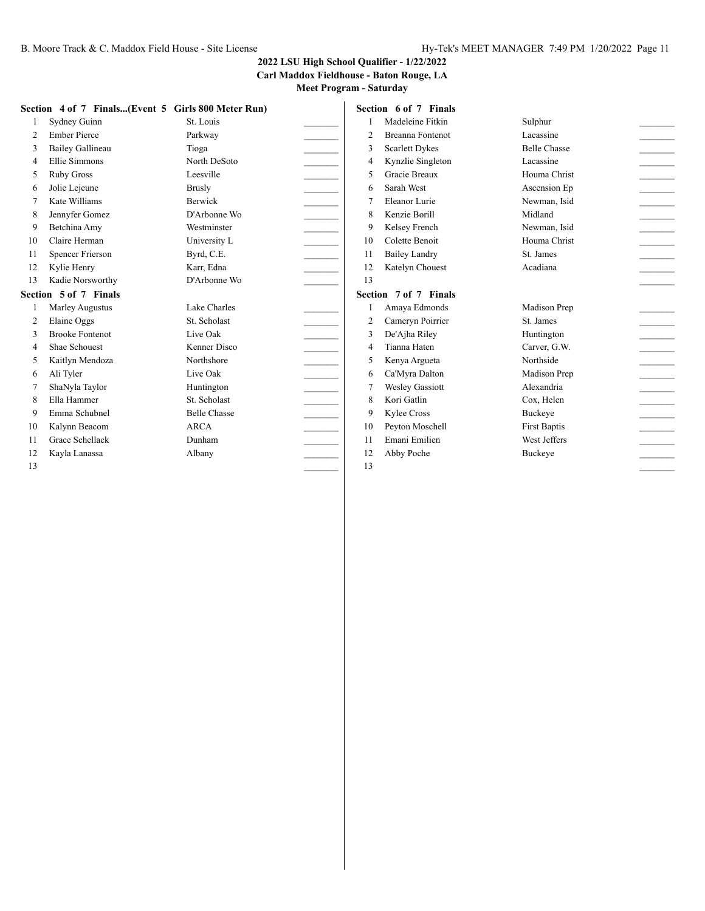#### **2022 LSU High School Qualifier - 1/22/2022 Carl Maddox Fieldhouse - Baton Rouge, LA**

|    | Section 4 of 7 Finals(Event 5 Girls 800 Meter Run) |                     |                   |                | Section 6 of 7 Finals   |                     |                            |
|----|----------------------------------------------------|---------------------|-------------------|----------------|-------------------------|---------------------|----------------------------|
|    | Sydney Guinn                                       | St. Louis           |                   |                | Madeleine Fitkin        | Sulphur             |                            |
| 2  | <b>Ember Pierce</b>                                | Parkway             |                   | $\overline{c}$ | <b>Breanna Fontenot</b> | Lacassine           | $\overline{a}$             |
| 3  | Bailey Gallineau                                   | Tioga               |                   | 3              | <b>Scarlett Dykes</b>   | <b>Belle Chasse</b> |                            |
| 4  | Ellie Simmons                                      | North DeSoto        |                   | $\overline{4}$ | Kynzlie Singleton       | Lacassine           | $\overline{a}$             |
| 5  | Ruby Gross                                         | Leesville           |                   | 5              | Gracie Breaux           | Houma Christ        | <b>Contractor</b>          |
| 6  | Jolie Lejeune                                      | <b>Brusly</b>       |                   | 6              | Sarah West              | Ascension Ep        | $\frac{1}{2}$              |
| 7  | Kate Williams                                      | <b>Berwick</b>      |                   | 7              | Eleanor Lurie           | Newman, Isid        |                            |
| 8  | Jennyfer Gomez                                     | D'Arbonne Wo        |                   | 8              | Kenzie Borill           | Midland             | $\sim$                     |
| 9  | Betchina Amy                                       | Westminster         |                   | 9              | Kelsey French           | Newman, Isid        |                            |
| 10 | Claire Herman                                      | University L        |                   | 10             | Colette Benoit          | Houma Christ        | $\mathcal{L}$              |
| 11 | <b>Spencer Frierson</b>                            | Byrd, C.E.          |                   | 11             | <b>Bailey Landry</b>    | St. James           |                            |
| 12 | Kylie Henry                                        | Karr, Edna          |                   | 12             | Katelyn Chouest         | Acadiana            | <b>Contractor</b>          |
| 13 | Kadie Norsworthy                                   | D'Arbonne Wo        |                   | 13             |                         |                     |                            |
|    | Section 5 of 7 Finals                              |                     |                   |                | Section 7 of 7 Finals   |                     |                            |
|    | Marley Augustus                                    | Lake Charles        |                   |                | Amaya Edmonds           | Madison Prep        |                            |
| 2  | Elaine Oggs                                        | St. Scholast        |                   | $\overline{2}$ | Cameryn Poirrier        | St. James           | $\frac{1}{2}$              |
| 3  | <b>Brooke Fontenot</b>                             | Live Oak            |                   | 3              | De'Ajha Riley           | Huntington          | $\sim 10^{-11}$            |
| 4  | Shae Schouest                                      | Kenner Disco        |                   | $\overline{4}$ | Tianna Haten            | Carver, G.W.        | $\frac{1}{2}$              |
| 5  | Kaitlyn Mendoza                                    | Northshore          |                   | 5              | Kenya Argueta           | Northside           | $\sim$                     |
| 6  | Ali Tyler                                          | Live Oak            |                   | 6              | Ca'Myra Dalton          | Madison Prep        | $\mathcal{L}^{\text{max}}$ |
| 7  | ShaNyla Taylor                                     | Huntington          |                   | 7              | <b>Wesley Gassiott</b>  | Alexandria          | $\frac{1}{2}$              |
| 8  | Ella Hammer                                        | St. Scholast        | <b>Contractor</b> | 8              | Kori Gatlin             | Cox, Helen          | <b>Contractor</b>          |
| 9  | Emma Schubnel                                      | <b>Belle Chasse</b> |                   | 9              | Kylee Cross             | Buckeye             | $\mathcal{L}$              |
| 10 | Kalynn Beacom                                      | <b>ARCA</b>         |                   | 10             | Peyton Moschell         | <b>First Baptis</b> | $\sim$                     |
| 11 | Grace Schellack                                    | Dunham              |                   | 11             | Emani Emilien           | West Jeffers        | <b>Contract</b>            |
| 12 | Kayla Lanassa                                      | Albany              |                   | 12             | Abby Poche              | Buckeye             |                            |
| 13 |                                                    |                     |                   | 13             |                         |                     |                            |
|    |                                                    |                     |                   |                |                         |                     |                            |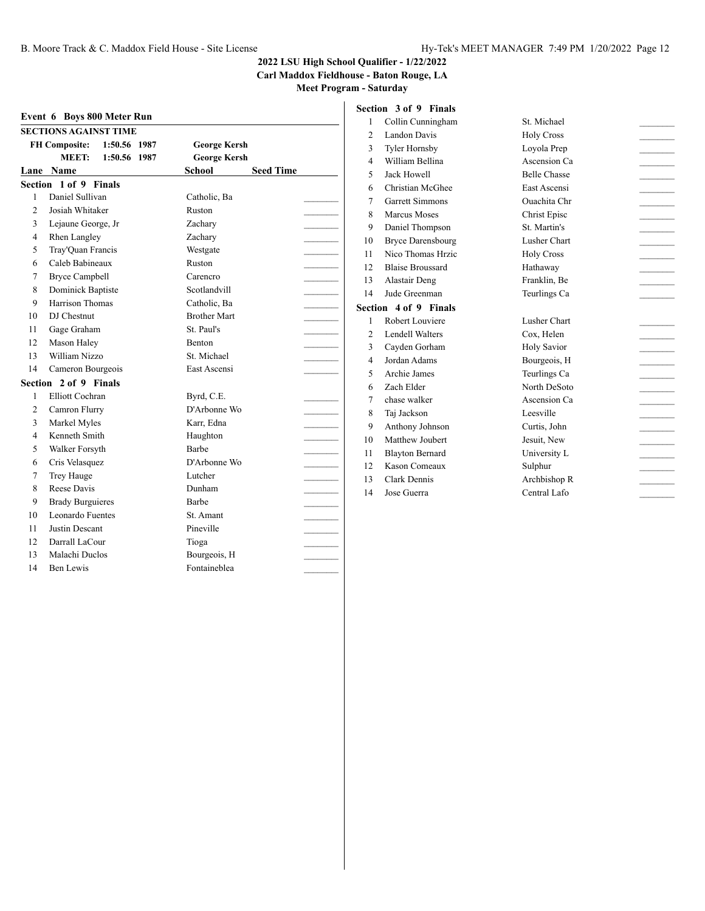**Carl Maddox Fieldhouse - Baton Rouge, LA**

**Meet Program - Saturday**

|                | Event 6 Boys 800 Meter Run           |                     |                  | 1              | Collir      |
|----------------|--------------------------------------|---------------------|------------------|----------------|-------------|
|                | <b>SECTIONS AGAINST TIME</b>         |                     |                  | $\overline{c}$ | Land        |
|                | 1:50.56 1987<br><b>FH Composite:</b> | <b>George Kersh</b> |                  | 3              | Tyler       |
|                | <b>MEET:</b><br>1:50.56 1987         | <b>George Kersh</b> |                  | $\overline{4}$ | Willia      |
|                | Lane Name                            | <b>School</b>       | <b>Seed Time</b> | 5              | Jack I      |
|                | Section 1 of 9 Finals                |                     |                  | 6              | Chris       |
| 1              | Daniel Sullivan                      | Catholic, Ba        |                  | 7              | Garre       |
| $\overline{c}$ | Josiah Whitaker                      | Ruston              |                  | 8              | Marci       |
| 3              | Lejaune George, Jr                   | Zachary             |                  | 9              | Danie       |
| 4              | <b>Rhen Langley</b>                  | Zachary             |                  | 10             | Bryce       |
| 5              | Tray'Quan Francis                    | Westgate            |                  | 11             | Nico        |
| 6              | Caleb Babineaux                      | Ruston              |                  | 12             | Blaise      |
| 7              | <b>Bryce Campbell</b>                | Carencro            |                  | 13             | Alast       |
| 8              | Dominick Baptiste                    | Scotlandvill        |                  | 14             | Jude (      |
| 9              | Harrison Thomas                      | Catholic, Ba        |                  |                | Section 4 o |
| 10             | DJ Chestnut                          | <b>Brother Mart</b> |                  | 1              | Rober       |
| 11             | Gage Graham                          | St. Paul's          |                  | $\overline{2}$ | Lende       |
| 12             | Mason Haley                          | <b>Benton</b>       |                  | 3              | Cayd        |
| 13             | William Nizzo                        | St. Michael         |                  | $\overline{4}$ | Jorda       |
| 14             | Cameron Bourgeois                    | East Ascensi        |                  | 5              | Archi       |
|                | Section 2 of 9 Finals                |                     |                  | 6              | Zach        |
| 1              | <b>Elliott Cochran</b>               | Byrd, C.E.          |                  | 7              | chase       |
| $\mathfrak{2}$ | Camron Flurry                        | D'Arbonne Wo        |                  | 8              | Taj Ja      |
| 3              | Markel Myles                         | Karr, Edna          |                  | 9              | Antho       |
| 4              | Kenneth Smith                        | Haughton            |                  | 10             | Matth       |
| 5              | Walker Forsyth                       | Barbe               |                  | 11             | Blayt       |
| 6              | Cris Velasquez                       | D'Arbonne Wo        |                  | 12             | Kasor       |
| 7              | Trey Hauge                           | Lutcher             |                  | 13             | Clark       |
| 8              | Reese Davis                          | Dunham              |                  | 14             | Jose (      |
| 9              | <b>Brady Burguieres</b>              | Barbe               |                  |                |             |
| 10             | Leonardo Fuentes                     | St. Amant           |                  |                |             |
| 11             | Justin Descant                       | Pineville           |                  |                |             |
| 12             | Darrall LaCour                       | Tioga               |                  |                |             |
| 13             | Malachi Duclos                       | Bourgeois, H        |                  |                |             |
| 14             | Ben Lewis                            | Fontaineblea        |                  |                |             |

|                | Section 3 of 9 Finals    |
|----------------|--------------------------|
| 1              | Collin Cunningham        |
| $\overline{c}$ | Landon Davis             |
| 3              | <b>Tyler Hornsby</b>     |
| $\overline{4}$ | William Bellina          |
| 5              | <b>Jack Howell</b>       |
| 6              | Christian McGhee         |
| 7              | <b>Garrett Simmons</b>   |
| 8              | Marcus Moses             |
| 9              | Daniel Thompson          |
| 10             | <b>Bryce Darensbourg</b> |
| 11             | Nico Thomas Hrzic        |
| 12             | <b>Blaise Broussard</b>  |
| 13             | Alastair Deng            |
| 14             | Jude Greenman            |
|                | Section 4 of 9 Finals    |
| 1              | Robert Louviere          |
| $\overline{c}$ | <b>Lendell Walters</b>   |
|                |                          |
| 3              | Cayden Gorham            |
| 4              | Jordan Adams             |
| 5              | Archie James             |
| 6              | Zach Elder               |
| 7              | chase walker             |
| 8              | Taj Jackson              |
| 9              | Anthony Johnson          |
| 10             | Matthew Joubert          |
| 11             | <b>Blayton Bernard</b>   |
| 12             | <b>Kason Comeaux</b>     |
| 13             | Clark Dennis             |

St. Michael Holy Cross Loyola Prep Ascension Ca Belle Chasse East Ascensi 7 Garrett Simmons Ouachita Chr \_\_\_\_\_\_\_\_\_ 8 Marcus Moses Christ Episc \_\_\_\_\_\_\_\_\_ 9 Daniel Thompson St. Martin's \_\_\_\_\_\_\_\_\_ 10 Bryce Darensbourg Lusher Chart \_\_\_\_\_\_\_\_\_ Holy Cross 12 Blaise Broussard Hathaway \_\_\_\_\_\_\_\_\_ Franklin, Be 14 Jude Greenman Teurlings Ca \_\_\_\_\_\_\_\_\_ Lusher Chart Cox, Helen 3 Cayden Gorham Holy Savior \_\_\_\_\_\_\_\_\_ 4 Jordan Adams Bourgeois, H \_\_\_\_\_\_\_\_\_ 5 Archie James Teurlings Ca \_\_\_\_\_\_\_\_\_ North DeSoto Ascension Ca Leesville  $\qquad \qquad \qquad$ 9 Anthony Johnson Curtis, John \_\_\_\_\_\_\_\_\_ 10 Matthew Joubert Jesuit, New \_\_\_\_\_\_\_\_\_ University L  $\operatorname{Sulphur}$ Archbishop R Central Lafo

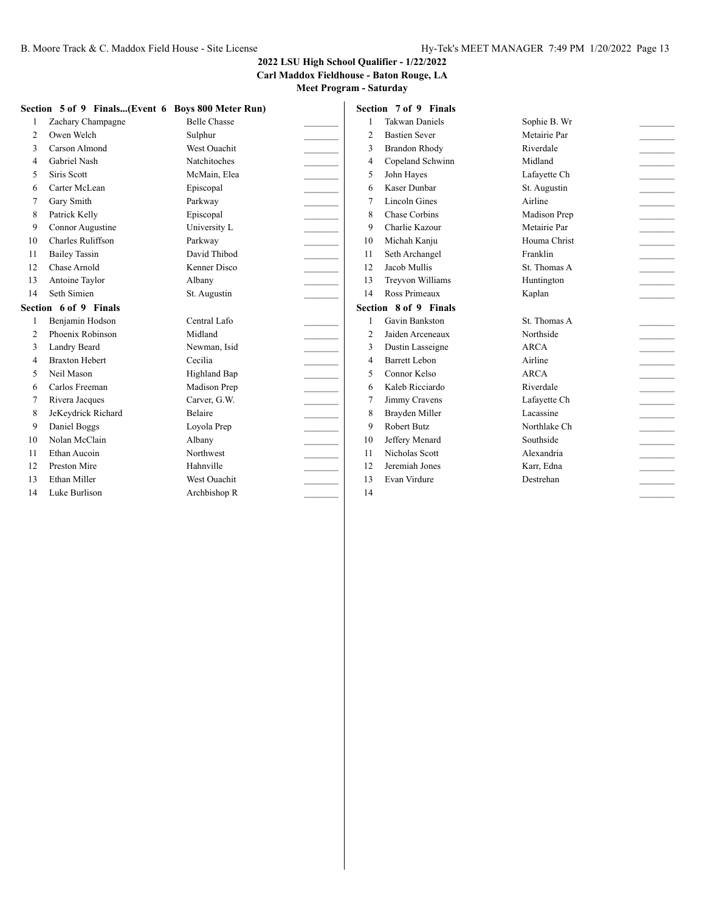#### **2022 LSU High School Qualifier - 1/22/2022 Carl Maddox Fieldhouse - Baton Rouge, LA**

|                | Section 5 of 9 Finals(Event 6 Boys 800 Meter Run) |                     |        |                | Section 7 of 9 Finals |              |                                                        |
|----------------|---------------------------------------------------|---------------------|--------|----------------|-----------------------|--------------|--------------------------------------------------------|
|                | Zachary Champagne                                 | <b>Belle Chasse</b> |        |                | <b>Takwan Daniels</b> | Sophie B. Wr |                                                        |
| 2              | Owen Welch                                        | Sulphur             |        | $\overline{2}$ | <b>Bastien Sever</b>  | Metairie Par |                                                        |
| 3              | Carson Almond                                     | <b>West Ouachit</b> |        | 3              | <b>Brandon Rhody</b>  | Riverdale    |                                                        |
| 4              | <b>Gabriel Nash</b>                               | <b>Natchitoches</b> |        | $\overline{4}$ | Copeland Schwinn      | Midland      | $\sim 10^{-10}$                                        |
| 5              | Siris Scott                                       | McMain, Elea        |        | 5              | John Hayes            | Lafavette Ch | $\mathcal{L}^{\mathcal{L}}(\mathcal{L}^{\mathcal{L}})$ |
| 6              | Carter McLean                                     | Episcopal           |        | 6              | Kaser Dunbar          | St. Augustin |                                                        |
| 7              | Gary Smith                                        | Parkway             |        | 7              | <b>Lincoln Gines</b>  | Airline      | <b>Contractor</b>                                      |
| 8              | Patrick Kelly                                     | Episcopal           |        | 8              | Chase Corbins         | Madison Prep |                                                        |
| 9              | Connor Augustine                                  | University L        |        | 9              | Charlie Kazour        | Metairie Par |                                                        |
| 10             | Charles Ruliffson                                 | Parkway             |        | 10             | Michah Kanju          | Houma Christ |                                                        |
| 11             | <b>Bailey Tassin</b>                              | David Thibod        | $\sim$ | 11             | Seth Archangel        | Franklin     | <b>Contractor</b>                                      |
| 12             | Chase Arnold                                      | Kenner Disco        |        | 12             | Jacob Mullis          | St. Thomas A | <b>Contractor</b>                                      |
| 13             | Antoine Taylor                                    | Albany              |        | 13             | Treyvon Williams      | Huntington   |                                                        |
| 14             | Seth Simien                                       | St. Augustin        |        | 14             | Ross Primeaux         | Kaplan       |                                                        |
|                | Section 6 of 9 Finals                             |                     |        |                | Section 8 of 9 Finals |              |                                                        |
|                | Benjamin Hodson                                   | Central Lafo        |        |                | Gavin Bankston        | St. Thomas A |                                                        |
|                | Phoenix Robinson                                  | Midland             |        |                | Jaiden Arceneaux      | Northside    |                                                        |
| $\overline{2}$ |                                                   |                     |        | $\overline{2}$ |                       |              |                                                        |
| 3              | Landry Beard                                      | Newman, Isid        |        | 3              | Dustin Lasseigne      | <b>ARCA</b>  |                                                        |
| 4              | <b>Braxton Hebert</b>                             | Cecilia             |        | 4              | Barrett Lebon         | Airline      | <b>Contractor</b>                                      |
| 5              | Neil Mason                                        | Highland Bap        |        | 5              | Connor Kelso          | <b>ARCA</b>  | <b>Contractor</b>                                      |
| 6              | Carlos Freeman                                    | Madison Prep        |        | 6              | Kaleb Ricciardo       | Riverdale    | <b>Contractor</b>                                      |
|                | Rivera Jacques                                    | Carver, G.W.        |        | 7              | Jimmy Cravens         | Lafayette Ch |                                                        |
| 8              | JeKeydrick Richard                                | Belaire             |        | 8              | Brayden Miller        | Lacassine    |                                                        |
| 9              | Daniel Boggs                                      | Loyola Prep         |        | $\mathbf{Q}$   | Robert Butz           | Northlake Ch |                                                        |
| 10             | Nolan McClain                                     | Albany              |        | 10             | Jeffery Menard        | Southside    | <u> 1999 - Jan Jan Ja</u>                              |
| 11             | Ethan Aucoin                                      | Northwest           |        | 11             | Nicholas Scott        | Alexandria   | <b>Contractor</b>                                      |
| 12             | Preston Mire                                      | Hahnville           |        | 12             | Jeremiah Jones        | Karr, Edna   |                                                        |
| 13             | Ethan Miller                                      | <b>West Ouachit</b> |        | 13             | Evan Virdure          | Destrehan    |                                                        |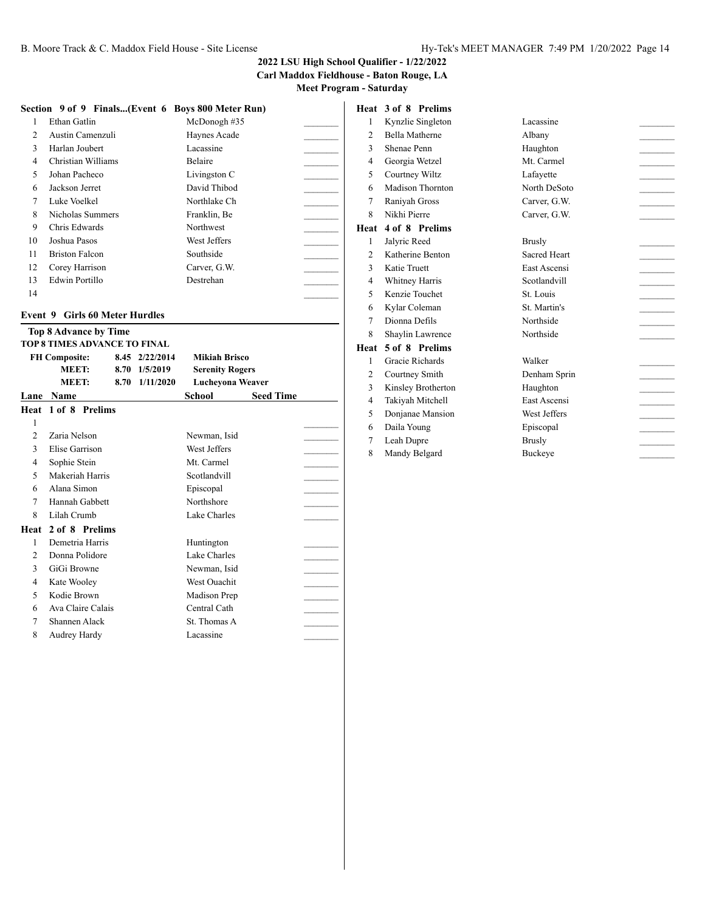#### **2022 LSU High School Qualifier - 1/22/2022 Carl Maddox Fieldhouse - Baton Rouge, LA**

**Meet Program - Saturday**

#### **Section 9 of 9 Finals...(Event 6 Boys 800 Meter Run)**

|                | Ethan Gatlin          | McDonogh#35    |  |
|----------------|-----------------------|----------------|--|
| $\mathfrak{D}$ | Austin Camenzuli      | Haynes Acade   |  |
| $\mathbf{3}$   | Harlan Joubert        | Lacassine      |  |
| 4              | Christian Williams    | <b>Belaire</b> |  |
| 5              | Johan Pacheco         | Livingston C   |  |
| 6              | Jackson Jerret        | David Thibod   |  |
| 7              | Luke Voelkel          | Northlake Ch   |  |
| 8              | Nicholas Summers      | Franklin, Be   |  |
| 9              | Chris Edwards         | Northwest      |  |
| 10             | Joshua Pasos          | West Jeffers   |  |
| 11             | <b>Briston Falcon</b> | Southside      |  |
| 12             | Corey Harrison        | Carver, G.W.   |  |
| 13             | Edwin Portillo        | Destrehan      |  |
| 14             |                       |                |  |

#### **Event 9 Girls 60 Meter Hurdles**

|                | <b>Top 8 Advance by Time</b>        |      |                |                        |                  |  |
|----------------|-------------------------------------|------|----------------|------------------------|------------------|--|
|                | <b>TOP 8 TIMES ADVANCE TO FINAL</b> |      |                |                        |                  |  |
|                | <b>FH Composite:</b>                |      | 8.45 2/22/2014 | <b>Mikiah Brisco</b>   |                  |  |
|                | MEET:                               | 8.70 | 1/5/2019       | <b>Serenity Rogers</b> |                  |  |
|                | MEET:                               | 8.70 | 1/11/2020      | Lucheyona Weaver       |                  |  |
| Lane           | <b>Name</b>                         |      |                | School                 | <b>Seed Time</b> |  |
| Heat           | 1 of 8 Prelims                      |      |                |                        |                  |  |
| 1              |                                     |      |                |                        |                  |  |
| $\mathfrak{D}$ | Zaria Nelson                        |      |                | Newman, Isid           |                  |  |
| 3              | Elise Garrison                      |      |                | West Jeffers           |                  |  |
| 4              | Sophie Stein                        |      |                | Mt. Carmel             |                  |  |
| 5              | Makeriah Harris                     |      |                | Scotlandvill           |                  |  |
| 6              | Alana Simon                         |      |                | Episcopal              |                  |  |
| 7              | Hannah Gabbett                      |      |                | Northshore             |                  |  |
| 8              | Lilah Crumb                         |      |                | Lake Charles           |                  |  |
| Heat           | 2 of 8 Prelims                      |      |                |                        |                  |  |
| $\mathbf{1}$   | Demetria Harris                     |      |                | Huntington             |                  |  |
| $\overline{c}$ | Donna Polidore                      |      |                | Lake Charles           |                  |  |
| 3              | GiGi Browne                         |      |                | Newman, Isid           |                  |  |
| 4              | Kate Wooley                         |      |                | <b>West Ouachit</b>    |                  |  |
| 5              | Kodie Brown                         |      |                | Madison Prep           |                  |  |
| 6              | Ava Claire Calais                   |      |                | Central Cath           |                  |  |
| 7              | Shannen Alack                       |      |                | St. Thomas A           |                  |  |
| 8              | Audrey Hardy                        |      |                | Lacassine              |                  |  |
|                |                                     |      |                |                        |                  |  |

### **Heat 3 of 8 Prelims**

| 1              | Kynzlie Singleton     | Lacassine      |  |
|----------------|-----------------------|----------------|--|
| 2              | <b>Bella Matherne</b> | Albany         |  |
| 3              | Shenae Penn           | Haughton       |  |
| 4              | Georgia Wetzel        | Mt. Carmel     |  |
| 5              | Courtney Wiltz        | Lafayette      |  |
| 6              | Madison Thornton      | North DeSoto   |  |
| 7              | Raniyah Gross         | Carver, G.W.   |  |
| 8              | Nikhi Pierre          | Carver, G.W.   |  |
|                | Heat 4 of 8 Prelims   |                |  |
| $\mathbf{1}$   | Jalyric Reed          | <b>Brusly</b>  |  |
| 2              | Katherine Benton      | Sacred Heart   |  |
| 3              | Katie Truett          | East Ascensi   |  |
| $\overline{4}$ | Whitney Harris        | Scotlandvill   |  |
| 5              | Kenzie Touchet        | St. Louis      |  |
| 6              | Kylar Coleman         | St. Martin's   |  |
| 7              | Dionna Defils         | Northside      |  |
| 8              | Shaylin Lawrence      | Northside      |  |
| Heat           | 5 of 8 Prelims        |                |  |
| $\mathbf{1}$   | Gracie Richards       | Walker         |  |
| $\overline{2}$ | Courtney Smith        | Denham Sprin   |  |
| 3              | Kinsley Brotherton    | Haughton       |  |
| 4              | Takiyah Mitchell      | East Ascensi   |  |
| 5              | Donjanae Mansion      | West Jeffers   |  |
| 6              | Daila Young           | Episcopal      |  |
| 7              | Leah Dupre            | <b>Brusly</b>  |  |
| 8              | Mandy Belgard         | <b>Buckeye</b> |  |
|                |                       |                |  |

| Lacassine           |  |
|---------------------|--|
| Albany              |  |
| Haughton            |  |
| Mt. Carmel          |  |
| Lafayette           |  |
| North DeSoto        |  |
| Carver, G.W.        |  |
| Carver, G.W.        |  |
|                     |  |
| <b>Brusly</b>       |  |
| <b>Sacred Heart</b> |  |
| East Ascensi        |  |
| Scotlandvill        |  |
| St. Louis           |  |
| St. Martin's        |  |
| Northside           |  |
| Northside           |  |
|                     |  |
| Walker              |  |
| Denham Sprin        |  |
| Haughton            |  |
| East Ascensi        |  |
| West Jeffers        |  |
|                     |  |
| Episcopal           |  |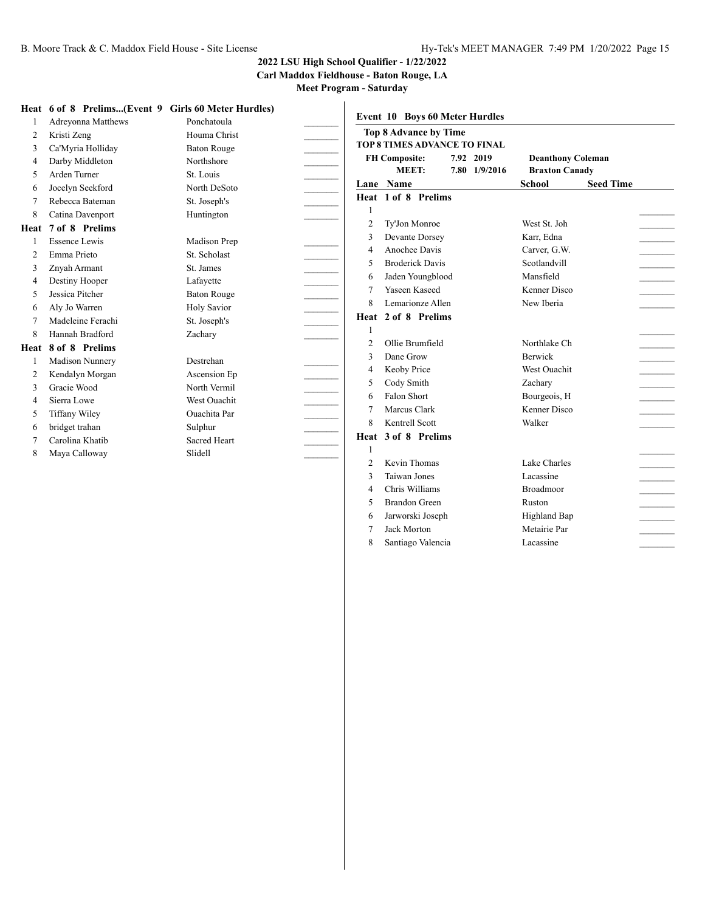**Carl Maddox Fieldhouse - Baton Rouge, LA**

**Meet Program - Saturday**

|                | Heat 6 of 8 Prelims(Event 9 Girls 60 Meter Hurdles) |                     |                |                                       |               |                          |                  |
|----------------|-----------------------------------------------------|---------------------|----------------|---------------------------------------|---------------|--------------------------|------------------|
|                | Adreyonna Matthews                                  | Ponchatoula         |                | <b>Event 10 Boys 60 Meter Hurdles</b> |               |                          |                  |
| 2              | Kristi Zeng                                         | Houma Christ        |                | <b>Top 8 Advance by Time</b>          |               |                          |                  |
| 3              | Ca'Myria Holliday                                   | <b>Baton Rouge</b>  |                | TOP 8 TIMES ADVANCE TO FINAL          |               |                          |                  |
| $\overline{4}$ | Darby Middleton                                     | Northshore          |                | <b>FH Composite:</b>                  | 7.92 2019     | <b>Deanthony Coleman</b> |                  |
| 5              | Arden Turner                                        | St. Louis           |                | <b>MEET:</b>                          | 7.80 1/9/2016 | <b>Braxton Canady</b>    |                  |
| 6              | Jocelyn Seekford                                    | North DeSoto        |                | Lane Name                             |               | <b>School</b>            | <b>Seed Time</b> |
| 7              | Rebecca Bateman                                     | St. Joseph's        |                | Heat 1 of 8 Prelims                   |               |                          |                  |
| 8              | Catina Davenport                                    | Huntington          |                |                                       |               |                          |                  |
| Heat           | 7 of 8 Prelims                                      |                     | $\overline{2}$ | Ty'Jon Monroe                         |               | West St. Joh             |                  |
|                | Essence Lewis                                       | Madison Prep        | 3              | Devante Dorsey                        |               | Karr, Edna               |                  |
| 2              | Emma Prieto                                         | St. Scholast        | $\overline{4}$ | Anochee Davis                         |               | Carver, G.W.             |                  |
| 3              | Znyah Armant                                        | St. James           | 5              | <b>Broderick Davis</b>                |               | Scotlandvill             |                  |
| $\overline{4}$ | Destiny Hooper                                      | Lafayette           | 6              | Jaden Youngblood                      |               | Mansfield                |                  |
| 5              | Jessica Pitcher                                     | <b>Baton Rouge</b>  | 7              | Yaseen Kaseed                         |               | Kenner Disco             |                  |
| 6              | Aly Jo Warren                                       | <b>Holy Savior</b>  | 8              | Lemarionze Allen                      |               | New Iberia               |                  |
| 7              | Madeleine Ferachi                                   | St. Joseph's        |                | Heat 2 of 8 Prelims                   |               |                          |                  |
| 8              | Hannah Bradford                                     | Zachary             |                |                                       |               |                          |                  |
| Heat           | 8 of 8 Prelims                                      |                     | $\overline{c}$ | Ollie Brumfield                       |               | Northlake Ch             |                  |
|                | <b>Madison Nunnery</b>                              | Destrehan           | $\mathbf{3}$   | Dane Grow                             |               | <b>Berwick</b>           |                  |
| 2              | Kendalyn Morgan                                     | Ascension Ep        | $\overline{4}$ | Keoby Price                           |               | <b>West Ouachit</b>      |                  |
| 3              | Gracie Wood                                         | North Vermil        | 5              | Cody Smith                            |               | Zachary                  |                  |
| 4              | Sierra Lowe                                         | West Ouachit        | 6              | Falon Short                           |               | Bourgeois, H             |                  |
| 5              | <b>Tiffany Wiley</b>                                | <b>Ouachita</b> Par | 7              | Marcus Clark                          |               | Kenner Disco             |                  |
| 6              | bridget trahan                                      | Sulphur             | 8              | Kentrell Scott                        |               | Walker                   |                  |
| 7              | Carolina Khatib                                     | <b>Sacred Heart</b> |                | Heat 3 of 8 Prelims                   |               |                          |                  |
| 8              | Maya Calloway                                       | Slidell             |                |                                       |               |                          |                  |
|                |                                                     |                     | $\overline{c}$ | Kevin Thomas                          |               | Lake Charles             |                  |
|                |                                                     |                     | 3              | Taiwan Jones                          |               | Lacassine                |                  |
|                |                                                     |                     | 4              | Chris Williams                        |               | Broadmoor                |                  |

5 Brandon Green Ruston Jarworski Joseph Highland Bap \_\_\_\_\_\_\_\_\_ 7 Jack Morton Metairie Par Santiago Valencia Lacassine \_\_\_\_\_\_\_\_\_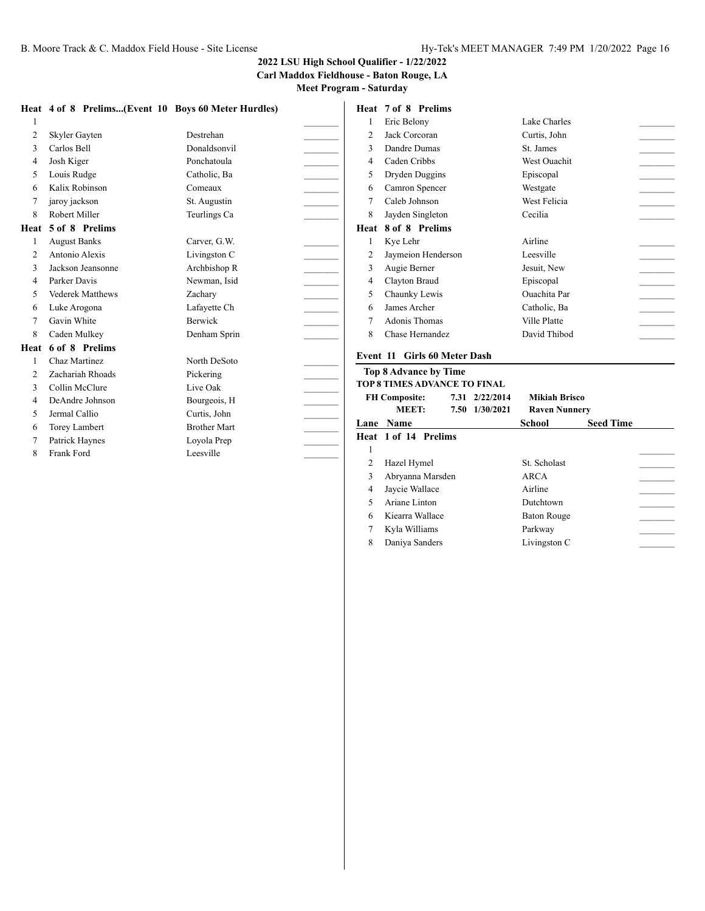**Carl Maddox Fieldhouse - Baton Rouge, LA Meet Program - Saturday**

|                |                         |                                                     |                | Heat 7 of 8 Prelims          |
|----------------|-------------------------|-----------------------------------------------------|----------------|------------------------------|
|                |                         | Heat 4 of 8 Prelims(Event 10 Boys 60 Meter Hurdles) |                |                              |
| 1              |                         |                                                     | 1              | Eric Belony                  |
| $\overline{2}$ | Skyler Gayten           | Destrehan                                           | 2              | Jack Corcoran                |
| 3              | Carlos Bell             | Donaldsonvil                                        | 3              | Dandre Dumas                 |
| $\overline{4}$ | Josh Kiger              | Ponchatoula                                         | 4              | Caden Cribbs                 |
| 5              | Louis Rudge             | Catholic, Ba                                        | 5              | Dryden Duggins               |
| 6              | Kalix Robinson          | Comeaux                                             | 6              | Camron Spencer               |
| 7              | jaroy jackson           | St. Augustin                                        | 7              | Caleb Johnson                |
| 8              | Robert Miller           | Teurlings Ca                                        | 8              | Jayden Singleton             |
| Heat           | 5 of 8 Prelims          |                                                     | Heat           | 8 of 8 Prelims               |
| 1              | <b>August Banks</b>     | Carver, G.W.                                        | 1              | Kye Lehr                     |
| $\overline{c}$ | Antonio Alexis          | Livingston C                                        | 2              | Jaymeion Henders             |
| 3              | Jackson Jeansonne       | Archbishop R                                        | 3              | Augie Berner                 |
| $\overline{4}$ | Parker Davis            | Newman, Isid                                        | $\overline{4}$ | Clayton Braud                |
| 5              | <b>Vederek Matthews</b> | Zachary                                             | 5              | Chaunky Lewis                |
| 6              | Luke Arogona            | Lafayette Ch                                        | 6              | James Archer                 |
| 7              | Gavin White             | <b>Berwick</b>                                      | 7              | <b>Adonis Thomas</b>         |
| 8              | Caden Mulkey            | Denham Sprin                                        | 8              | Chase Hernandez              |
| Heat           | 6 of 8 Prelims          |                                                     |                |                              |
| 1              | Chaz Martinez           | North DeSoto                                        |                | Event 11 Girls 60 Me         |
| $\overline{c}$ | Zachariah Rhoads        | Pickering                                           |                | <b>Top 8 Advance by Ti</b>   |
| 3              | Collin McClure          | Live Oak                                            |                | <b>TOP 8 TIMES ADVANC</b>    |
| $\overline{4}$ | DeAndre Johnson         | Bourgeois, H                                        |                | <b>FH Composite:</b>         |
| 5              | Jermal Callio           | Curtis, John                                        |                | <b>MEET:</b>                 |
| 6              | Torey Lambert           | <b>Brother Mart</b>                                 |                | Lane Name                    |
| 7              | Patrick Haynes          | Loyola Prep                                         |                | Heat 1 of 14 Prelim          |
| 8              | Frank Ford              | Leesville                                           | 1              |                              |
|                |                         |                                                     |                | $\mathbf{H} = -1 \mathbf{H}$ |

| 1    | Eric Belony        | Lake Charles        |  |
|------|--------------------|---------------------|--|
| 2    | Jack Corcoran      | Curtis, John        |  |
| 3    | Dandre Dumas       | St. James           |  |
| 4    | Caden Cribbs       | <b>West Ouachit</b> |  |
| 5    | Dryden Duggins     | Episcopal           |  |
| 6    | Camron Spencer     | Westgate            |  |
| 7    | Caleb Johnson      | West Felicia        |  |
| 8    | Jayden Singleton   | Cecilia             |  |
| Heat | 8 of 8 Prelims     |                     |  |
| 1    | Kye Lehr           | Airline             |  |
|      |                    |                     |  |
| 2    | Jaymeion Henderson | Leesville           |  |
| 3    | Augie Berner       | Jesuit, New         |  |
| 4    | Clayton Braud      | Episcopal           |  |
| 5    | Chaunky Lewis      | <b>Ouachita</b> Par |  |
| 6    | James Archer       | Catholic, Ba        |  |
| 7    | Adonis Thomas      | Ville Platte        |  |
| 8    | Chase Hernandez    | David Thibod        |  |

#### **Girls 60 Meter Dash**

#### dvance by Time **THES ADVANCE TO FINAL**

|   | <b>FH Composite:</b><br>MEET: | 7.31 2/22/2014<br>7.50 1/30/2021 | Mikiah Brisco<br><b>Raven Nunnery</b> |                  |  |
|---|-------------------------------|----------------------------------|---------------------------------------|------------------|--|
|   | <b>Lane Name</b>              |                                  | School                                | <b>Seed Time</b> |  |
|   | Heat 1 of 14 Prelims          |                                  |                                       |                  |  |
| 1 |                               |                                  |                                       |                  |  |
|   | Hazel Hymel                   |                                  | St. Scholast                          |                  |  |
| 3 | Abryanna Marsden              |                                  | ARCA                                  |                  |  |
| 4 | Jaycie Wallace                |                                  | Airline                               |                  |  |
| 5 | Ariane Linton                 |                                  | Dutchtown                             |                  |  |
| 6 | Kiearra Wallace               |                                  | Baton Rouge                           |                  |  |
|   | Kyla Williams                 |                                  | Parkway                               |                  |  |
| 8 | Daniya Sanders                |                                  | Livingston C                          |                  |  |
|   |                               |                                  |                                       |                  |  |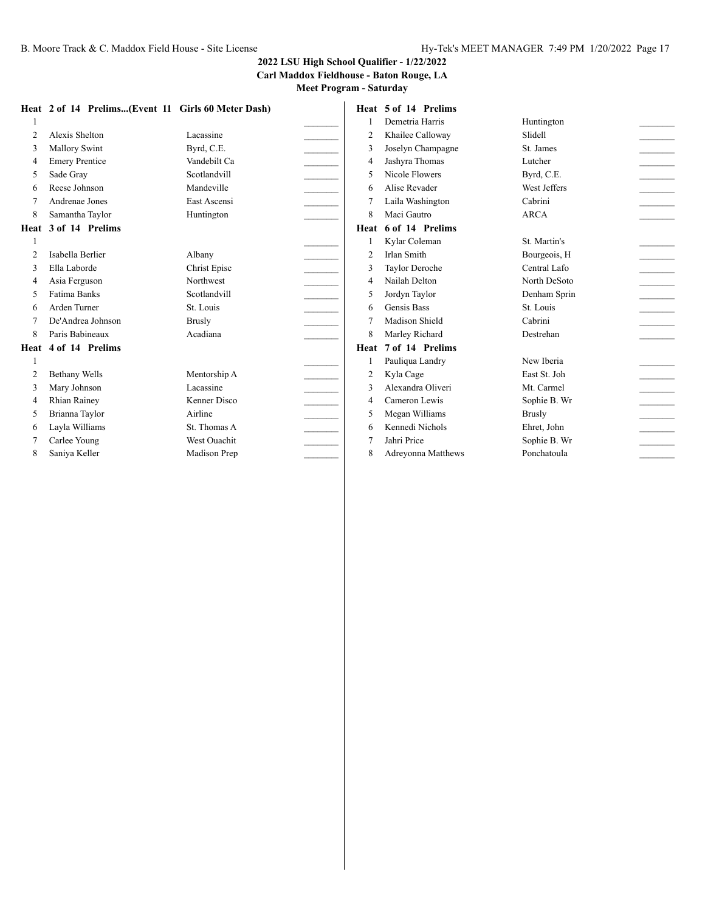**Carl Maddox Fieldhouse - Baton Rouge, LA**

|                          | Heat 2 of 14 Prelims(Event 11 Girls 60 Meter Dash) |               |                          | Heat 5 of 14 Prelims |               |                             |
|--------------------------|----------------------------------------------------|---------------|--------------------------|----------------------|---------------|-----------------------------|
|                          |                                                    |               |                          | Demetria Harris      | Huntington    |                             |
| $\overline{2}$           | Alexis Shelton                                     | Lacassine     | $\overline{2}$           | Khailee Calloway     | Slidell       |                             |
| 3                        | <b>Mallory Swint</b>                               | Byrd, C.E.    | 3                        | Joselyn Champagne    | St. James     |                             |
| $\overline{4}$           | <b>Emery Prentice</b>                              | Vandebilt Ca  | $\overline{4}$           | Jashyra Thomas       | Lutcher       | $\mathcal{L}^{\mathcal{L}}$ |
| 5                        | Sade Gray                                          | Scotlandvill  | 5                        | Nicole Flowers       | Byrd, C.E.    | $\overline{\phantom{a}}$    |
| 6                        | Reese Johnson                                      | Mandeville    | 6                        | Alise Revader        | West Jeffers  |                             |
|                          | Andrenae Jones                                     | East Ascensi  |                          | Laila Washington     | Cabrini       |                             |
| 8                        | Samantha Taylor                                    | Huntington    | 8                        | Maci Gautro          | <b>ARCA</b>   |                             |
| Heat                     | 3 of 14 Prelims                                    |               | Heat                     | 6 of 14 Prelims      |               |                             |
|                          |                                                    |               |                          | Kylar Coleman        | St. Martin's  |                             |
| $\overline{2}$           | Isabella Berlier                                   | Albany        | $\overline{2}$           | <b>Irlan Smith</b>   | Bourgeois, H  | $\overline{\phantom{a}}$    |
| 3                        | Ella Laborde                                       | Christ Episc  | 3                        | Taylor Deroche       | Central Lafo  |                             |
| $\overline{\mathcal{L}}$ | Asia Ferguson                                      | Northwest     | $\overline{\mathcal{L}}$ | Nailah Delton        | North DeSoto  | $\sim 10^{-1}$              |
| $\overline{\phantom{0}}$ | <b>Fatima Banks</b>                                | Scotlandvill  | 5                        | Jordyn Taylor        | Denham Sprin  | $\overline{\phantom{a}}$    |
| 6                        | Arden Turner                                       | St. Louis     | 6                        | Gensis Bass          | St. Louis     |                             |
|                          | De'Andrea Johnson                                  | <b>Brusly</b> |                          | Madison Shield       | Cabrini       |                             |
| 8                        | Paris Babineaux                                    | Acadiana      | 8                        | Marley Richard       | Destrehan     |                             |
| Heat                     | 4 of 14 Prelims                                    |               | Heat                     | 7 of 14 Prelims      |               |                             |
|                          |                                                    |               |                          | Pauliqua Landry      | New Iberia    |                             |
| $\overline{2}$           | <b>Bethany Wells</b>                               | Mentorship A  | $\overline{2}$           | Kyla Cage            | East St. Joh  |                             |
| 3                        | Mary Johnson                                       | Lacassine     | 3                        | Alexandra Oliveri    | Mt. Carmel    |                             |
| $\overline{\mathcal{L}}$ | <b>Rhian Rainey</b>                                | Kenner Disco  | $\overline{4}$           | Cameron Lewis        | Sophie B. Wr  |                             |
| 5                        | Brianna Taylor                                     | Airline       | 5                        | Megan Williams       | <b>Brusly</b> |                             |
| 6                        | Layla Williams                                     | St. Thomas A  | 6                        | Kennedi Nichols      | Ehret, John   |                             |
|                          | Carlee Young                                       | West Ouachit  |                          | Jahri Price          | Sophie B. Wr  |                             |
| 8                        | Saniya Keller                                      | Madison Prep  | 8                        | Adreyonna Matthews   | Ponchatoula   |                             |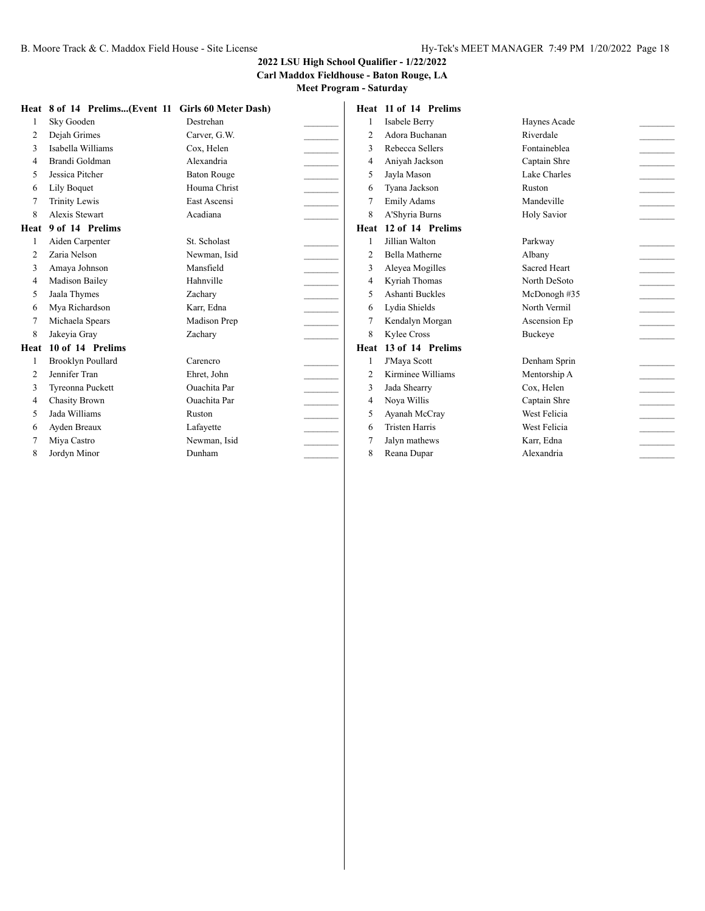#### **Carl Maddox Fieldhouse - Baton Rouge, LA Meet Program - Saturday**

|                          | Heat 8 of 14 Prelims(Event 11 Girls 60 Meter Dash) |                     |                          | Heat 11 of 14 Prelims |                     |                                         |
|--------------------------|----------------------------------------------------|---------------------|--------------------------|-----------------------|---------------------|-----------------------------------------|
|                          | Sky Gooden                                         | Destrehan           |                          | Isabele Berry         | Haynes Acade        |                                         |
| $\overline{2}$           | Dejah Grimes                                       | Carver, G.W.        | $\overline{c}$           | Adora Buchanan        | Riverdale           |                                         |
|                          | Isabella Williams                                  | Cox. Helen          | 3                        | Rebecca Sellers       | Fontaineblea        | $\sim$                                  |
| $\overline{\mathcal{L}}$ | Brandi Goldman                                     | Alexandria          | $\overline{4}$           | Aniyah Jackson        | Captain Shre        | $\mathcal{L}^{\text{max}}_{\text{max}}$ |
| 5                        | Jessica Pitcher                                    | <b>Baton Rouge</b>  | 5                        | Jayla Mason           | Lake Charles        |                                         |
| 6                        | <b>Lily Boquet</b>                                 | Houma Christ        | 6                        | Tyana Jackson         | Ruston              | $\sim$                                  |
|                          | <b>Trinity Lewis</b>                               | East Ascensi        |                          | <b>Emily Adams</b>    | Mandeville          |                                         |
| 8                        | <b>Alexis Stewart</b>                              | Acadiana            | 8                        | A'Shyria Burns        | <b>Holy Savior</b>  |                                         |
| Heat                     | 9 of 14 Prelims                                    |                     | Heat                     | 12 of 14 Prelims      |                     |                                         |
|                          | Aiden Carpenter                                    | St. Scholast        |                          | Jillian Walton        | Parkway             |                                         |
|                          | Zaria Nelson                                       | Newman, Isid        | 2                        | <b>Bella Matherne</b> | Albany              | $\sim$                                  |
| 3                        | Amaya Johnson                                      | Mansfield           | 3                        | Aleyea Mogilles       | <b>Sacred Heart</b> | $\frac{1}{2}$                           |
| $\overline{4}$           | Madison Bailey                                     | Hahnville           | 4                        | Kyriah Thomas         | North DeSoto        |                                         |
| 5                        | Jaala Thymes                                       | Zachary             | $\overline{\phantom{a}}$ | Ashanti Buckles       | McDonogh #35        | <b>Contractor</b>                       |
| 6                        | Mya Richardson                                     | Karr, Edna          | 6                        | Lydia Shields         | North Vermil        |                                         |
|                          | Michaela Spears                                    | Madison Prep        | 7                        | Kendalyn Morgan       | Ascension Ep        |                                         |
| 8                        | Jakeyia Gray                                       | Zachary             | 8                        | Kylee Cross           | Buckeye             |                                         |
| Heat                     | 10 of 14 Prelims                                   |                     | Heat                     | 13 of 14 Prelims      |                     |                                         |
|                          | <b>Brooklyn Poullard</b>                           | Carencro            |                          | J'Maya Scott          | Denham Sprin        |                                         |
| 2                        | Jennifer Tran                                      | Ehret, John         | 2                        | Kirminee Williams     | Mentorship A        | $\sim$                                  |
| 3                        | Tyreonna Puckett                                   | <b>Ouachita</b> Par | 3                        | Jada Shearry          | Cox, Helen          |                                         |
| 4                        | <b>Chasity Brown</b>                               | <b>Ouachita</b> Par | 4                        | Nova Willis           | Captain Shre        | $\sim$                                  |
| 5                        | Jada Williams                                      | Ruston              | 5                        | Ayanah McCray         | West Felicia        | $\overline{a}$                          |
| 6                        | Ayden Breaux                                       | Lafayette           | 6                        | <b>Tristen Harris</b> | West Felicia        |                                         |
|                          | Miya Castro                                        | Newman, Isid        |                          | Jalyn mathews         | Karr, Edna          |                                         |
| 8                        | Jordyn Minor                                       | Dunham              | 8                        | Reana Dupar           | Alexandria          |                                         |
|                          |                                                    |                     |                          |                       |                     |                                         |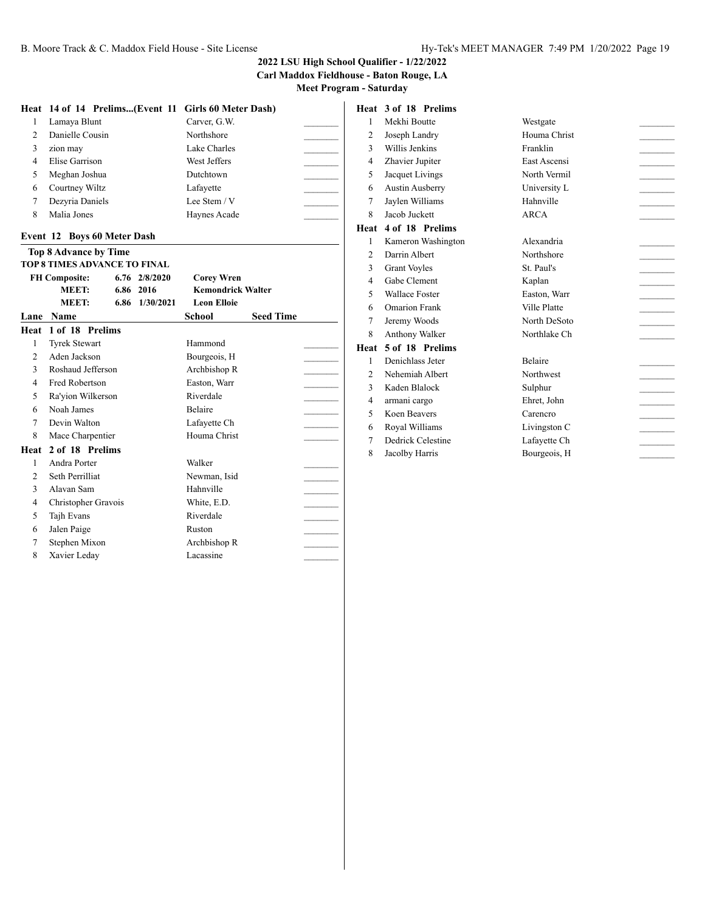**Carl Maddox Fieldhouse - Baton Rouge, LA Meet Program - Saturday**

|               | Heat 14 of 14 Prelims(Event 11 Girls 60 Meter Dash) |              |
|---------------|-----------------------------------------------------|--------------|
|               | Lamaya Blunt                                        | Carver, G.W. |
| $\mathcal{D}$ | Danielle Cousin                                     | Northshore   |
| 3             | zion may                                            | Lake Charles |
| 4             | Elise Garrison                                      | West Jeffers |
| 5             | Meghan Joshua                                       | Dutchtown    |
| 6             | Courtney Wiltz                                      | Lafayette    |
|               | Dezyria Daniels                                     | Lee Stem / V |
| 8             | Malia Jones                                         | Haynes Acade |

#### **Event 12 Boys 60 Meter Dash**

|                | <b>Top 8 Advance by Time</b>        |      |                   |                          |                  |  |
|----------------|-------------------------------------|------|-------------------|--------------------------|------------------|--|
|                | <b>TOP 8 TIMES ADVANCE TO FINAL</b> |      |                   |                          |                  |  |
|                | <b>FH Composite:</b>                |      | $6.76$ $2/8/2020$ | <b>Corey Wren</b>        |                  |  |
|                | <b>MEET:</b>                        | 6.86 | 2016              | <b>Kemondrick Walter</b> |                  |  |
|                | MEET:                               | 6.86 | 1/30/2021         | <b>Leon Elloie</b>       |                  |  |
| Lane           | Name                                |      |                   | <b>School</b>            | <b>Seed Time</b> |  |
| Heat           | 1 of 18 Prelims                     |      |                   |                          |                  |  |
| 1              | <b>Tyrek Stewart</b>                |      |                   | Hammond                  |                  |  |
| $\mathfrak{D}$ | Aden Jackson                        |      |                   | Bourgeois, H             |                  |  |
| 3              | Roshaud Jefferson                   |      |                   | Archbishop R             |                  |  |
| 4              | Fred Robertson                      |      |                   | Easton, Warr             |                  |  |
| 5              | Ra'yion Wilkerson                   |      |                   | Riverdale                |                  |  |
| 6              | Noah James                          |      |                   | <b>Belaire</b>           |                  |  |
| 7              | Devin Walton                        |      |                   | Lafayette Ch             |                  |  |
| 8              | Mace Charpentier                    |      |                   | Houma Christ             |                  |  |
| Heat           | 2 of 18 Prelims                     |      |                   |                          |                  |  |
| 1              | Andra Porter                        |      |                   | Walker                   |                  |  |
| $\mathfrak{D}$ | Seth Perrilliat                     |      |                   | Newman, Isid             |                  |  |
| 3              | Alavan Sam                          |      |                   | Hahnville                |                  |  |
| 4              | Christopher Gravois                 |      |                   | White, E.D.              |                  |  |
| 5              | Tajh Evans                          |      |                   | Riverdale                |                  |  |
| 6              | Jalen Paige                         |      |                   | Ruston                   |                  |  |
| 7              | Stephen Mixon                       |      |                   | Archbishop R             |                  |  |
| 8              | Xavier Leday                        |      |                   | Lacassine                |                  |  |

# **Heat 3 of 18 Prelims**

| 1              | Mekhi Boutte           | Westgate       |  |
|----------------|------------------------|----------------|--|
| $\overline{2}$ | Joseph Landry          | Houma Christ   |  |
| 3              | Willis Jenkins         | Franklin       |  |
| $\overline{4}$ | Zhavier Jupiter        | East Ascensi   |  |
| 5              | Jacquet Livings        | North Vermil   |  |
| 6              | <b>Austin Ausberry</b> | University L   |  |
| 7              | Jaylen Williams        | Hahnville      |  |
| 8              | Jacob Juckett          | <b>ARCA</b>    |  |
| Heat           | 4 of 18 Prelims        |                |  |
| 1              | Kameron Washington     | Alexandria     |  |
| $\overline{2}$ | Darrin Albert          | Northshore     |  |
| 3              | <b>Grant Voyles</b>    | St. Paul's     |  |
| $\overline{4}$ | Gabe Clement           | Kaplan         |  |
| 5              | <b>Wallace Foster</b>  | Easton, Warr   |  |
| 6              | <b>Omarion Frank</b>   | Ville Platte   |  |
| 7              | Jeremy Woods           | North DeSoto   |  |
| 8              | Anthony Walker         | Northlake Ch   |  |
| Heat           | 5 of 18 Prelims        |                |  |
| 1              | Denichlass Jeter       | <b>Belaire</b> |  |
| $\overline{2}$ | Nehemiah Albert        | Northwest      |  |
| 3              | Kaden Blalock          | Sulphur        |  |
| $\overline{4}$ | armani cargo           | Ehret, John    |  |
| 5              | Koen Beavers           | Carencro       |  |
| 6              | Royal Williams         | Livingston C   |  |
| 7              | Dedrick Celestine      | Lafayette Ch   |  |
| 8              | Jacolby Harris         | Bourgeois, H   |  |
|                |                        |                |  |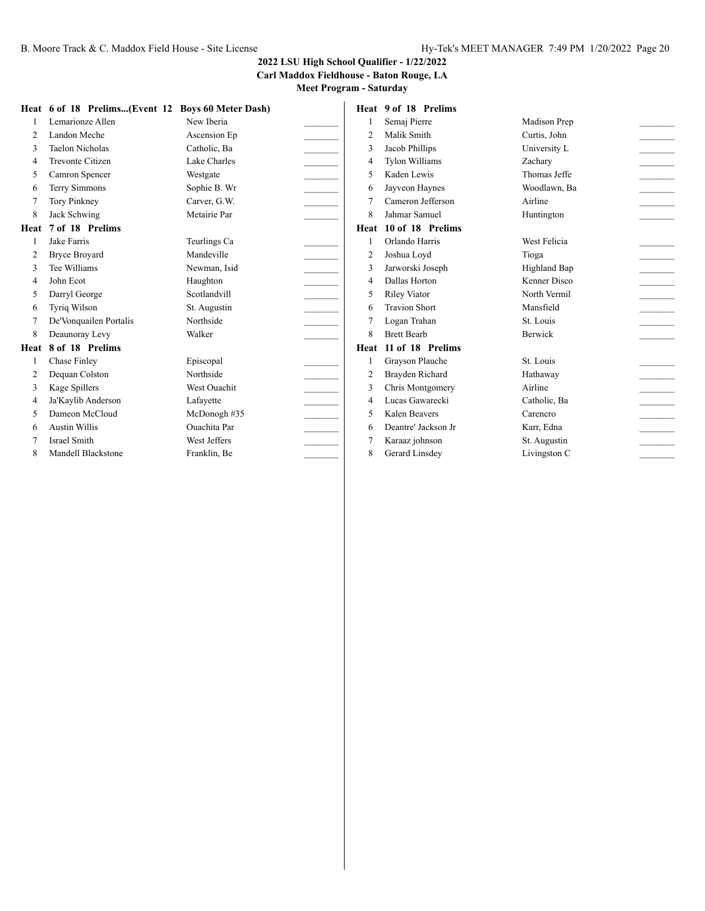#### **2022 LSU High School Qualifier - 1/22/2022 Carl Maddox Fieldhouse - Baton Rouge, LA**

|                | Heat 6 of 18 Prelims(Event 12 Boys 60 Meter Dash) |                     |                | Heat 9 of 18 Prelims  |                |                             |
|----------------|---------------------------------------------------|---------------------|----------------|-----------------------|----------------|-----------------------------|
|                | Lemarionze Allen                                  | New Iberia          |                | Semaj Pierre          | Madison Prep   |                             |
| $\overline{2}$ | Landon Meche                                      | Ascension Ep        | $\overline{2}$ | Malik Smith           | Curtis, John   |                             |
| 3              | <b>Taelon Nicholas</b>                            | Catholic, Ba        | 3              | Jacob Phillips        | University L   |                             |
| 4              | <b>Trevonte Citizen</b>                           | Lake Charles        | $\overline{4}$ | <b>Tylon Williams</b> | Zachary        | $\mathcal{L}^{\mathcal{L}}$ |
| 5              | Camron Spencer                                    | Westgate            | 5              | Kaden Lewis           | Thomas Jeffe   |                             |
| 6              | <b>Terry Simmons</b>                              | Sophie B. Wr        | 6              | Jayveon Haynes        | Woodlawn, Ba   |                             |
|                | <b>Tory Pinkney</b>                               | Carver, G.W.        |                | Cameron Jefferson     | Airline        |                             |
| 8              | Jack Schwing                                      | Metairie Par        | 8              | Jahmar Samuel         | Huntington     |                             |
| Heat           | 7 of 18 Prelims                                   |                     | Heat           | 10 of 18 Prelims      |                |                             |
|                | Jake Farris                                       | Teurlings Ca        |                | Orlando Harris        | West Felicia   |                             |
| $\overline{2}$ | <b>Bryce Broyard</b>                              | Mandeville          | $\overline{2}$ | Joshua Loyd           | Tioga          |                             |
| 3              | Tee Williams                                      | Newman, Isid        | 3              | Jarworski Joseph      | Highland Bap   |                             |
| $\Delta$       | John Ecot                                         | Haughton            | 4              | Dallas Horton         | Kenner Disco   | $\overline{\phantom{a}}$    |
| 5              | Darryl George                                     | Scotlandvill        | 5              | <b>Riley Viator</b>   | North Vermil   |                             |
| 6              | <b>Tyriq Wilson</b>                               | St. Augustin        | 6              | <b>Travion Short</b>  | Mansfield      |                             |
|                | De'Vonquailen Portalis                            | Northside           |                | Logan Trahan          | St. Louis      |                             |
| 8              | Deaunoray Levy                                    | Walker              | 8              | <b>Brett Bearb</b>    | <b>Berwick</b> |                             |
| Heat           | 8 of 18 Prelims                                   |                     | Heat           | 11 of 18 Prelims      |                |                             |
|                | Chase Finley                                      | Episcopal           |                | Grayson Plauche       | St. Louis      |                             |
| $\overline{2}$ | Dequan Colston                                    | Northside           | $\overline{2}$ | Brayden Richard       | Hathaway       |                             |
| 3              | Kage Spillers                                     | <b>West Ouachit</b> | 3              | Chris Montgomery      | Airline        |                             |
| 4              | Ja'Kaylib Anderson                                | Lafayette           | $\overline{4}$ | Lucas Gawarecki       | Catholic, Ba   |                             |
| 5              | Dameon McCloud                                    | McDonogh #35        | 5              | Kalen Beavers         | Carencro       |                             |
| 6              | <b>Austin Willis</b>                              | <b>Ouachita</b> Par | 6              | Deantre' Jackson Jr   | Karr, Edna     |                             |
|                | <b>Israel Smith</b>                               | West Jeffers        | 7              | Karaaz johnson        | St. Augustin   |                             |
| 8              | Mandell Blackstone                                | Franklin, Be        | 8              | Gerard Linsdey        | Livingston C   |                             |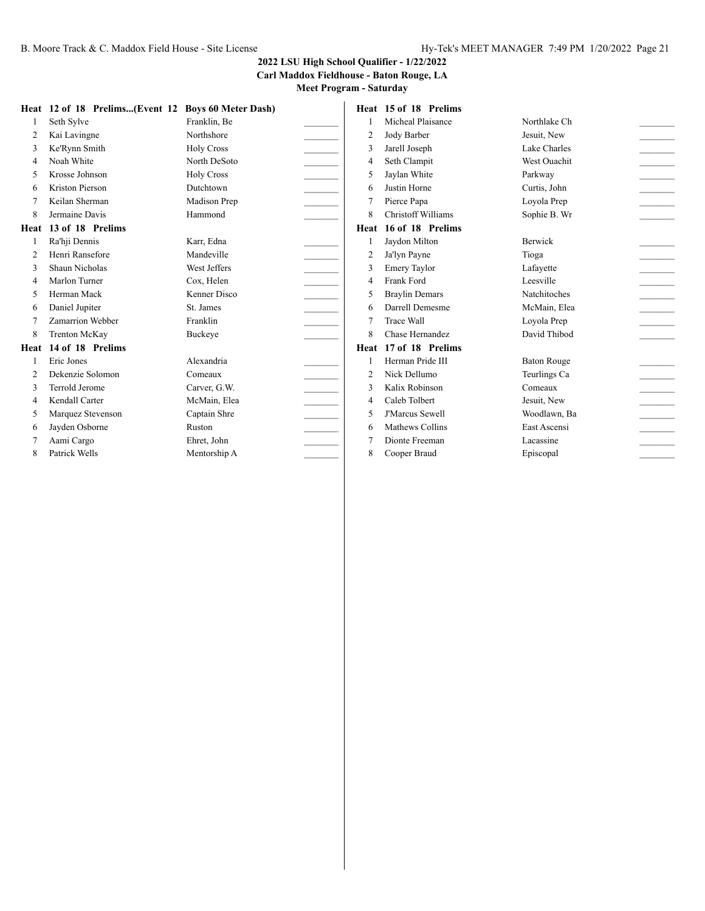#### **Carl Maddox Fieldhouse - Baton Rouge, LA Meet Program - Saturday**

|                | Heat 12 of 18 Prelims(Event 12 Boys 60 Meter Dash) |                   |                | Heat 15 of 18 Prelims     |                     |                                                                                             |
|----------------|----------------------------------------------------|-------------------|----------------|---------------------------|---------------------|---------------------------------------------------------------------------------------------|
|                | Seth Sylve                                         | Franklin, Be      |                | Micheal Plaisance         | Northlake Ch        |                                                                                             |
| 2              | Kai Lavingne                                       | Northshore        | $\overline{2}$ | Jody Barber               | Jesuit, New         |                                                                                             |
|                | Ke'Rynn Smith                                      | <b>Holy Cross</b> | $\mathcal{R}$  | Jarell Joseph             | Lake Charles        |                                                                                             |
| $\overline{4}$ | Noah White                                         | North DeSoto      | $\overline{4}$ | Seth Clampit              | West Ouachit        |                                                                                             |
| 5              | Krosse Johnson                                     | <b>Holy Cross</b> | 5              | Jaylan White              | Parkway             |                                                                                             |
| 6              | Kriston Pierson                                    | Dutchtown         | 6              | Justin Horne              | Curtis, John        |                                                                                             |
|                | Keilan Sherman                                     | Madison Prep      |                | Pierce Papa               | Loyola Prep         |                                                                                             |
| 8              | Jermaine Davis                                     | Hammond           | 8              | <b>Christoff Williams</b> | Sophie B. Wr        |                                                                                             |
| Heat           | 13 of 18 Prelims                                   |                   |                | Heat 16 of 18 Prelims     |                     |                                                                                             |
|                | Ra'hii Dennis                                      | Karr, Edna        |                | Jaydon Milton             | <b>Berwick</b>      |                                                                                             |
|                | Henri Ransefore                                    | Mandeville        |                | Ja'lyn Payne              | Tioga               | $\mathcal{L}^{\mathcal{L}}$ , and $\mathcal{L}^{\mathcal{L}}$                               |
| 3              | Shaun Nicholas                                     | West Jeffers      | 3              | <b>Emery Taylor</b>       | Lafayette           |                                                                                             |
| $\overline{4}$ | Marlon Turner                                      | Cox, Helen        | $\overline{4}$ | Frank Ford                | Leesville           |                                                                                             |
| 5              | Herman Mack                                        | Kenner Disco      | $\overline{2}$ | <b>Braylin Demars</b>     | <b>Natchitoches</b> | $\mathcal{L}^{\mathcal{L}}$ and $\mathcal{L}^{\mathcal{L}}$ and $\mathcal{L}^{\mathcal{L}}$ |
| 6              | Daniel Jupiter                                     | St. James         | 6              | Darrell Demesme           | McMain, Elea        |                                                                                             |
|                | Zamarrion Webber                                   | Franklin          |                | <b>Trace Wall</b>         | Loyola Prep         |                                                                                             |
| 8              | <b>Trenton McKay</b>                               | Buckeye           | 8              | Chase Hernandez           | David Thibod        |                                                                                             |
| Heat           | 14 of 18 Prelims                                   |                   | Heat           | 17 of 18 Prelims          |                     |                                                                                             |
|                | Eric Jones                                         | Alexandria        |                | Herman Pride III          | <b>Baton Rouge</b>  |                                                                                             |
|                | Dekenzie Solomon                                   | Comeaux           | $\overline{2}$ | Nick Dellumo              | Teurlings Ca        |                                                                                             |
| 3              | Terrold Jerome                                     | Carver, G.W.      | 3              | Kalix Robinson            | Comeaux             |                                                                                             |
| 4              | Kendall Carter                                     | McMain, Elea      | $\overline{4}$ | Caleb Tolbert             | Jesuit, New         | $\mathcal{L}_{\text{max}}$                                                                  |
| 5              | Marquez Stevenson                                  | Captain Shre      | $\overline{2}$ | <b>J'Marcus Sewell</b>    | Woodlawn, Ba        |                                                                                             |
| 6              | Jayden Osborne                                     | Ruston            | -6             | Mathews Collins           | East Ascensi        |                                                                                             |
|                | Aami Cargo                                         | Ehret, John       |                | Dionte Freeman            | Lacassine           |                                                                                             |
| 8              | Patrick Wells                                      | Mentorship A      | 8              | Cooper Braud              | Episcopal           |                                                                                             |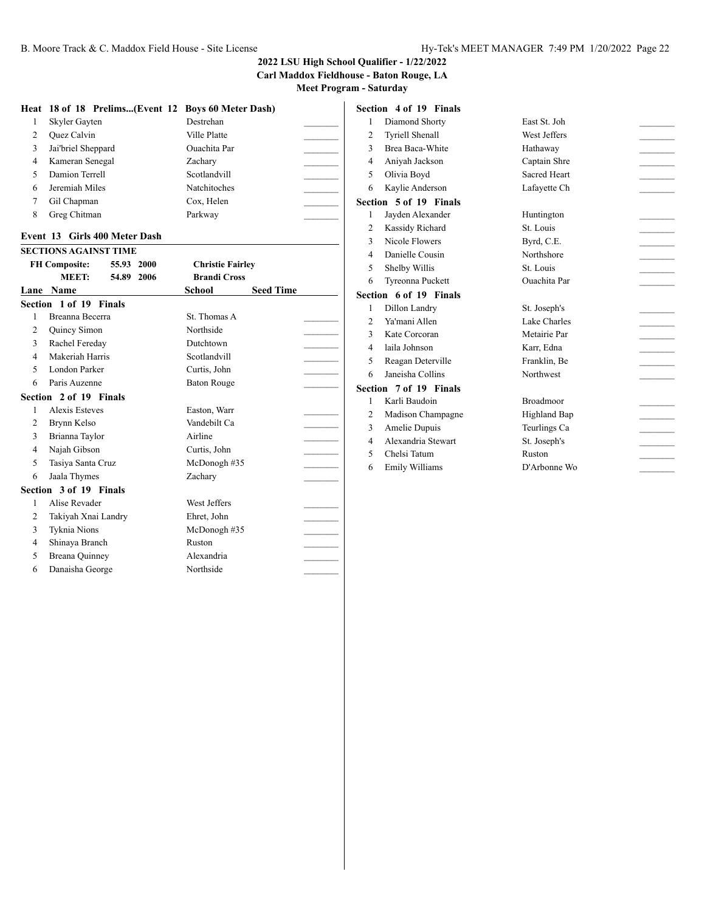#### **2022 LSU High School Qualifier - 1/22/2022**

**Carl Maddox Fieldhouse - Baton Rouge, LA**

| Heat | 18 of 18 Prelims(Event 12 Boys 60 Meter Dash) |                            |
|------|-----------------------------------------------|----------------------------|
| 1    | Skyler Gayten                                 | Destrehan                  |
| 2    | <b>Ouez</b> Calvin                            | Ville Platte               |
| 3    | Jai'briel Sheppard                            | <b>Ouachita</b> Par        |
| 4    | Kameran Senegal                               | Zachary                    |
| 5    | Damion Terrell                                | Scotlandvill               |
| 6    | Jeremiah Miles                                | Natchitoches               |
| 7    | Gil Chapman                                   | Cox, Helen                 |
| 8    | Greg Chitman                                  | Parkway                    |
|      | Event 13 Girls 400 Meter Dash                 |                            |
|      | <b>SECTIONS AGAINST TIME</b>                  |                            |
|      | <b>FH Composite:</b><br>55.93<br>2000         | <b>Christie Fairley</b>    |
|      | MEET:<br>54.89<br>2006                        | <b>Brandi Cross</b>        |
|      | Lane Name                                     | <b>Seed Time</b><br>School |
|      | Section 1 of 19 Finals                        |                            |
| 1    | Breanna Becerra                               | St. Thomas A               |
| 2    | Quincy Simon                                  | Northside                  |
| 3    | Rachel Fereday                                | Dutchtown                  |
| 4    | Makeriah Harris                               | Scotlandvill               |
| 5    | London Parker                                 | Curtis, John               |
| 6    | Paris Auzenne                                 | <b>Baton Rouge</b>         |
|      | Section 2 of 19 Finals                        |                            |
| 1    | <b>Alexis Esteves</b>                         | Easton, Warr               |
| 2    | Brynn Kelso                                   | Vandebilt Ca               |
| 3    | Brianna Taylor                                | Airline                    |
| 4    | Najah Gibson                                  | Curtis, John               |
| 5    | Tasiya Santa Cruz                             | McDonogh #35               |
| 6    | Jaala Thymes                                  | Zachary                    |
|      | Section 3 of 19 Finals                        |                            |
| 1    | Alise Revader                                 | West Jeffers               |
| 2    | Takiyah Xnai Landry                           | Ehret, John                |
| 3    | Tyknia Nions                                  | McDonogh #35               |
| 4    | Shinaya Branch                                | Ruston                     |
| 5    | Breana Quinney                                | Alexandria                 |
| 6    | Danaisha George                               | Northside                  |

|                | Section 4 of 19 Finals |                     |  |
|----------------|------------------------|---------------------|--|
| 1              | Diamond Shorty         | East St. Joh        |  |
| 2              | <b>Tyriell Shenall</b> | West Jeffers        |  |
| 3              | Brea Baca-White        | Hathaway            |  |
| 4              | Aniyah Jackson         | Captain Shre        |  |
| 5              | Olivia Boyd            | Sacred Heart        |  |
| 6              | Kaylie Anderson        | Lafayette Ch        |  |
|                | Section 5 of 19 Finals |                     |  |
| 1              | Jayden Alexander       | Huntington          |  |
| $\overline{2}$ | Kassidy Richard        | St. Louis           |  |
| $\mathcal{F}$  | Nicole Flowers         | Byrd, C.E.          |  |
| 4              | Danielle Cousin        | Northshore          |  |
| 5              | Shelby Willis          | St. Louis           |  |
| 6              | Tyreonna Puckett       | <b>Ouachita</b> Par |  |
|                | Section 6 of 19 Finals |                     |  |
| $\mathbf{1}$   | Dillon Landry          | St. Joseph's        |  |
| 2              | Ya'mani Allen          | Lake Charles        |  |
| 3              | Kate Corcoran          | Metairie Par        |  |
| 4              | laila Johnson          | Karr, Edna          |  |
| 5              | Reagan Deterville      | Franklin, Be        |  |
| 6              | Janeisha Collins       | Northwest           |  |
|                | Section 7 of 19 Finals |                     |  |
| $\mathbf{1}$   | Karli Baudoin          | <b>Broadmoor</b>    |  |
| 2              | Madison Champagne      | Highland Bap        |  |
| 3              | Amelie Dupuis          | Teurlings Ca        |  |
| 4              | Alexandria Stewart     | St. Joseph's        |  |
| 5              | Chelsi Tatum           | Ruston              |  |
|                |                        |                     |  |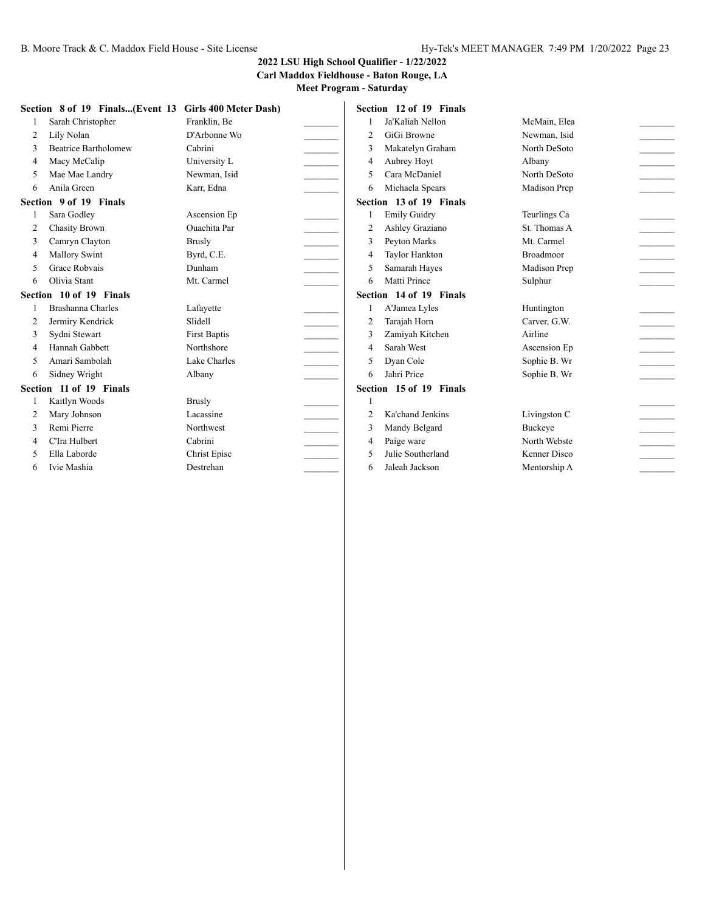#### **Carl Maddox Fieldhouse - Baton Rouge, LA**

|                          | Section 8 of 19 Finals(Event 13 | Girls 400 Meter Dash) |                | Section 12 of 19 Finals |                  |                            |
|--------------------------|---------------------------------|-----------------------|----------------|-------------------------|------------------|----------------------------|
|                          | Sarah Christopher               | Franklin, Be          |                | Ja'Kaliah Nellon        | McMain, Elea     |                            |
| 2                        | Lily Nolan                      | D'Arbonne Wo          | $\overline{2}$ | GiGi Browne             | Newman, Isid     |                            |
| $\mathcal{R}$            | <b>Beatrice Bartholomew</b>     | Cabrini               | 3              | Makatelyn Graham        | North DeSoto     |                            |
| $\overline{4}$           | Macy McCalip                    | University L          | $\overline{4}$ | Aubrey Hoyt             | Albany           |                            |
| 5                        | Mae Mae Landry                  | Newman, Isid          | $\overline{2}$ | Cara McDaniel           | North DeSoto     |                            |
| 6                        | Anila Green                     | Karr, Edna            | 6              | Michaela Spears         | Madison Prep     |                            |
|                          | Section 9 of 19 Finals          |                       |                | Section 13 of 19 Finals |                  |                            |
|                          | Sara Godley                     | Ascension Ep          |                | <b>Emily Guidry</b>     | Teurlings Ca     |                            |
| $\overline{2}$           | <b>Chasity Brown</b>            | <b>Ouachita</b> Par   | $\overline{2}$ | Ashley Graziano         | St. Thomas A     |                            |
| 3                        | Camryn Clayton                  | <b>Brusly</b>         | 3              | Peyton Marks            | Mt. Carmel       |                            |
| $\overline{4}$           | <b>Mallory Swint</b>            | Byrd, C.E.            | $\overline{4}$ | Taylor Hankton          | <b>Broadmoor</b> |                            |
| 5                        | Grace Robvais                   | Dunham                | 5              | Samarah Hayes           | Madison Prep     |                            |
| 6                        | Olivia Stant                    | Mt. Carmel            | 6              | Matti Prince            | Sulphur          |                            |
|                          | Section 10 of 19 Finals         |                       |                | Section 14 of 19 Finals |                  |                            |
|                          | Brashanna Charles               | Lafayette             |                | A'Jamea Lyles           | Huntington       |                            |
| 2                        | Jermiry Kendrick                | Slidell               | $\overline{2}$ | Tarajah Horn            | Carver, G.W.     |                            |
| 3                        | Sydni Stewart                   | <b>First Baptis</b>   | 3              | Zamiyah Kitchen         | Airline          |                            |
| 4                        | Hannah Gabbett                  | Northshore            | $\overline{4}$ | Sarah West              | Ascension Ep     | $\mathcal{L}_{\text{max}}$ |
| 5                        | Amari Sambolah                  | Lake Charles          | 5              | Dyan Cole               | Sophie B. Wr     |                            |
| 6                        | Sidney Wright                   | Albany                | 6              | Jahri Price             | Sophie B. Wr     |                            |
|                          | Section 11 of 19 Finals         |                       |                | Section 15 of 19 Finals |                  |                            |
|                          | Kaitlyn Woods                   | <b>Brusly</b>         |                |                         |                  |                            |
| 2                        | Mary Johnson                    | Lacassine             | $\overline{2}$ | Ka'chand Jenkins        | Livingston C     |                            |
| 3                        | Remi Pierre                     | Northwest             | 3              | Mandy Belgard           | <b>Buckeve</b>   |                            |
| $\overline{\mathcal{L}}$ | C'Ira Hulbert                   | Cabrini               | $\overline{4}$ | Paige ware              | North Webste     |                            |
| 5                        | Ella Laborde                    | Christ Episc          | 5              | Julie Southerland       | Kenner Disco     |                            |
| 6                        | Ivie Mashia                     | Destrehan             | 6              | Jaleah Jackson          | Mentorship A     |                            |
|                          |                                 |                       |                |                         |                  |                            |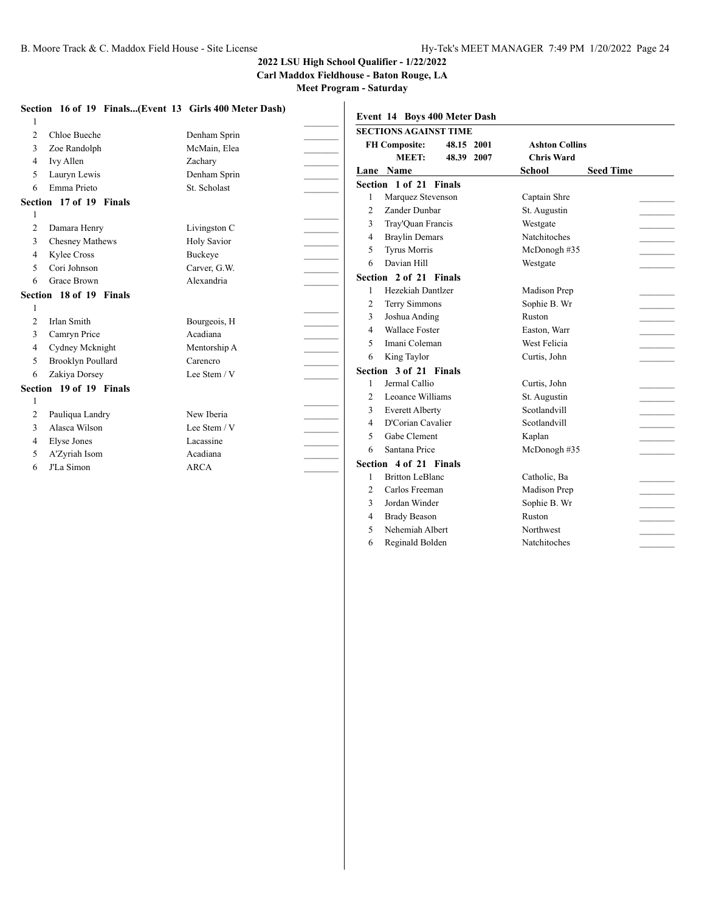**Carl Maddox Fieldhouse - Baton Rouge, LA**

**Meet Program - Saturday**

| Event 14 Boys 400 Meter Dash<br><b>SECTIONS AGAINST TIME</b><br>Chloe Bueche<br>Denham Sprin<br>2<br><b>FH Composite:</b><br>48.15<br>2001<br>McMain, Elea<br>Zoe Randolph<br>3<br>MEET:<br>48.39<br>2007<br>Zachary<br>Ivy Allen<br>4<br>Lane Name<br>Lauryn Lewis<br>Denham Sprin<br>5 | <b>Ashton Collins</b><br><b>Chris Ward</b><br><b>Seed Time</b><br><b>School</b> |
|------------------------------------------------------------------------------------------------------------------------------------------------------------------------------------------------------------------------------------------------------------------------------------------|---------------------------------------------------------------------------------|
|                                                                                                                                                                                                                                                                                          |                                                                                 |
|                                                                                                                                                                                                                                                                                          |                                                                                 |
|                                                                                                                                                                                                                                                                                          |                                                                                 |
|                                                                                                                                                                                                                                                                                          |                                                                                 |
| Section 1 of 21 Finals                                                                                                                                                                                                                                                                   |                                                                                 |
| Emma Prieto<br>St. Scholast<br>6<br>Marquez Stevenson                                                                                                                                                                                                                                    | Captain Shre                                                                    |
| Section 17 of 19 Finals<br>Zander Dunbar<br>$\overline{2}$                                                                                                                                                                                                                               | St. Augustin                                                                    |
| Tray'Ouan Francis<br>3                                                                                                                                                                                                                                                                   | Westgate                                                                        |
| Damara Henry<br>Livingston C<br>2<br><b>Braylin Demars</b><br>4                                                                                                                                                                                                                          | <b>Natchitoches</b>                                                             |
| Chesney Mathews<br><b>Holy Savior</b><br>3<br><b>Tyrus Morris</b><br>5                                                                                                                                                                                                                   | McDonogh #35                                                                    |
| Buckeye<br>Kylee Cross<br>4<br>Davian Hill<br>6                                                                                                                                                                                                                                          | Westgate                                                                        |
| Cori Johnson<br>Carver, G.W.<br>5<br>Section 2 of 21 Finals                                                                                                                                                                                                                              |                                                                                 |
| <b>Grace Brown</b><br>Alexandria<br>6<br>Hezekiah Dantlzer                                                                                                                                                                                                                               | Madison Prep                                                                    |
| Section 18 of 19 Finals<br>Terry Simmons<br>$\overline{2}$                                                                                                                                                                                                                               | Sophie B. Wr                                                                    |
| 3<br>Joshua Anding                                                                                                                                                                                                                                                                       | Ruston                                                                          |
| Irlan Smith<br>Bourgeois, H<br>$\overline{2}$<br><b>Wallace Foster</b><br>$\overline{4}$                                                                                                                                                                                                 | Easton, Warr                                                                    |
| Camryn Price<br>Acadiana<br>3<br>Imani Coleman<br>$\overline{2}$                                                                                                                                                                                                                         | West Felicia                                                                    |
| Cydney Mcknight<br>Mentorship A<br>4<br>King Taylor<br>6                                                                                                                                                                                                                                 | Curtis, John                                                                    |
| <b>Brooklyn Poullard</b><br>Carencro<br>5<br>Section 3 of 21 Finals                                                                                                                                                                                                                      |                                                                                 |
| Zakiya Dorsey<br>Lee Stem / V<br>6<br>Jermal Callio                                                                                                                                                                                                                                      | Curtis, John                                                                    |
| Section 19 of 19 Finals<br>Leoance Williams<br>2                                                                                                                                                                                                                                         | St. Augustin                                                                    |
| <b>Everett Alberty</b><br>3                                                                                                                                                                                                                                                              | Scotlandvill                                                                    |
| Pauliqua Landry<br>New Iberia<br>2<br>D'Corian Cavalier<br>$\overline{4}$                                                                                                                                                                                                                | Scotlandvill                                                                    |
| Alasca Wilson<br>Lee Stem / V<br>3<br>Gabe Clement<br>5                                                                                                                                                                                                                                  | Kaplan                                                                          |
| Lacassine<br>Elyse Jones<br>4<br>Santana Price<br>6                                                                                                                                                                                                                                      | McDonogh #35                                                                    |
| Acadiana<br>A'Zyriah Isom<br>5<br>Section 4 of 21 Finals                                                                                                                                                                                                                                 |                                                                                 |
| J'La Simon<br><b>ARCA</b><br>6<br><b>Britton LeBlanc</b>                                                                                                                                                                                                                                 | Catholic, Ba                                                                    |
| Carlos Freeman<br>$\overline{2}$                                                                                                                                                                                                                                                         | Madison Prep                                                                    |
| $\mathbf{3}$<br>Jordan Winder                                                                                                                                                                                                                                                            | Sophie B. Wr                                                                    |

4 Brady Beason Ruston 5 Nehemiah Albert Northwest Reginald Bolden Natchitoches \_\_\_\_\_\_\_\_\_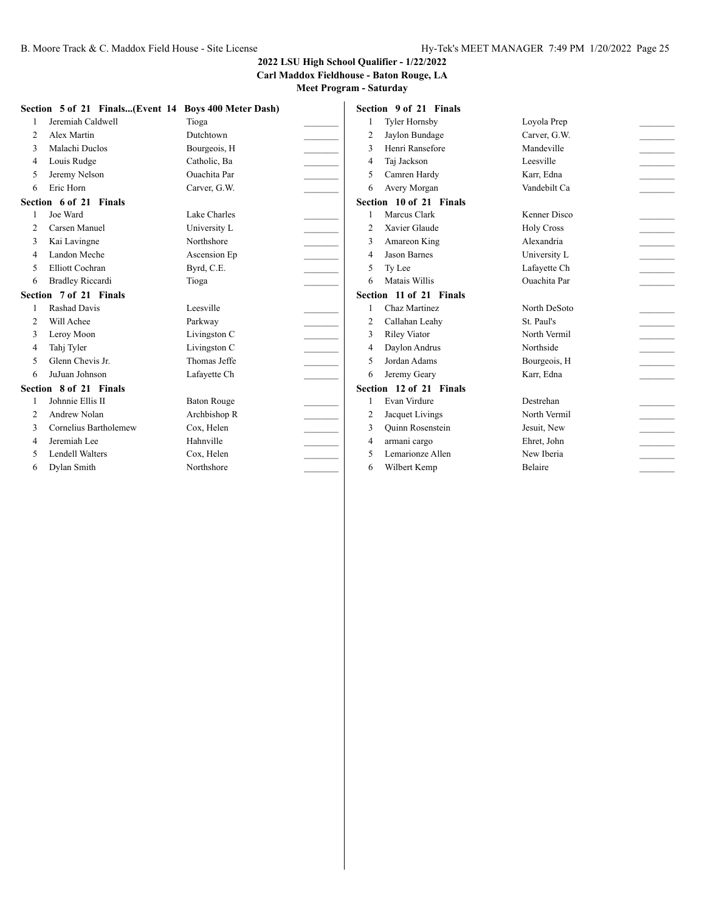**Carl Maddox Fieldhouse - Baton Rouge, LA**

|                | Section 5 of 21 Finals(Event 14 Boys 400 Meter Dash) |                     |                | Section 9 of 21 Finals  |                     |  |
|----------------|------------------------------------------------------|---------------------|----------------|-------------------------|---------------------|--|
|                | Jeremiah Caldwell                                    | Tioga               |                | Tyler Hornsby           | Loyola Prep         |  |
| $\overline{c}$ | Alex Martin                                          | Dutchtown           | $\overline{2}$ | Jaylon Bundage          | Carver, G.W.        |  |
| 3              | Malachi Duclos                                       | Bourgeois, H        | $\mathcal{R}$  | Henri Ransefore         | Mandeville          |  |
| 4              | Louis Rudge                                          | Catholic, Ba        | 4              | Taj Jackson             | Leesville           |  |
| 5              | Jeremy Nelson                                        | <b>Ouachita</b> Par | 5              | Camren Hardy            | Karr, Edna          |  |
| 6              | Eric Horn                                            | Carver, G.W.        | 6              | Avery Morgan            | Vandebilt Ca        |  |
|                | Section 6 of 21 Finals                               |                     |                | Section 10 of 21 Finals |                     |  |
|                | Joe Ward                                             | Lake Charles        |                | Marcus Clark            | Kenner Disco        |  |
| $\overline{2}$ | Carsen Manuel                                        | University L        | $\overline{2}$ | Xavier Glaude           | <b>Holy Cross</b>   |  |
| 3              | Kai Lavingne                                         | Northshore          | 3              | Amareon King            | Alexandria          |  |
| 4              | Landon Meche                                         | Ascension Ep        | $\overline{4}$ | <b>Jason Barnes</b>     | University L        |  |
| 5              | Elliott Cochran                                      | Byrd, C.E.          | 5              | Ty Lee                  | Lafayette Ch        |  |
| 6              | <b>Bradley Riccardi</b>                              | Tioga               | 6              | Matais Willis           | <b>Ouachita</b> Par |  |
|                | Section 7 of 21 Finals                               |                     |                | Section 11 of 21 Finals |                     |  |
|                | <b>Rashad Davis</b>                                  | Leesville           |                | Chaz Martinez           | North DeSoto        |  |
| $\mathfrak{D}$ | Will Achee                                           | Parkway             | $\overline{2}$ | Callahan Leahy          | St. Paul's          |  |
|                | Leroy Moon                                           | Livingston C        | 3              | <b>Riley Viator</b>     | North Vermil        |  |
| 4              | Tahj Tyler                                           | Livingston C        | 4              | Daylon Andrus           | Northside           |  |
|                | Glenn Chevis Jr.                                     | Thomas Jeffe        | 5              | Jordan Adams            | Bourgeois, H        |  |
| 6              | JuJuan Johnson                                       | Lafayette Ch        | 6              | Jeremy Geary            | Karr, Edna          |  |
|                | Section 8 of 21 Finals                               |                     |                | Section 12 of 21 Finals |                     |  |
|                | Johnnie Ellis II                                     | <b>Baton Rouge</b>  |                | Evan Virdure            | Destrehan           |  |
| 2              | Andrew Nolan                                         | Archbishop R        | $\overline{2}$ | Jacquet Livings         | North Vermil        |  |
|                | Cornelius Bartholemew                                | Cox, Helen          | 3              | <b>Ouinn Rosenstein</b> | Jesuit, New         |  |
| 4              | Jeremiah Lee                                         | Hahnville           | $\overline{4}$ | armani cargo            | Ehret, John         |  |
| 5              | Lendell Walters                                      | Cox, Helen          | $\overline{2}$ | Lemarionze Allen        | New Iberia          |  |
| 6              | Dylan Smith                                          | Northshore          | 6              | Wilbert Kemp            | Belaire             |  |
|                |                                                      |                     |                |                         |                     |  |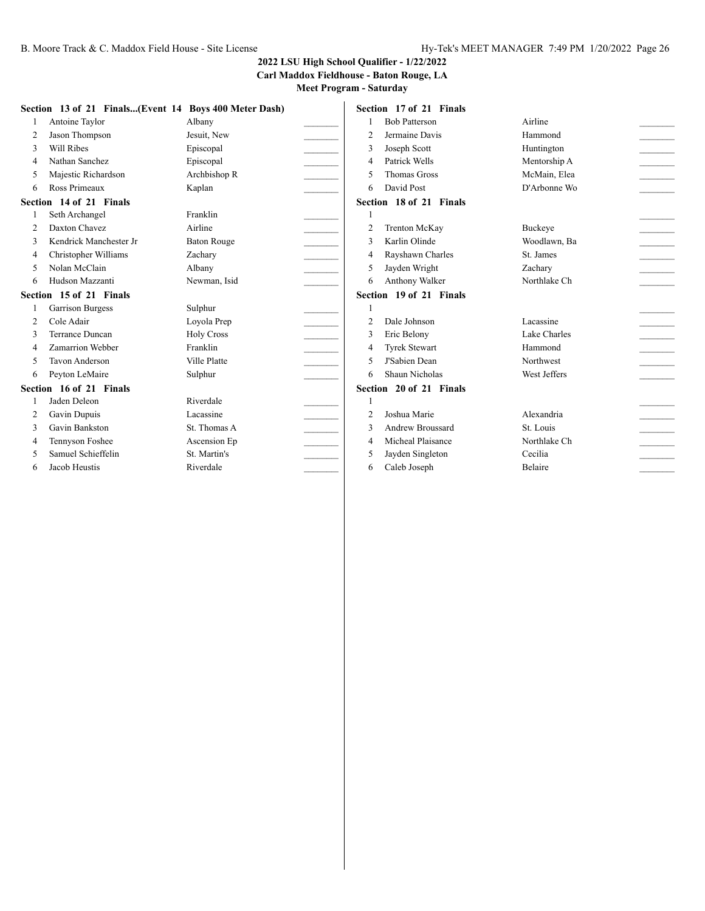#### **Carl Maddox Fieldhouse - Baton Rouge, LA**

|                          |                         | Section 13 of 21 Finals(Event 14 Boys 400 Meter Dash) |                | Section 17 of 21 Finals |                |                             |
|--------------------------|-------------------------|-------------------------------------------------------|----------------|-------------------------|----------------|-----------------------------|
|                          | Antoine Taylor          | Albany                                                |                | <b>Bob Patterson</b>    | Airline        |                             |
| $\overline{2}$           | Jason Thompson          | Jesuit. New                                           | $\overline{2}$ | Jermaine Davis          | Hammond        |                             |
| 3                        | Will Ribes              | Episcopal                                             | 3              | Joseph Scott            | Huntington     |                             |
| $\overline{4}$           | Nathan Sanchez          | Episcopal                                             | $\overline{4}$ | Patrick Wells           | Mentorship A   |                             |
| 5                        | Majestic Richardson     | Archbishop R                                          | 5              | <b>Thomas Gross</b>     | McMain, Elea   |                             |
| 6                        | Ross Primeaux           | Kaplan                                                | 6              | David Post              | D'Arbonne Wo   |                             |
|                          | Section 14 of 21 Finals |                                                       |                | Section 18 of 21 Finals |                |                             |
|                          | Seth Archangel          | Franklin                                              |                |                         |                |                             |
| $\mathfrak{D}$           | Daxton Chavez           | Airline                                               | $\overline{2}$ | <b>Trenton McKay</b>    | <b>Buckeye</b> |                             |
| 3                        | Kendrick Manchester Jr  | <b>Baton Rouge</b>                                    | $\mathbf{R}$   | Karlin Olinde           | Woodlawn, Ba   |                             |
| $\overline{\mathcal{L}}$ | Christopher Williams    | Zachary                                               | 4              | Rayshawn Charles        | St. James      |                             |
| $\varsigma$              | Nolan McClain           | Albany                                                | 5              | Jayden Wright           | Zachary        |                             |
| 6                        | Hudson Mazzanti         | Newman, Isid                                          | 6              | Anthony Walker          | Northlake Ch   |                             |
|                          | Section 15 of 21 Finals |                                                       |                | Section 19 of 21 Finals |                |                             |
|                          | <b>Garrison Burgess</b> | Sulphur                                               |                |                         |                |                             |
| $\overline{2}$           | Cole Adair              | Loyola Prep                                           | $\overline{2}$ | Dale Johnson            | Lacassine      |                             |
| 3                        | Terrance Duncan         | <b>Holy Cross</b>                                     | 3              | Eric Belony             | Lake Charles   | $\mathcal{L}^{\mathcal{L}}$ |
| $\Delta$                 | Zamarrion Webber        | Franklin                                              | 4              | <b>Tyrek Stewart</b>    | Hammond        | $\sim$                      |
| $\overline{\phantom{0}}$ | Tavon Anderson          | Ville Platte                                          | 5              | J'Sabien Dean           | Northwest      |                             |
| 6                        | Peyton LeMaire          | Sulphur                                               | 6              | Shaun Nicholas          | West Jeffers   |                             |
|                          | Section 16 of 21 Finals |                                                       |                | Section 20 of 21 Finals |                |                             |
|                          | Jaden Deleon            | Riverdale                                             |                |                         |                |                             |
| 2                        | Gavin Dupuis            | Lacassine                                             | $\overline{2}$ | Joshua Marie            | Alexandria     |                             |
| 3                        | Gavin Bankston          | St. Thomas A                                          | $\mathbf{R}$   | Andrew Broussard        | St. Louis      |                             |
| 4                        | Tennyson Foshee         | Ascension Ep                                          | $\overline{4}$ | Micheal Plaisance       | Northlake Ch   |                             |
| 5                        | Samuel Schieffelin      | St. Martin's                                          | 5              | Jayden Singleton        | Cecilia        |                             |
| 6                        | Jacob Heustis           | Riverdale                                             | 6              | Caleb Joseph            | <b>Belaire</b> |                             |
|                          |                         |                                                       |                |                         |                |                             |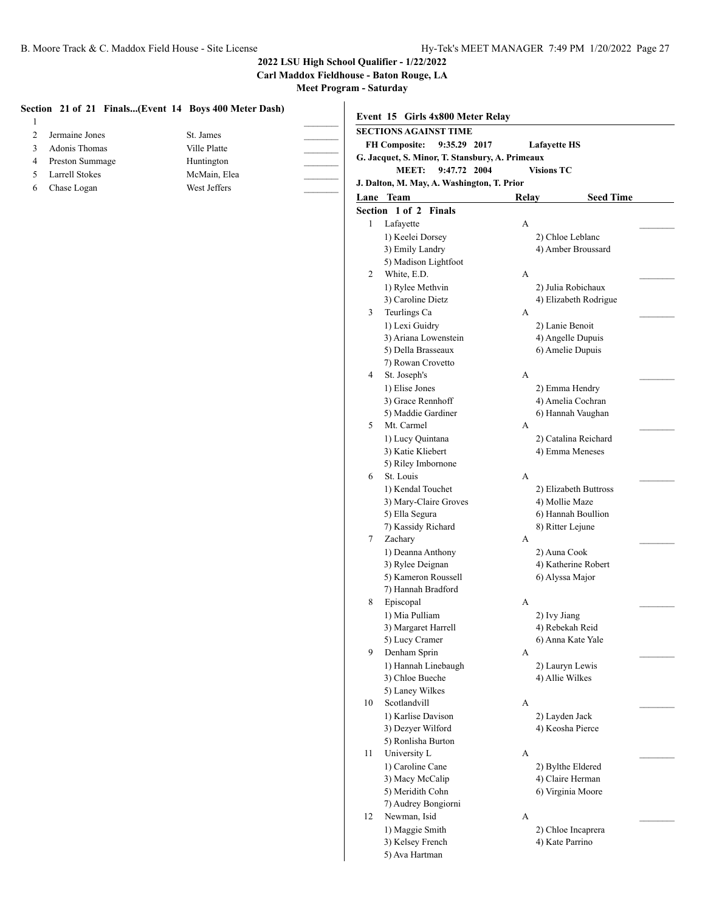**Carl Maddox Fieldhouse - Baton Rouge, LA**

|                 |              | Event 15 Girls 4x800 Meter Relay                                           |                                      |
|-----------------|--------------|----------------------------------------------------------------------------|--------------------------------------|
| Jermaine Jones  | St. James    | <b>SECTIONS AGAINST TIME</b>                                               |                                      |
| Adonis Thomas   | Ville Platte | <b>FH Composite:</b><br>9:35.29 2017                                       | <b>Lafayette HS</b>                  |
| Preston Summage | Huntington   | G. Jacquet, S. Minor, T. Stansbury, A. Primeaux                            |                                      |
| Larrell Stokes  | McMain, Elea | <b>MEET:</b><br>9:47.72 2004<br>J. Dalton, M. May, A. Washington, T. Prior | <b>Visions TC</b>                    |
| Chase Logan     | West Jeffers |                                                                            |                                      |
|                 |              | Lane Team                                                                  | <b>Seed Time</b><br>Relay            |
|                 |              | Section 1 of 2 Finals                                                      |                                      |
|                 |              | Lafayette<br>$\mathbf{1}$                                                  | A                                    |
|                 |              | 1) Keelei Dorsey                                                           | 2) Chloe Leblanc                     |
|                 |              | 3) Emily Landry<br>5) Madison Lightfoot                                    | 4) Amber Broussard                   |
|                 |              | White, E.D.<br>2                                                           | А                                    |
|                 |              | 1) Rylee Methvin                                                           | 2) Julia Robichaux                   |
|                 |              | 3) Caroline Dietz                                                          | 4) Elizabeth Rodrigue                |
|                 |              | Teurlings Ca<br>3                                                          | А                                    |
|                 |              | 1) Lexi Guidry                                                             | 2) Lanie Benoit                      |
|                 |              | 3) Ariana Lowenstein                                                       | 4) Angelle Dupuis                    |
|                 |              | 5) Della Brasseaux                                                         | 6) Amelie Dupuis                     |
|                 |              | 7) Rowan Crovetto                                                          |                                      |
|                 |              | St. Joseph's<br>4                                                          | А                                    |
|                 |              | 1) Elise Jones                                                             | 2) Emma Hendry                       |
|                 |              | 3) Grace Rennhoff                                                          | 4) Amelia Cochran                    |
|                 |              | 5) Maddie Gardiner                                                         | 6) Hannah Vaughan                    |
|                 |              | Mt. Carmel<br>5                                                            | A                                    |
|                 |              | 1) Lucy Quintana                                                           | 2) Catalina Reichard                 |
|                 |              | 3) Katie Kliebert                                                          | 4) Emma Meneses                      |
|                 |              | 5) Riley Imbornone                                                         |                                      |
|                 |              | St. Louis<br>6                                                             | А                                    |
|                 |              | 1) Kendal Touchet                                                          | 2) Elizabeth Buttross                |
|                 |              | 3) Mary-Claire Groves                                                      | 4) Mollie Maze                       |
|                 |              | 5) Ella Segura                                                             | 6) Hannah Boullion                   |
|                 |              | 7) Kassidy Richard                                                         | 8) Ritter Lejune                     |
|                 |              | Zachary<br>7                                                               | А                                    |
|                 |              | 1) Deanna Anthony                                                          | 2) Auna Cook                         |
|                 |              | 3) Rylee Deignan                                                           | 4) Katherine Robert                  |
|                 |              | 5) Kameron Roussell                                                        | 6) Alyssa Major                      |
|                 |              | 7) Hannah Bradford                                                         |                                      |
|                 |              | Episcopal<br>8                                                             | А                                    |
|                 |              | 1) Mia Pulliam                                                             | 2) Ivy Jiang                         |
|                 |              | 3) Margaret Harrell<br>5) Lucy Cramer                                      | 4) Rebekah Reid<br>6) Anna Kate Yale |
|                 |              | Denham Sprin<br>9                                                          | A                                    |
|                 |              | 1) Hannah Linebaugh                                                        | 2) Lauryn Lewis                      |
|                 |              | 3) Chloe Bueche                                                            | 4) Allie Wilkes                      |
|                 |              | 5) Laney Wilkes                                                            |                                      |
|                 |              | Scotlandvill<br>10                                                         | A                                    |
|                 |              | 1) Karlise Davison                                                         | 2) Layden Jack                       |
|                 |              | 3) Dezyer Wilford                                                          | 4) Keosha Pierce                     |
|                 |              | 5) Ronlisha Burton                                                         |                                      |
|                 |              | University L<br>11                                                         | A                                    |
|                 |              | 1) Caroline Cane                                                           | 2) Bylthe Eldered                    |
|                 |              | 3) Macy McCalip                                                            | 4) Claire Herman                     |
|                 |              | 5) Meridith Cohn                                                           | 6) Virginia Moore                    |
|                 |              | 7) Audrey Bongiorni                                                        |                                      |
|                 |              | Newman, Isid<br>12                                                         | A                                    |
|                 |              | 1) Maggie Smith                                                            | 2) Chloe Incaprera                   |
|                 |              | 3) Kelsey French                                                           | 4) Kate Parrino                      |
|                 |              | 5) Ava Hartman                                                             |                                      |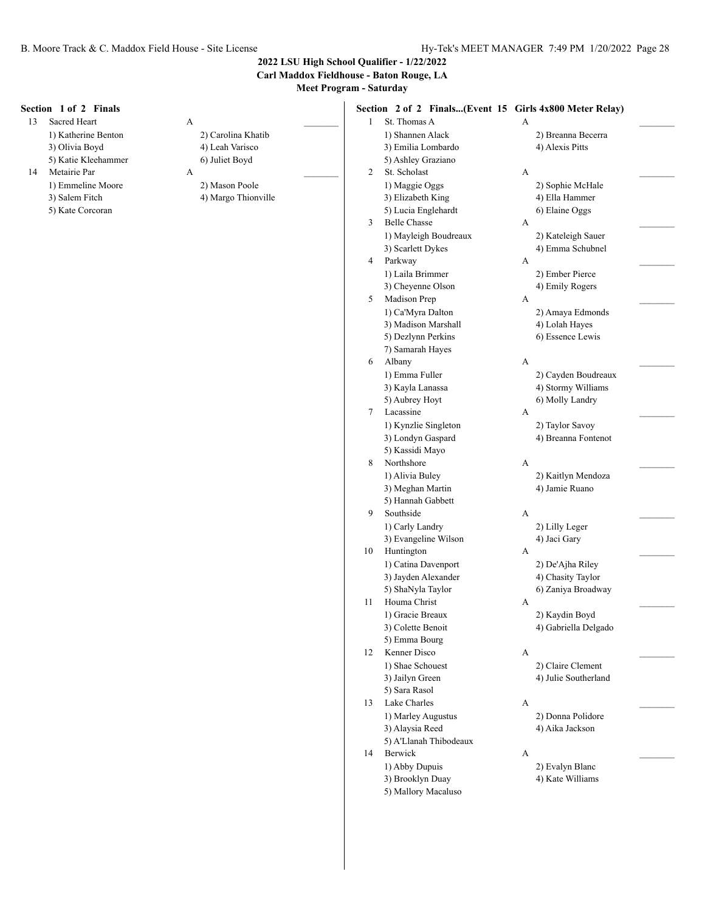**Carl Maddox Fieldhouse - Baton Rouge, LA**

| Section 1 of 2 Finals |                     | Section 2 of 2 Finals(Event 15 Girls 4x800 Meter Relay) |                                         |
|-----------------------|---------------------|---------------------------------------------------------|-----------------------------------------|
| Sacred Heart<br>13    | A                   | St. Thomas A<br>$\mathbf{1}$                            | $\mathbf{A}$                            |
| 1) Katherine Benton   | 2) Carolina Khatib  | 1) Shannen Alack                                        | 2) Breanna Becerra                      |
| 3) Olivia Boyd        | 4) Leah Varisco     | 3) Emilia Lombardo                                      | 4) Alexis Pitts                         |
| 5) Katie Kleehammer   | 6) Juliet Boyd      | 5) Ashley Graziano                                      |                                         |
| Metairie Par<br>14    | A                   | St. Scholast<br>$\overline{c}$                          | A                                       |
| 1) Emmeline Moore     | 2) Mason Poole      | 1) Maggie Oggs                                          | 2) Sophie McHale                        |
| 3) Salem Fitch        | 4) Margo Thionville | 3) Elizabeth King                                       | 4) Ella Hammer                          |
| 5) Kate Corcoran      |                     | 5) Lucia Englehardt                                     | 6) Elaine Oggs                          |
|                       |                     | <b>Belle Chasse</b><br>3                                | A                                       |
|                       |                     | 1) Mayleigh Boudreaux                                   | 2) Kateleigh Sauer                      |
|                       |                     | 3) Scarlett Dykes                                       | 4) Emma Schubnel                        |
|                       |                     | Parkway<br>4                                            | A                                       |
|                       |                     | 1) Laila Brimmer                                        | 2) Ember Pierce                         |
|                       |                     | 3) Cheyenne Olson                                       | 4) Emily Rogers                         |
|                       |                     | Madison Prep<br>5                                       | А                                       |
|                       |                     | 1) Ca'Myra Dalton                                       | 2) Amaya Edmonds                        |
|                       |                     | 3) Madison Marshall                                     | 4) Lolah Hayes                          |
|                       |                     | 5) Dezlynn Perkins                                      | 6) Essence Lewis                        |
|                       |                     | 7) Samarah Hayes                                        |                                         |
|                       |                     | Albany<br>6                                             | A                                       |
|                       |                     | 1) Emma Fuller                                          | 2) Cayden Boudreaux                     |
|                       |                     | 3) Kayla Lanassa                                        | 4) Stormy Williams                      |
|                       |                     | 5) Aubrey Hoyt                                          | 6) Molly Landry                         |
|                       |                     | Lacassine<br>7                                          |                                         |
|                       |                     |                                                         | A                                       |
|                       |                     | 1) Kynzlie Singleton                                    | 2) Taylor Savoy                         |
|                       |                     | 3) Londyn Gaspard                                       | 4) Breanna Fontenot                     |
|                       |                     | 5) Kassidi Mayo<br>Northshore                           |                                         |
|                       |                     | 8                                                       | A                                       |
|                       |                     | 1) Alivia Buley                                         | 2) Kaitlyn Mendoza                      |
|                       |                     | 3) Meghan Martin                                        | 4) Jamie Ruano                          |
|                       |                     | 5) Hannah Gabbett                                       |                                         |
|                       |                     | Southside<br>9                                          | A                                       |
|                       |                     | 1) Carly Landry                                         | 2) Lilly Leger                          |
|                       |                     | 3) Evangeline Wilson<br>10                              | 4) Jaci Gary<br>A                       |
|                       |                     | Huntington                                              |                                         |
|                       |                     | 1) Catina Davenport                                     | 2) De'Ajha Riley                        |
|                       |                     | 3) Jayden Alexander<br>5) ShaNyla Taylor                | 4) Chasity Taylor<br>6) Zaniya Broadway |
|                       |                     | Houma Christ<br>11                                      |                                         |
|                       |                     |                                                         | A                                       |
|                       |                     | 1) Gracie Breaux<br>3) Colette Benoit                   | 2) Kaydin Boyd<br>4) Gabriella Delgado  |
|                       |                     | 5) Emma Bourg                                           |                                         |
|                       |                     | Kenner Disco<br>12                                      | A                                       |
|                       |                     | 1) Shae Schouest                                        | 2) Claire Clement                       |
|                       |                     | 3) Jailyn Green                                         | 4) Julie Southerland                    |
|                       |                     | 5) Sara Rasol                                           |                                         |
|                       |                     | Lake Charles<br>13                                      | $\mathbf{A}$                            |
|                       |                     | 1) Marley Augustus                                      | 2) Donna Polidore                       |
|                       |                     | 3) Alaysia Reed                                         | 4) Aika Jackson                         |
|                       |                     | 5) A'Llanah Thibodeaux                                  |                                         |
|                       |                     | Berwick<br>14                                           | A                                       |
|                       |                     | 1) Abby Dupuis                                          | 2) Evalyn Blanc                         |
|                       |                     | 3) Brooklyn Duay                                        | 4) Kate Williams                        |
|                       |                     | 5) Mallory Macaluso                                     |                                         |
|                       |                     |                                                         |                                         |
|                       |                     |                                                         |                                         |
|                       |                     |                                                         |                                         |
|                       |                     |                                                         |                                         |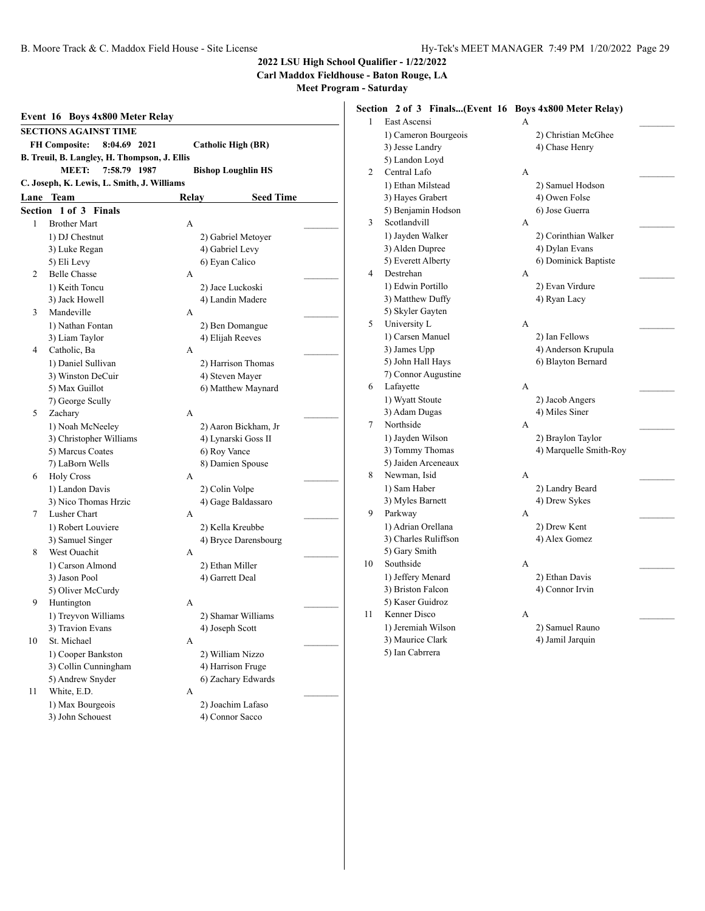**Carl Maddox Fieldhouse - Baton Rouge, LA**

|         | Event 16 Boys 4x800 Meter Relay                     |                 |                                      |  |
|---------|-----------------------------------------------------|-----------------|--------------------------------------|--|
|         | <b>SECTIONS AGAINST TIME</b>                        |                 |                                      |  |
|         | <b>FH Composite:</b><br>8:04.69 2021                |                 | <b>Catholic High (BR)</b>            |  |
|         | B. Treuil, B. Langley, H. Thompson, J. Ellis        |                 |                                      |  |
|         | MEET:<br>7:58.79 1987                               |                 | <b>Bishop Loughlin HS</b>            |  |
|         | C. Joseph, K. Lewis, L. Smith, J. Williams          |                 |                                      |  |
|         | <b>Lane Team</b>                                    | Relay           | <b>Seed Time</b>                     |  |
| Section | <b>Finals</b><br>$1$ of $3$                         |                 |                                      |  |
| 1       | <b>Brother Mart</b>                                 | A               |                                      |  |
|         | 1) DJ Chestnut                                      |                 | 2) Gabriel Metoyer                   |  |
|         | 3) Luke Regan                                       |                 | 4) Gabriel Levy                      |  |
|         | 5) Eli Levy                                         | 6) Eyan Calico  |                                      |  |
| 2       | <b>Belle Chasse</b>                                 | А               |                                      |  |
|         | 1) Keith Toncu                                      |                 | 2) Jace Luckoski                     |  |
|         | 3) Jack Howell                                      |                 | 4) Landin Madere                     |  |
| 3       | Mandeville                                          | А               |                                      |  |
|         | 1) Nathan Fontan                                    |                 | 2) Ben Domangue                      |  |
|         | 3) Liam Taylor                                      |                 | 4) Elijah Reeves                     |  |
| 4       | Catholic, Ba                                        | А               |                                      |  |
|         | 1) Daniel Sullivan                                  |                 | 2) Harrison Thomas                   |  |
|         | 3) Winston DeCuir                                   |                 | 4) Steven Mayer                      |  |
|         | 5) Max Guillot                                      |                 | 6) Matthew Maynard                   |  |
|         | 7) George Scully                                    |                 |                                      |  |
| 5       | Zachary                                             | A               |                                      |  |
|         | 1) Noah McNeeley                                    |                 | 2) Aaron Bickham, Jr                 |  |
|         | 3) Christopher Williams                             |                 | 4) Lynarski Goss II                  |  |
|         | 5) Marcus Coates                                    | 6) Roy Vance    |                                      |  |
|         | 7) LaBorn Wells                                     |                 | 8) Damien Spouse                     |  |
| 6       | <b>Holy Cross</b>                                   | А               |                                      |  |
|         | 1) Landon Davis                                     | 2) Colin Volpe  |                                      |  |
|         | 3) Nico Thomas Hrzic                                |                 | 4) Gage Baldassaro                   |  |
| 7       | Lusher Chart                                        | А               |                                      |  |
|         | 1) Robert Louviere                                  |                 | 2) Kella Kreubbe                     |  |
|         | 3) Samuel Singer                                    |                 | 4) Bryce Darensbourg                 |  |
| 8       | West Ouachit                                        | A               |                                      |  |
|         | 1) Carson Almond                                    |                 | 2) Ethan Miller                      |  |
|         | 3) Jason Pool                                       | 4) Garrett Deal |                                      |  |
|         | 5) Oliver McCurdy                                   |                 |                                      |  |
| 9       | Huntington                                          | A               |                                      |  |
|         | 1) Treyvon Williams                                 |                 | 2) Shamar Williams                   |  |
|         | 3) Travion Evans                                    | 4) Joseph Scott |                                      |  |
| 10      | St. Michael                                         | А               |                                      |  |
|         | 1) Cooper Bankston                                  |                 | 2) William Nizzo                     |  |
|         | 3) Collin Cunningham                                |                 | 4) Harrison Fruge                    |  |
|         | 5) Andrew Snyder                                    |                 | 6) Zachary Edwards                   |  |
|         |                                                     |                 |                                      |  |
|         |                                                     |                 |                                      |  |
|         |                                                     |                 |                                      |  |
| 11      | White, E.D.<br>1) Max Bourgeois<br>3) John Schouest | А               | 2) Joachim Lafaso<br>4) Connor Sacco |  |

| 1) Cameron Bourgeois |                                                                                                                                                                                                                                                                                                                                 |                                                                                                                                                                                                                                                                                                                                                             |
|----------------------|---------------------------------------------------------------------------------------------------------------------------------------------------------------------------------------------------------------------------------------------------------------------------------------------------------------------------------|-------------------------------------------------------------------------------------------------------------------------------------------------------------------------------------------------------------------------------------------------------------------------------------------------------------------------------------------------------------|
|                      |                                                                                                                                                                                                                                                                                                                                 |                                                                                                                                                                                                                                                                                                                                                             |
|                      |                                                                                                                                                                                                                                                                                                                                 |                                                                                                                                                                                                                                                                                                                                                             |
| Central Lafo         | A                                                                                                                                                                                                                                                                                                                               |                                                                                                                                                                                                                                                                                                                                                             |
| 1) Ethan Milstead    | 2) Samuel Hodson                                                                                                                                                                                                                                                                                                                |                                                                                                                                                                                                                                                                                                                                                             |
| 3) Hayes Grabert     | 4) Owen Folse                                                                                                                                                                                                                                                                                                                   |                                                                                                                                                                                                                                                                                                                                                             |
| 5) Benjamin Hodson   | 6) Jose Guerra                                                                                                                                                                                                                                                                                                                  |                                                                                                                                                                                                                                                                                                                                                             |
| Scotlandvill         | A                                                                                                                                                                                                                                                                                                                               |                                                                                                                                                                                                                                                                                                                                                             |
| 1) Jayden Walker     |                                                                                                                                                                                                                                                                                                                                 |                                                                                                                                                                                                                                                                                                                                                             |
| 3) Alden Dupree      | 4) Dylan Evans                                                                                                                                                                                                                                                                                                                  |                                                                                                                                                                                                                                                                                                                                                             |
| 5) Everett Alberty   |                                                                                                                                                                                                                                                                                                                                 |                                                                                                                                                                                                                                                                                                                                                             |
| Destrehan            | A                                                                                                                                                                                                                                                                                                                               |                                                                                                                                                                                                                                                                                                                                                             |
| 1) Edwin Portillo    | 2) Evan Virdure                                                                                                                                                                                                                                                                                                                 |                                                                                                                                                                                                                                                                                                                                                             |
| 3) Matthew Duffy     | 4) Ryan Lacy                                                                                                                                                                                                                                                                                                                    |                                                                                                                                                                                                                                                                                                                                                             |
|                      |                                                                                                                                                                                                                                                                                                                                 |                                                                                                                                                                                                                                                                                                                                                             |
| University L         | A                                                                                                                                                                                                                                                                                                                               |                                                                                                                                                                                                                                                                                                                                                             |
| 1) Carsen Manuel     |                                                                                                                                                                                                                                                                                                                                 |                                                                                                                                                                                                                                                                                                                                                             |
| 3) James Upp         |                                                                                                                                                                                                                                                                                                                                 |                                                                                                                                                                                                                                                                                                                                                             |
|                      |                                                                                                                                                                                                                                                                                                                                 |                                                                                                                                                                                                                                                                                                                                                             |
|                      |                                                                                                                                                                                                                                                                                                                                 |                                                                                                                                                                                                                                                                                                                                                             |
| Lafayette            | A                                                                                                                                                                                                                                                                                                                               |                                                                                                                                                                                                                                                                                                                                                             |
| 1) Wyatt Stoute      | 2) Jacob Angers                                                                                                                                                                                                                                                                                                                 |                                                                                                                                                                                                                                                                                                                                                             |
| 3) Adam Dugas        | 4) Miles Siner                                                                                                                                                                                                                                                                                                                  |                                                                                                                                                                                                                                                                                                                                                             |
| Northside            | A                                                                                                                                                                                                                                                                                                                               |                                                                                                                                                                                                                                                                                                                                                             |
|                      |                                                                                                                                                                                                                                                                                                                                 |                                                                                                                                                                                                                                                                                                                                                             |
|                      |                                                                                                                                                                                                                                                                                                                                 |                                                                                                                                                                                                                                                                                                                                                             |
| 5) Jaiden Arceneaux  |                                                                                                                                                                                                                                                                                                                                 |                                                                                                                                                                                                                                                                                                                                                             |
| Newman, Isid         | A                                                                                                                                                                                                                                                                                                                               |                                                                                                                                                                                                                                                                                                                                                             |
| 1) Sam Haber         |                                                                                                                                                                                                                                                                                                                                 |                                                                                                                                                                                                                                                                                                                                                             |
|                      |                                                                                                                                                                                                                                                                                                                                 |                                                                                                                                                                                                                                                                                                                                                             |
| Parkway              | А                                                                                                                                                                                                                                                                                                                               |                                                                                                                                                                                                                                                                                                                                                             |
|                      |                                                                                                                                                                                                                                                                                                                                 |                                                                                                                                                                                                                                                                                                                                                             |
|                      | 4) Alex Gomez                                                                                                                                                                                                                                                                                                                   |                                                                                                                                                                                                                                                                                                                                                             |
|                      |                                                                                                                                                                                                                                                                                                                                 |                                                                                                                                                                                                                                                                                                                                                             |
| Southside            | A                                                                                                                                                                                                                                                                                                                               |                                                                                                                                                                                                                                                                                                                                                             |
|                      |                                                                                                                                                                                                                                                                                                                                 |                                                                                                                                                                                                                                                                                                                                                             |
|                      |                                                                                                                                                                                                                                                                                                                                 |                                                                                                                                                                                                                                                                                                                                                             |
|                      |                                                                                                                                                                                                                                                                                                                                 |                                                                                                                                                                                                                                                                                                                                                             |
| Kenner Disco         | A                                                                                                                                                                                                                                                                                                                               |                                                                                                                                                                                                                                                                                                                                                             |
|                      | 2) Samuel Rauno                                                                                                                                                                                                                                                                                                                 |                                                                                                                                                                                                                                                                                                                                                             |
|                      |                                                                                                                                                                                                                                                                                                                                 |                                                                                                                                                                                                                                                                                                                                                             |
| 3) Maurice Clark     | 4) Jamil Jarquin                                                                                                                                                                                                                                                                                                                |                                                                                                                                                                                                                                                                                                                                                             |
|                      | East Ascensi<br>3) Jesse Landry<br>5) Landon Loyd<br>5) Skyler Gayten<br>5) John Hall Hays<br>7) Connor Augustine<br>1) Jayden Wilson<br>3) Tommy Thomas<br>3) Myles Barnett<br>1) Adrian Orellana<br>3) Charles Ruliffson<br>5) Gary Smith<br>1) Jeffery Menard<br>3) Briston Falcon<br>5) Kaser Guidroz<br>1) Jeremiah Wilson | Section 2 of 3 Finals(Event 16 Boys 4x800 Meter Relay)<br>A<br>2) Christian McGhee<br>4) Chase Henry<br>2) Corinthian Walker<br>6) Dominick Baptiste<br>2) Ian Fellows<br>4) Anderson Krupula<br>6) Blayton Bernard<br>2) Braylon Taylor<br>4) Marquelle Smith-Roy<br>2) Landry Beard<br>4) Drew Sykes<br>2) Drew Kent<br>2) Ethan Davis<br>4) Connor Irvin |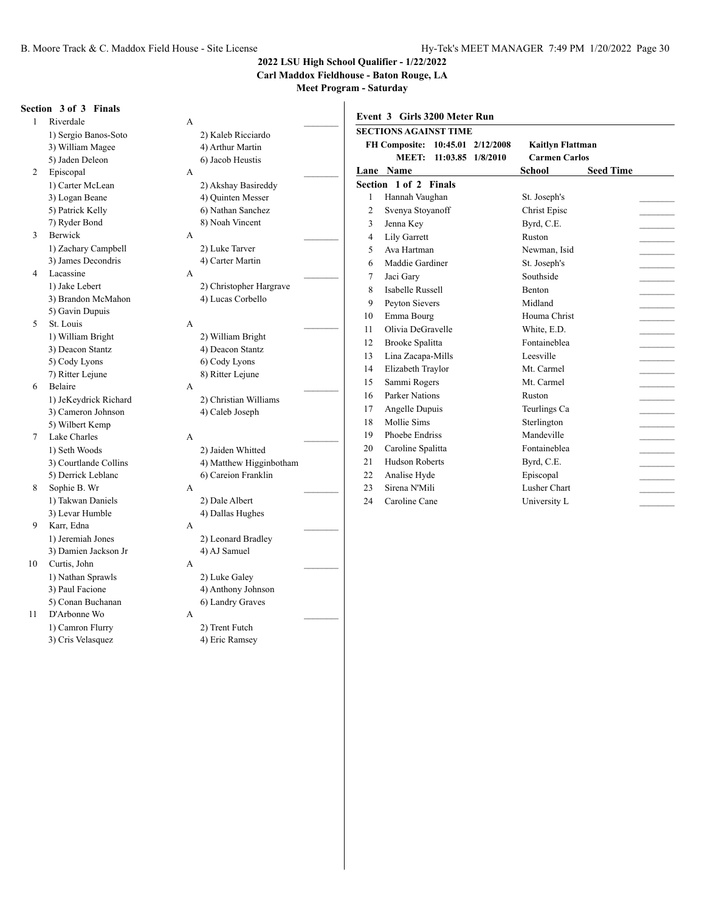**Carl Maddox Fieldhouse - Baton Rouge, LA**

**Meet Program - Saturday**  $\overline{1}$ 

|                | Section 3 of 3 Finals |                         |                | Event 3 Girls 3200 Meter Run     |                         |                  |  |
|----------------|-----------------------|-------------------------|----------------|----------------------------------|-------------------------|------------------|--|
|                | Riverdale             | A                       |                |                                  |                         |                  |  |
|                | 1) Sergio Banos-Soto  | 2) Kaleb Ricciardo      |                | <b>SECTIONS AGAINST TIME</b>     |                         |                  |  |
|                | 3) William Magee      | 4) Arthur Martin        |                | FH Composite: 10:45.01 2/12/2008 | <b>Kaitlyn Flattman</b> |                  |  |
|                | 5) Jaden Deleon       | 6) Jacob Heustis        |                | MEET: 11:03.85 1/8/2010          | <b>Carmen Carlos</b>    |                  |  |
| 2              | Episcopal             | A                       |                | Lane Name                        | <b>School</b>           | <b>Seed Time</b> |  |
|                | 1) Carter McLean      | 2) Akshay Basireddy     |                | Section 1 of 2 Finals            |                         |                  |  |
|                | 3) Logan Beane        | 4) Ouinten Messer       |                | Hannah Vaughan                   | St. Joseph's            |                  |  |
|                | 5) Patrick Kelly      | 6) Nathan Sanchez       | $\overline{2}$ | Svenya Stoyanoff                 | Christ Episc            |                  |  |
|                | 7) Ryder Bond         | 8) Noah Vincent         | 3              | Jenna Key                        | Byrd, C.E.              |                  |  |
| $\mathbf{3}$   | Berwick               | A                       | $\overline{4}$ | Lily Garrett                     | Ruston                  |                  |  |
|                | 1) Zachary Campbell   | 2) Luke Tarver          | 5              | Ava Hartman                      | Newman, Isid            |                  |  |
|                | 3) James Decondris    | 4) Carter Martin        | 6              | Maddie Gardiner                  | St. Joseph's            |                  |  |
| $\overline{4}$ | Lacassine             | A                       | 7              | Jaci Gary                        | Southside               |                  |  |
|                | 1) Jake Lebert        | 2) Christopher Hargrave | 8              | <b>Isabelle Russell</b>          | <b>Benton</b>           |                  |  |
|                | 3) Brandon McMahon    | 4) Lucas Corbello       | 9              | Peyton Sievers                   | Midland                 |                  |  |
|                | 5) Gavin Dupuis       |                         | 10             | Emma Bourg                       | Houma Christ            |                  |  |
| 5              | St. Louis             | A                       | 11             | Olivia DeGravelle                | White, E.D.             |                  |  |
|                | 1) William Bright     | 2) William Bright       | 12             | <b>Brooke Spalitta</b>           | Fontaineblea            |                  |  |
|                | 3) Deacon Stantz      | 4) Deacon Stantz        | 13             | Lina Zacapa-Mills                | Leesville               |                  |  |
|                | 5) Cody Lyons         | 6) Cody Lyons           | 14             |                                  | Mt. Carmel              |                  |  |
|                | 7) Ritter Lejune      | 8) Ritter Lejune        |                | Elizabeth Traylor                |                         |                  |  |
| 6              | Belaire               | A                       | 15             | Sammi Rogers                     | Mt. Carmel              |                  |  |
|                | 1) JeKeydrick Richard | 2) Christian Williams   | 16             | Parker Nations                   | Ruston                  |                  |  |
|                | 3) Cameron Johnson    | 4) Caleb Joseph         | 17             | Angelle Dupuis                   | Teurlings Ca            |                  |  |
|                | 5) Wilbert Kemp       |                         | 18             | Mollie Sims                      | Sterlington             |                  |  |
| 7              | Lake Charles          | A                       | 19             | Phoebe Endriss                   | Mandeville              |                  |  |
|                | 1) Seth Woods         | 2) Jaiden Whitted       | 20             | Caroline Spalitta                | Fontaineblea            |                  |  |
|                | 3) Courtlande Collins | 4) Matthew Higginbotham | 21             | <b>Hudson Roberts</b>            | Byrd, C.E.              |                  |  |
|                | 5) Derrick Leblanc    | 6) Careion Franklin     | 22             | Analise Hyde                     | Episcopal               |                  |  |
| 8              | Sophie B. Wr          | A                       | 23             | Sirena N'Mili                    | Lusher Chart            |                  |  |
|                | 1) Takwan Daniels     | 2) Dale Albert          | 24             | Caroline Cane                    | University L            |                  |  |
|                | 3) Levar Humble       | 4) Dallas Hughes        |                |                                  |                         |                  |  |
| 9              | Karr, Edna            | A                       |                |                                  |                         |                  |  |

#### 1) Jeremiah Jones 2) Leonard Bradley 3) Damien Jackson Jr 4) AJ Samuel 10 Curtis, John A \_\_\_\_\_\_\_\_\_

- 1) Nathan Sprawls 2) Luke Galey 3) Paul Facione 4) Anthony Johnson 5) Conan Buchanan 6) Landry Graves
- 11 D'Arbonne Wo A \_\_\_\_\_\_\_\_\_ 1) Camron Flurry 2) Trent Futch<br>3) Cris Velasquez 4) Eric Ramsey 3) Cris Velasquez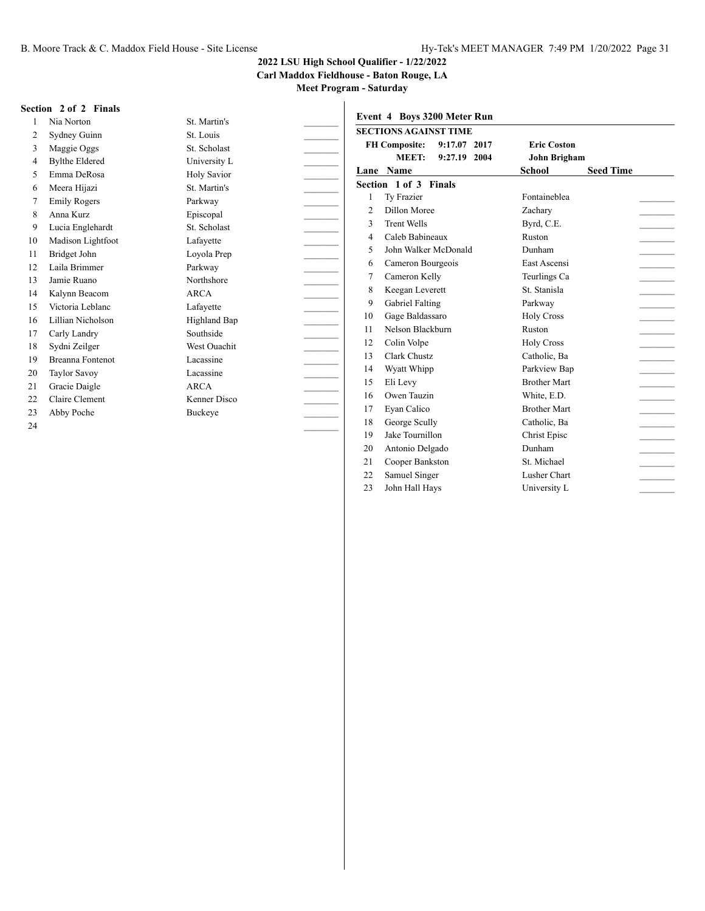**Carl Maddox Fieldhouse - Baton Rouge, LA**

**Meet Program - Saturday**

#### **Section 2 of 2 Finals**

| 1  | Nia Norton              | St. Martin's        |
|----|-------------------------|---------------------|
| 2  | Sydney Guinn            | St. Louis           |
| 3  | Maggie Oggs             | St. Scholast        |
| 4  | <b>Bylthe Eldered</b>   | University L        |
| 5  | Emma DeRosa             | <b>Holy Savior</b>  |
| 6  | Meera Hijazi            | St. Martin's        |
| 7  | <b>Emily Rogers</b>     | Parkway             |
| 8  | Anna Kurz               | Episcopal           |
| 9  | Lucia Englehardt        | St. Scholast        |
| 10 | Madison Lightfoot       | Lafayette           |
| 11 | Bridget John            | Loyola Prep         |
| 12 | Laila Brimmer           | Parkway             |
| 13 | Jamie Ruano             | Northshore          |
| 14 | Kalynn Beacom           | ARCA                |
| 15 | Victoria Leblanc        | Lafayette           |
| 16 | Lillian Nicholson       | <b>Highland Bap</b> |
| 17 | Carly Landry            | Southside           |
| 18 | Sydni Zeilger           | <b>West Ouachit</b> |
| 19 | <b>Breanna Fontenot</b> | Lacassine           |
| 20 | Taylor Savoy            | Lacassine           |
| 21 | Gracie Daigle           | ARCA                |
| 22 | Claire Clement          | Kenner Disco        |
| 23 | Abby Poche              | Buckeye             |
| 24 |                         |                     |

|                | <b>SECTIONS AGAINST TIME</b>         |                                   |
|----------------|--------------------------------------|-----------------------------------|
|                | <b>FH Composite:</b><br>9:17.07 2017 | <b>Eric Coston</b>                |
|                | MEET:<br>9:27.19 2004                | John Brigham                      |
|                | Lane Name                            | <b>School</b><br><b>Seed Time</b> |
|                | Section 1 of 3 Finals                |                                   |
| 1              | Ty Frazier                           | Fontaineblea                      |
| $\overline{2}$ | Dillon Moree                         | Zachary                           |
| 3              | <b>Trent Wells</b>                   | Byrd, C.E.                        |
| $\overline{4}$ | Caleb Babineaux                      | Ruston                            |
| 5              | John Walker McDonald                 | Dunham                            |
| 6              | Cameron Bourgeois                    | East Ascensi                      |
| 7              | Cameron Kelly                        | Teurlings Ca                      |
| 8              | Keegan Leverett                      | St. Stanisla                      |
| 9              | Gabriel Falting                      | Parkway                           |
| 10             | Gage Baldassaro                      | <b>Holy Cross</b>                 |
| 11             | Nelson Blackburn                     | Ruston                            |
| 12             | Colin Volpe                          | <b>Holy Cross</b>                 |
| 13             | Clark Chustz                         | Catholic, Ba                      |
| 14             | Wyatt Whipp                          | Parkview Bap                      |
| 15             | Eli Levy                             | <b>Brother Mart</b>               |
| 16             | Owen Tauzin                          | White, E.D.                       |
| 17             | Eyan Calico                          | <b>Brother Mart</b>               |
| 18             | George Scully                        | Catholic, Ba                      |
| 19             | Jake Tournillon                      | Christ Episc                      |
| 20             | Antonio Delgado                      | Dunham                            |
| 21             | Cooper Bankston                      | St. Michael                       |
| 22             | Samuel Singer                        | Lusher Chart                      |
| 23             | John Hall Hays                       | University L                      |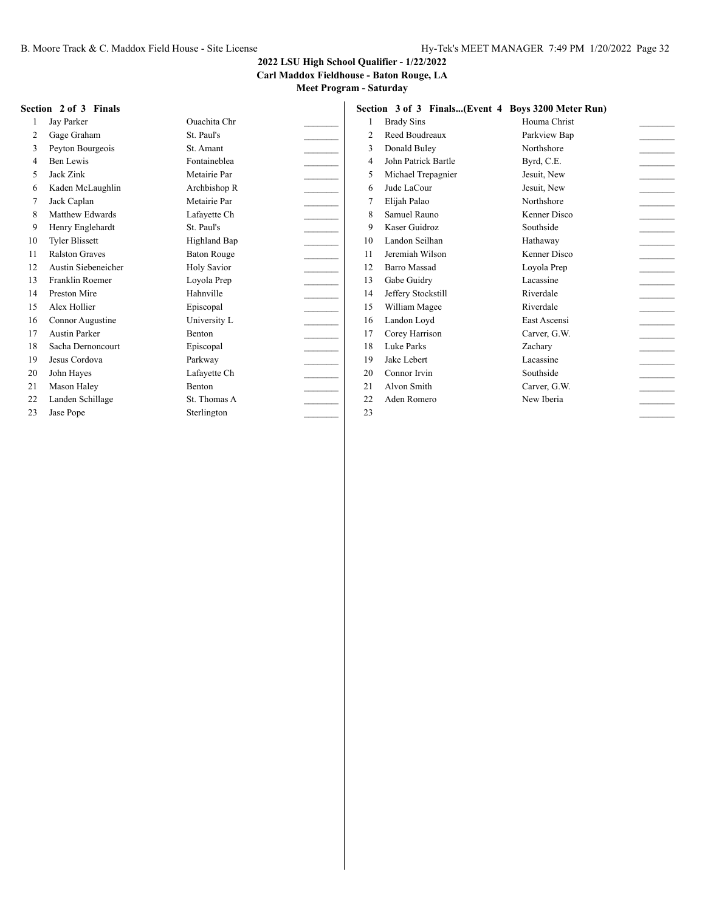**Carl Maddox Fieldhouse - Baton Rouge, LA**

**Meet Program - Saturday**

#### **Section 2 of 3 Finals**

| 1              | Jay Parker            | Ouachita Chr        |  |
|----------------|-----------------------|---------------------|--|
| $\overline{c}$ | Gage Graham           | St. Paul's          |  |
| 3              | Peyton Bourgeois      | St. Amant           |  |
| $\overline{4}$ | Ben Lewis             | Fontaineblea        |  |
| 5              | Jack Zink             | Metairie Par        |  |
| 6              | Kaden McLaughlin      | Archbishop R        |  |
| 7              | Jack Caplan           | Metairie Par        |  |
| 8              | Matthew Edwards       | Lafayette Ch        |  |
| 9              | Henry Englehardt      | St. Paul's          |  |
| 10             | <b>Tyler Blissett</b> | <b>Highland Bap</b> |  |
| 11             | <b>Ralston Graves</b> | <b>Baton Rouge</b>  |  |
| 12             | Austin Siebeneicher   | <b>Holy Savior</b>  |  |
| 13             | Franklin Roemer       | Loyola Prep         |  |
| 14             | Preston Mire          | Hahnville           |  |
| 15             | Alex Hollier          | Episcopal           |  |
| 16             | Connor Augustine      | University L        |  |
| 17             | <b>Austin Parker</b>  | <b>Benton</b>       |  |
| 18             | Sacha Dernoncourt     | Episcopal           |  |
| 19             | Jesus Cordova         | Parkway             |  |
| 20             | John Hayes            | Lafayette Ch        |  |
| 21             | Mason Haley           | <b>Benton</b>       |  |
| 22             | Landen Schillage      | St. Thomas A        |  |
| 23             | Jase Pope             | Sterlington         |  |

|                | Section 3 of 3 Finals(Event 4 Boys 3200 Meter Run) |              |  |
|----------------|----------------------------------------------------|--------------|--|
| 1              | <b>Brady Sins</b>                                  | Houma Christ |  |
| $\overline{2}$ | Reed Boudreaux                                     | Parkview Bap |  |
| 3              | Donald Buley                                       | Northshore   |  |
| 4              | John Patrick Bartle                                | Byrd, C.E.   |  |
| 5              | Michael Trepagnier                                 | Jesuit, New  |  |
| 6              | Jude LaCour                                        | Jesuit, New  |  |
| 7              | Elijah Palao                                       | Northshore   |  |
| 8              | Samuel Rauno                                       | Kenner Disco |  |
| 9              | Kaser Guidroz                                      | Southside    |  |
| 10             | Landon Seilhan                                     | Hathaway     |  |
| 11             | Jeremiah Wilson                                    | Kenner Disco |  |
| 12.            | <b>Barro Massad</b>                                | Loyola Prep  |  |
| 13             | Gabe Guidry                                        | Lacassine    |  |
| 14             | Jeffery Stockstill                                 | Riverdale    |  |
| 15             | William Magee                                      | Riverdale    |  |
| 16             | Landon Loyd                                        | East Ascensi |  |
| 17             | Corey Harrison                                     | Carver, G.W. |  |
| 18             | Luke Parks                                         | Zacharv      |  |
| 19             | Jake Lebert                                        | Lacassine    |  |
| 20             | Connor Irvin                                       | Southside    |  |
| 21             | Alvon Smith                                        | Carver, G.W. |  |
| 22             | Aden Romero                                        | New Iberia   |  |
| 23             |                                                    |              |  |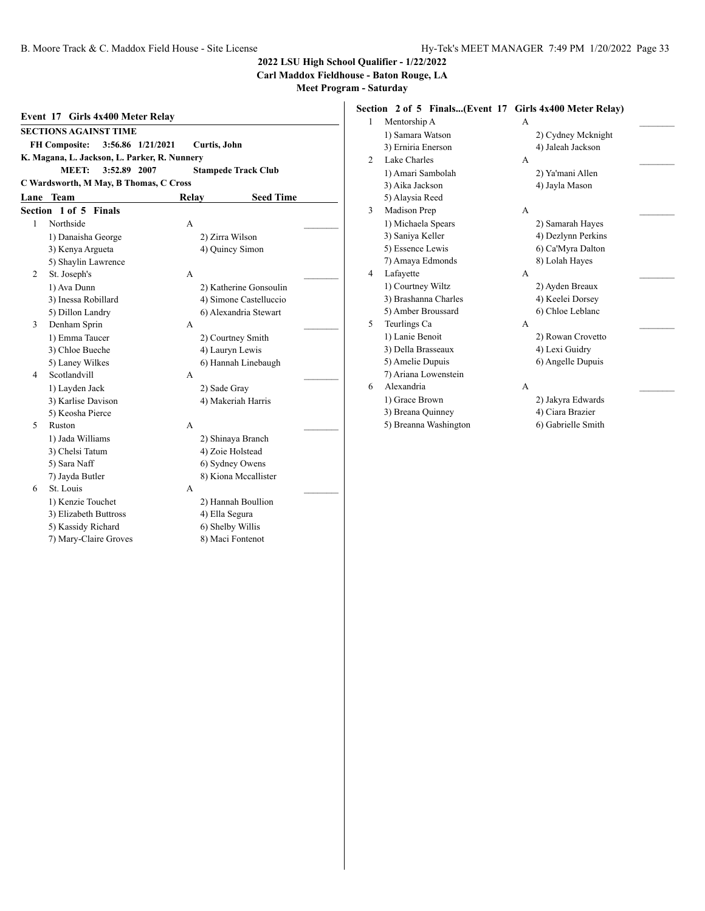**Carl Maddox Fieldhouse - Baton Rouge, LA**

**Meet Program - Saturday**

| Event 17 Girls 4x400 Meter Relay |                                                            |       |                                      |  |  |  |  |
|----------------------------------|------------------------------------------------------------|-------|--------------------------------------|--|--|--|--|
|                                  | <b>SECTIONS AGAINST TIME</b>                               |       |                                      |  |  |  |  |
|                                  | 3:56.86 1/21/2021<br><b>FH Composite:</b><br>Curtis, John  |       |                                      |  |  |  |  |
|                                  | K. Magana, L. Jackson, L. Parker, R. Nunnery               |       |                                      |  |  |  |  |
|                                  | <b>MEET:</b><br>3:52.89 2007<br><b>Stampede Track Club</b> |       |                                      |  |  |  |  |
|                                  | C Wardsworth, M May, B Thomas, C Cross                     |       |                                      |  |  |  |  |
|                                  | Lane Team                                                  | Relay | <b>Seed Time</b>                     |  |  |  |  |
| Section                          | 1 of 5 Finals                                              |       |                                      |  |  |  |  |
| 1                                | Northside                                                  | A     |                                      |  |  |  |  |
|                                  | 1) Danaisha George                                         |       | 2) Zirra Wilson                      |  |  |  |  |
|                                  | 3) Kenya Argueta                                           |       | 4) Quincy Simon                      |  |  |  |  |
|                                  | 5) Shaylin Lawrence                                        |       |                                      |  |  |  |  |
| $\overline{c}$                   | St. Joseph's                                               | A     |                                      |  |  |  |  |
|                                  | 1) Ava Dunn                                                |       | 2) Katherine Gonsoulin               |  |  |  |  |
|                                  | 3) Inessa Robillard                                        |       | 4) Simone Castelluccio               |  |  |  |  |
|                                  | 5) Dillon Landry                                           |       | 6) Alexandria Stewart                |  |  |  |  |
| 3                                | Denham Sprin                                               | A     |                                      |  |  |  |  |
|                                  | 1) Emma Taucer                                             |       | 2) Courtney Smith                    |  |  |  |  |
|                                  | 3) Chloe Bueche                                            |       | 4) Lauryn Lewis                      |  |  |  |  |
|                                  | 5) Laney Wilkes                                            |       | 6) Hannah Linebaugh                  |  |  |  |  |
| 4                                | Scotlandvill                                               | A     |                                      |  |  |  |  |
|                                  | 1) Layden Jack                                             |       | 2) Sade Gray                         |  |  |  |  |
|                                  | 3) Karlise Davison                                         |       | 4) Makeriah Harris                   |  |  |  |  |
|                                  | 5) Keosha Pierce                                           |       |                                      |  |  |  |  |
| 5                                | Ruston                                                     | A     |                                      |  |  |  |  |
|                                  | 1) Jada Williams                                           |       | 2) Shinaya Branch                    |  |  |  |  |
|                                  | 3) Chelsi Tatum                                            |       | 4) Zoie Holstead                     |  |  |  |  |
|                                  | 5) Sara Naff                                               |       | 6) Sydney Owens                      |  |  |  |  |
|                                  | 7) Jayda Butler                                            |       | 8) Kiona Mccallister                 |  |  |  |  |
| 6                                | St. Louis                                                  | A     |                                      |  |  |  |  |
|                                  | 1) Kenzie Touchet                                          |       | 2) Hannah Boullion                   |  |  |  |  |
|                                  | 3) Elizabeth Buttross                                      |       | 4) Ella Segura                       |  |  |  |  |
|                                  | 5) Kassidy Richard<br>7) Mary-Claire Groves                |       | 6) Shelby Willis<br>8) Maci Fontenot |  |  |  |  |
|                                  |                                                            |       |                                      |  |  |  |  |

#### **Section 2 of 5 Finals...(Event 17 Girls 4x400 Meter Relay)**

| 1 | Mentorship A          | A |                    |  |
|---|-----------------------|---|--------------------|--|
|   | 1) Samara Watson      |   | 2) Cydney Mcknight |  |
|   | 3) Erniria Enerson    |   | 4) Jaleah Jackson  |  |
| 2 | Lake Charles          | A |                    |  |
|   | 1) Amari Sambolah     |   | 2) Ya'mani Allen   |  |
|   | 3) Aika Jackson       |   | 4) Jayla Mason     |  |
|   | 5) Alaysia Reed       |   |                    |  |
| 3 | Madison Prep          | A |                    |  |
|   | 1) Michaela Spears    |   | 2) Samarah Hayes   |  |
|   | 3) Saniya Keller      |   | 4) Dezlynn Perkins |  |
|   | 5) Essence Lewis      |   | 6) Ca'Myra Dalton  |  |
|   | 7) Amaya Edmonds      |   | 8) Lolah Hayes     |  |
| 4 | Lafayette             | A |                    |  |
|   | 1) Courtney Wiltz     |   | 2) Ayden Breaux    |  |
|   | 3) Brashanna Charles  |   | 4) Keelei Dorsey   |  |
|   | 5) Amber Broussard    |   | 6) Chloe Leblanc   |  |
| 5 | Teurlings Ca          | A |                    |  |
|   | 1) Lanie Benoit       |   | 2) Rowan Crovetto  |  |
|   | 3) Della Brasseaux    |   | 4) Lexi Guidry     |  |
|   | 5) Amelie Dupuis      |   | 6) Angelle Dupuis  |  |
|   | 7) Ariana Lowenstein  |   |                    |  |
| 6 | Alexandria            | A |                    |  |
|   | 1) Grace Brown        |   | 2) Jakyra Edwards  |  |
|   | 3) Breana Quinney     |   | 4) Ciara Brazier   |  |
|   | 5) Breanna Washington |   | 6) Gabrielle Smith |  |
|   |                       |   |                    |  |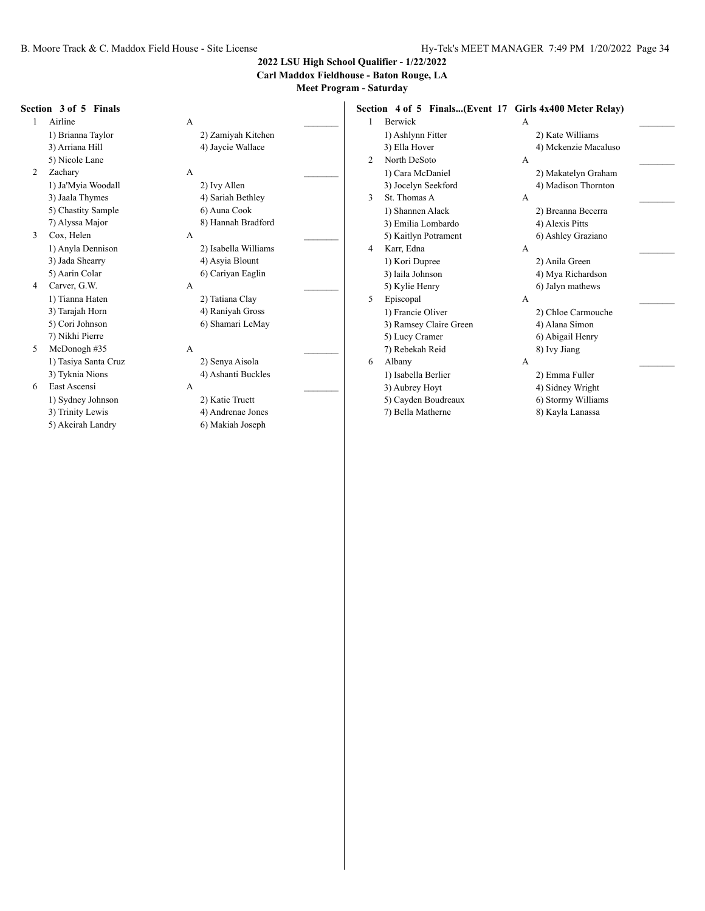**Carl Maddox Fieldhouse - Baton Rouge, LA**

**Meet Program - Saturday**

#### **Section 3 of 5 Finals**

1 Airline A 5) Nicole Lane 2 Zachary A 1) Ja'Myia Woodall 2) Ivy Allen

5) Chastity Sample 6) Auna Cook 3 Cox, Helen A

3) Jada Shearry 4) Asyia Blount

- 4 Carver, G.W. A \_\_\_\_\_\_\_\_\_ 7) Nikhi Pierre
- 5 McDonogh #35 A 1) Tasiya Santa Cruz 2) Senya Aisola 3) Tyknia Nions 4) Ashanti Buckles
- 6 East Ascensi A \_\_\_\_\_\_\_\_\_ 1) Sydney Johnson 2) Katie Truett 3) Trinity Lewis 4) Andrenae Jones

1) Brianna Taylor 2) Zamiyah Kitchen 3) Arriana Hill 4) Jaycie Wallace 3) Jaala Thymes 4) Sariah Bethley 7) Alyssa Major 8) Hannah Bradford 1) Anyla Dennison 2) Isabella Williams 5) Aarin Colar 6) Cariyan Eaglin 1) Tianna Haten 2) Tatiana Clay 3) Tarajah Horn 4) Raniyah Gross 5) Cori Johnson 6) Shamari LeMay

- 
- 
- 5) Akeirah Landry 6) Makiah Joseph

**Section 4 of 5 Finals...(Event 17 Girls 4x400 Meter Relay)** 1 Berwick A 1) Ashlynn Fitter 2) Kate Williams 3) Ella Hover 4) Mckenzie Macaluso 2 North DeSoto A \_\_\_\_\_\_\_\_\_ 1) Cara McDaniel 2) Makatelyn Graham 3) Jocelyn Seekford 4) Madison Thornton 3 St. Thomas A A 1) Shannen Alack 2) Breanna Becerra 3) Emilia Lombardo 4) Alexis Pitts 5) Kaitlyn Potrament 6) Ashley Graziano 4 Karr, Edna A \_\_\_\_\_\_\_\_\_ 1) Kori Dupree 2) Anila Green 3) laila Johnson 4) Mya Richardson 5) Kylie Henry 6) Jalyn mathews 5 Episcopal A \_\_\_\_\_\_\_\_\_ 1) Francie Oliver 2) Chloe Carmouche 3) Ramsey Claire Green 4) Alana Simon 5) Lucy Cramer 6) Abigail Henry 7) Rebekah Reid 8) Ivy Jiang 6 Albany A 1) Isabella Berlier 2) Emma Fuller 3) Aubrey Hoyt 4) Sidney Wright 5) Cayden Boudreaux 6) Stormy Williams 7) Bella Matherne 8) Kayla Lanassa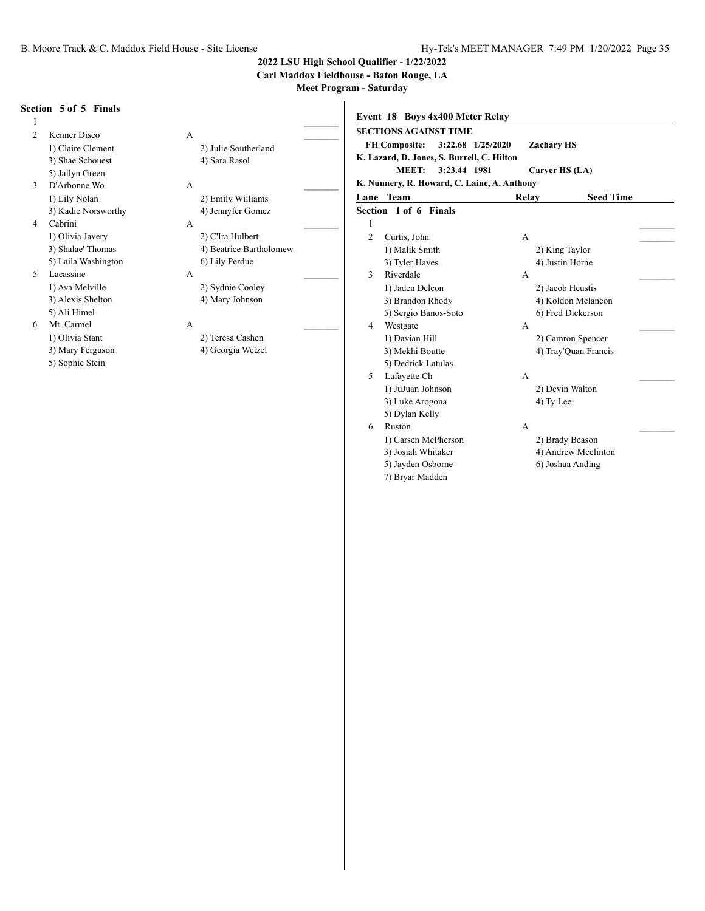**Carl Maddox Fieldhouse - Baton Rouge, LA**

**Meet Program - Saturday**

#### **Section 5 of 5 Finals**  $1$   $\overline{\phantom{a}}$ 2 Kenner Disco A \_\_\_\_\_\_\_\_\_ 1) Claire Clement 2) Julie Southerland 3) Shae Schouest 4) Sara Rasol 5) Jailyn Green 3 D'Arbonne Wo A \_\_\_\_\_\_\_\_\_ 1) Lily Nolan 2) Emily Williams 3) Kadie Norsworthy 4) Jennyfer Gomez 4 Cabrini A \_\_\_\_\_\_\_\_\_ 1) Olivia Javery 2) C'Ira Hulbert 3) Shalae' Thomas 4) Beatrice Bartholomew 5) Laila Washington 6) Lily Perdue 5 Lacassine A \_\_\_\_\_\_\_\_\_ 1) Ava Melville 2) Sydnie Cooley 3) Alexis Shelton 4) Mary Johnson 5) Ali Himel 6 Mt. Carmel A \_\_\_\_\_\_\_\_\_ 1) Olivia Stant 2) Teresa Cashen 3) Mary Ferguson 4) Georgia Wetzel 5) Sophie Stein **Event 18 Boys 4x400 Meter Relay SECTIONS AGAINST TIME FH Composite: 3:22.68 1/25/2020 Zachary HS K. Lazard, D. Jones, S. Burrell, C. Hilton MEET: 3:23.44 1981 Carver HS (LA) K. Nunnery, R. Howard, C. Laine, A. Anthony Lane Team Relay Seed Time Section 1 of 6 Finals**  $1$ 2 Curtis, John A 1) Malik Smith 2) King Taylor 3) Tyler Hayes 4) Justin Horne 3 Riverdale A 1) Jaden Deleon 2) Jacob Heustis 3) Brandon Rhody 4) Koldon Melancon 5) Sergio Banos-Soto 6) Fred Dickerson 4 Westgate A 1) Davian Hill 2) Camron Spencer 3) Mekhi Boutte 4) Tray'Quan Francis 5) Dedrick Latulas 5 Lafayette Ch A \_\_\_\_\_\_\_\_\_ 1) JuJuan Johnson 2) Devin Walton 3) Luke Arogona (4) Ty Lee 5) Dylan Kelly 6 Ruston A \_\_\_\_\_\_\_\_\_ 1) Carsen McPherson 2) Brady Beason 3) Josiah Whitaker 4) Andrew Mcclinton 5) Jayden Osborne 6) Joshua Anding

7) Bryar Madden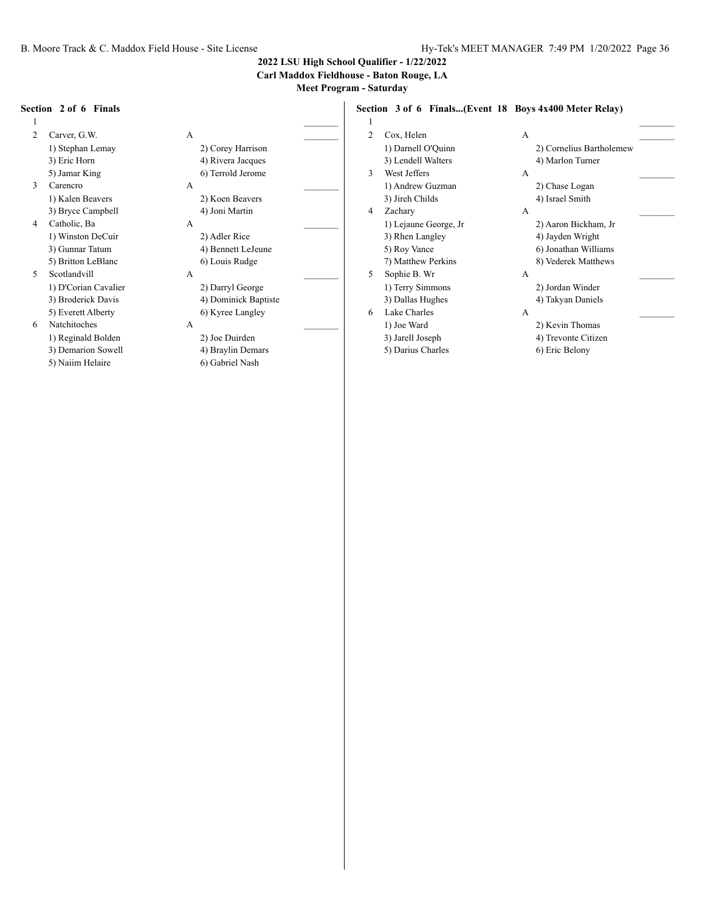**Carl Maddox Fieldhouse - Baton Rouge, LA**

**Meet Program - Saturday**

#### **Section 2 of 6 Finals**

 $1$   $\overline{\phantom{a}}$ 2 Carver, G.W. A 1) Stephan Lemay 2) Corey Harrison 3) Eric Horn 4) Rivera Jacques 5) Jamar King 6) Terrold Jerome

- 3 Carencro A \_\_\_\_\_\_\_\_\_ 1) Kalen Beavers 2) Koen Beavers 3) Bryce Campbell 4) Joni Martin 4 Catholic, Ba A
- 1) Winston DeCuir 2) Adler Rice 5) Britton LeBlanc 6) Louis Rudge 5 Scotlandvill A
	- 1) D'Corian Cavalier 2) Darryl George
	- 5) Everett Alberty 6) Kyree Langley
- 6 Natchitoches A \_\_\_\_\_\_\_\_\_
	- 1) Reginald Bolden 2) Joe Duirden
	-
	- 5) Naiim Helaire 6) Gabriel Nash

- 3) Gunnar Tatum 4) Bennett LeJeune
	-
- 3) Broderick Davis 4) Dominick Baptiste
	-
	-
- 3) Demarion Sowell 4) Braylin Demars

**Section 3 of 6 Finals...(Event 18 Boys 4x400 Meter Relay)**  $1$   $\overline{\phantom{a}}$ 2 Cox, Helen A 1) Darnell O'Quinn 2) Cornelius Bartholemew 3) Lendell Walters 4) Marlon Turner 3 West Jeffers A \_\_\_\_\_\_\_\_\_ 1) Andrew Guzman 2) Chase Logan 3) Jireh Childs 4) Israel Smith 4 Zachary A 1) Lejaune George, Jr 2) Aaron Bickham, Jr 3) Rhen Langley 4) Jayden Wright 5) Roy Vance 6) Jonathan Williams 7) Matthew Perkins 8) Vederek Matthews 5 Sophie B. Wr A 1) Terry Simmons 2) Jordan Winder 3) Dallas Hughes 4) Takyan Daniels 6 Lake Charles A \_\_\_\_\_\_\_\_\_ 1) Joe Ward 2) Kevin Thomas 3) Jarell Joseph 4) Trevonte Citizen 5) Darius Charles 6) Eric Belony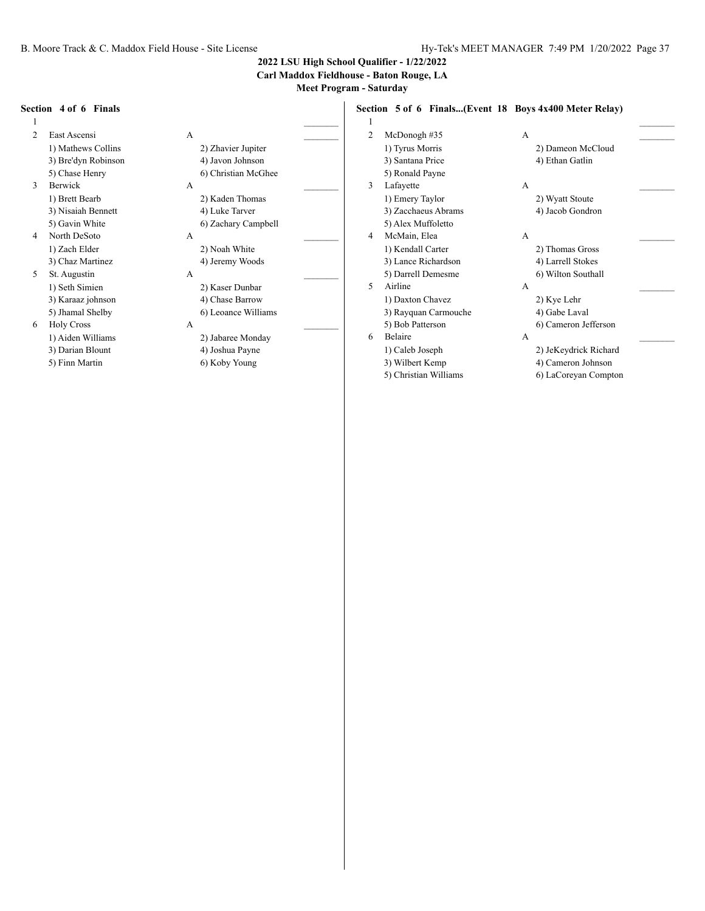**Carl Maddox Fieldhouse - Baton Rouge, LA**

**Meet Program - Saturday**

#### **Section 4 of 6 Finals**

 $1$   $\overline{\phantom{a}}$ 2 East Ascensi A \_\_\_\_\_\_\_\_\_ 1) Mathews Collins 2) Zhavier Jupiter 3) Bre'dyn Robinson 4) Javon Johnson

- 3 Berwick A \_\_\_\_\_\_\_\_\_ 1) Brett Bearb 2) Kaden Thomas 3) Nisaiah Bennett 4) Luke Tarver 4 North DeSoto A \_\_\_\_\_\_\_\_\_
- 5 St. Augustin A \_\_\_\_\_\_\_\_\_

- 
- 6 Holy Cross A \_\_\_\_\_\_\_\_\_ 1) Aiden Williams 2) Jabaree Monday
	- 3) Darian Blount 4) Joshua Payne
	- 5) Finn Martin 6) Koby Young

5) Chase Henry 6) Christian McGhee 5) Gavin White 6) Zachary Campbell 1) Zach Elder 2) Noah White 3) Chaz Martinez 4) Jeremy Woods 1) Seth Simien 2) Kaser Dunbar 3) Karaaz johnson 4) Chase Barrow 5) Jhamal Shelby 6) Leoance Williams

**Section 5 of 6 Finals...(Event 18 Boys 4x400 Meter Relay)**

# $1$   $\overline{\phantom{a}}$ 2 McDonogh #35 A

- 5) Ronald Payne 3 Lafayette A \_\_\_\_\_\_\_\_\_ 1) Emery Taylor 2) Wyatt Stoute 3) Zacchaeus Abrams 4) Jacob Gondron 5) Alex Muffoletto 4 McMain, Elea A 1) Kendall Carter 2) Thomas Gross 3) Lance Richardson 4) Larrell Stokes 5) Darrell Demesme 6) Wilton Southall 5 Airline A 1) Daxton Chavez 2) Kye Lehr 3) Rayquan Carmouche 4) Gabe Laval 5) Bob Patterson 6) Cameron Jefferson 6 Belaire A \_\_\_\_\_\_\_\_\_
- 1) Tyrus Morris 2) Dameon McCloud 3) Santana Price 4) Ethan Gatlin 1) Caleb Joseph 2) JeKeydrick Richard
	- 3) Wilbert Kemp 4) Cameron Johnson
	- 5) Christian Williams 6) LaCoreyan Compton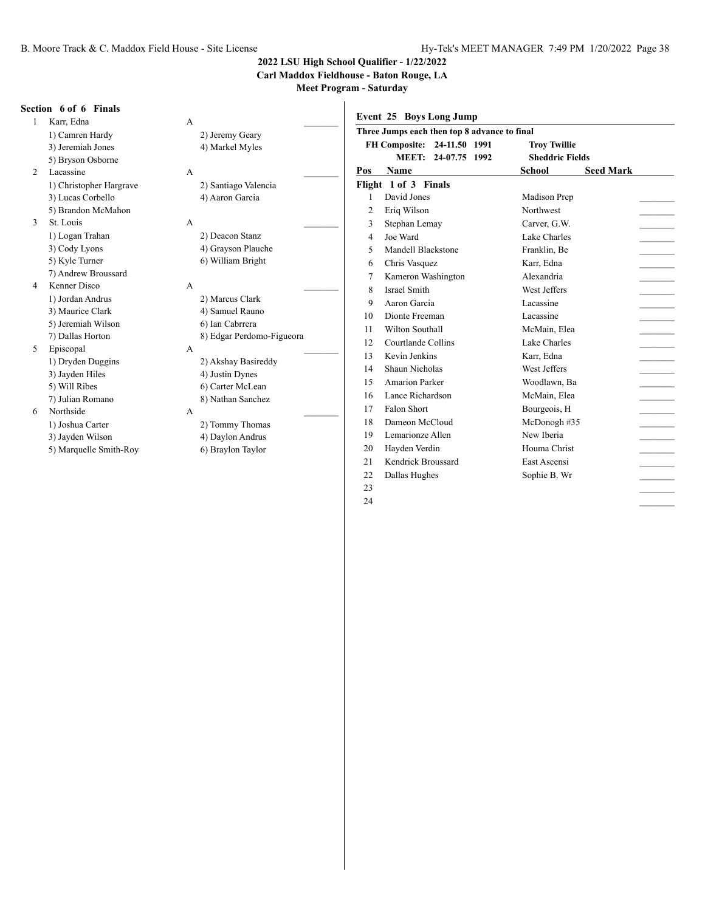**Carl Maddox Fieldhouse - Baton Rouge, LA**

|                | Section 6 of 6 Finals   |                           |                | Event 25 Boys Long Jump                      |                        |                          |
|----------------|-------------------------|---------------------------|----------------|----------------------------------------------|------------------------|--------------------------|
|                | Karr, Edna              | A                         |                |                                              |                        |                          |
|                | 1) Camren Hardy         | 2) Jeremy Geary           |                | Three Jumps each then top 8 advance to final |                        |                          |
|                | 3) Jeremiah Jones       | 4) Markel Myles           |                | FH Composite: 24-11.50 1991                  | <b>Troy Twillie</b>    |                          |
|                | 5) Bryson Osborne       |                           |                | MEET: 24-07.75 1992                          | <b>Sheddric Fields</b> |                          |
| 2              | Lacassine               | A                         | Pos            | <b>Name</b>                                  | School                 | <b>Seed Mark</b>         |
|                | 1) Christopher Hargrave | 2) Santiago Valencia      |                | Flight 1 of 3 Finals                         |                        |                          |
|                | 3) Lucas Corbello       | 4) Aaron Garcia           |                | David Jones                                  | Madison Prep           |                          |
|                | 5) Brandon McMahon      |                           | $\overline{2}$ | Eriq Wilson                                  | <b>Northwest</b>       |                          |
| 3              | St. Louis               | $\mathsf{A}$              | 3              | Stephan Lemay                                | Carver, G.W.           |                          |
|                | 1) Logan Trahan         | 2) Deacon Stanz           | $\overline{4}$ | Joe Ward                                     | Lake Charles           |                          |
|                | 3) Cody Lyons           | 4) Grayson Plauche        | 5              | Mandell Blackstone                           | Franklin, Be           |                          |
|                | 5) Kyle Turner          | 6) William Bright         | 6              | Chris Vasquez                                | Karr, Edna             |                          |
|                | 7) Andrew Broussard     |                           | 7              | Kameron Washington                           | Alexandria             | $\overline{\phantom{a}}$ |
| $\overline{4}$ | Kenner Disco            | A                         | 8              | Israel Smith                                 | West Jeffers           | $\overline{\phantom{a}}$ |
|                | 1) Jordan Andrus        | 2) Marcus Clark           | 9              | Aaron Garcia                                 | Lacassine              | $\overline{\phantom{a}}$ |
|                | 3) Maurice Clark        | 4) Samuel Rauno           | 10             | Dionte Freeman                               | Lacassine              |                          |
|                | 5) Jeremiah Wilson      | 6) Ian Cabrrera           | 11             | Wilton Southall                              | McMain, Elea           |                          |
|                | 7) Dallas Horton        | 8) Edgar Perdomo-Figueora | 12             | Courtlande Collins                           | Lake Charles           |                          |
| 5              | Episcopal               | A                         | 13             | Kevin Jenkins                                | Karr, Edna             | $\overline{\phantom{a}}$ |
|                | 1) Dryden Duggins       | 2) Akshay Basireddy       | 14             | Shaun Nicholas                               | West Jeffers           |                          |
|                | 3) Jayden Hiles         | 4) Justin Dynes           | 15             | <b>Amarion Parker</b>                        | Woodlawn, Ba           |                          |
|                | 5) Will Ribes           | 6) Carter McLean          | 16             | Lance Richardson                             | McMain, Elea           | $\sim$                   |
|                | 7) Julian Romano        | 8) Nathan Sanchez         | 17             | Falon Short                                  | Bourgeois, H           |                          |
| 6              | Northside               | A                         | 18             | Dameon McCloud                               | McDonogh #35           |                          |
|                | 1) Joshua Carter        | 2) Tommy Thomas           | 19             | Lemarionze Allen                             | New Iberia             | $\sim$                   |
|                | 3) Jayden Wilson        | 4) Daylon Andrus          |                |                                              |                        | $\sim$ 10 $\mu$          |
|                | 5) Marquelle Smith-Roy  | 6) Braylon Taylor         | 20             | Hayden Verdin                                | Houma Christ           | $\sim 10^{-11}$          |
|                |                         |                           | 21             | Kendrick Broussard                           | East Ascensi           | $\sim$                   |
|                |                         |                           | 22             | Dallas Hughes                                | Sophie B. Wr           |                          |
|                |                         |                           | 23             |                                              |                        |                          |
|                |                         |                           | 24             |                                              |                        |                          |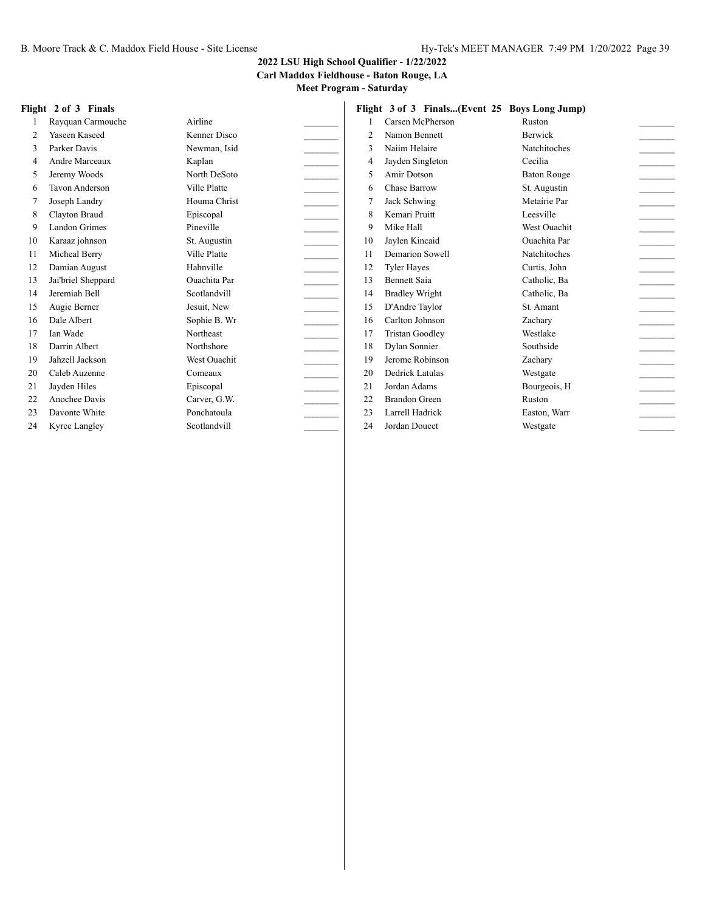**Carl Maddox Fieldhouse - Baton Rouge, LA**

**Meet Program - Saturday**

#### **Flight 2 of 3 Finals** 1 Rayquan Carmouche Airline 2 Yaseen Kaseed Kenner Disco 3 Parker Davis Newman, Isid 4 Andre Marceaux Kaplan 5 Jeremy Woods North DeSoto 6 Tavon Anderson Ville Platte 7 Joseph Landry Houma Christ \_\_\_\_\_\_\_\_\_ 8 Clayton Braud **Episcopal** 9 Landon Grimes Pineville 10 Karaaz johnson St. Augustin \_\_\_\_\_\_\_\_\_ 11 Micheal Berry Ville Platte 12 Damian August Hahnville 13 Jai'briel Sheppard Ouachita Par \_\_\_\_\_\_\_\_\_ 14 Jeremiah Bell Scotlandvill 15 Augie Berner Jesuit, New 16 Dale Albert Sophie B. Wr 17 Ian Wade Northeast 18 Darrin Albert Northshore 19 Jahzell Jackson West Ouachit \_\_\_\_\_\_\_\_\_ 20 Caleb Auzenne Comeaux \_\_\_\_\_\_\_\_\_ 21 Jayden Hiles Episcopal 22 Anochee Davis Carver, G.W. 23 Davonte White Ponchatoula 24 Kyree Langley Scotlandvill **Flight 3 of 3 Finals...(Event 25 Boys Long Jump)** 1 Carsen McPherson Ruston 2 Namon Bennett Berwick 3 Naiim Helaire Natchitoches 4 Jayden Singleton Cecilia 5 Amir Dotson Baton Rouge 6 Chase Barrow St. Augustin 7 Jack Schwing Metairie Par 8 Kemari Pruitt Leesville 9 Mike Hall West Ouachit 10 Jaylen Kincaid Ouachita Par \_\_\_\_\_\_\_\_\_ 11 Demarion Sowell Natchitoches 12 Tyler Hayes Curtis, John 13 Bennett Saia Catholic, Ba 14 Bradley Wright Catholic, Ba 15 D'Andre Taylor St. Amant 16 Carlton Johnson Zachary \_\_\_\_\_\_\_\_\_ 17 Tristan Goodley Westlake 18 Dylan Sonnier Southside 19 Jerome Robinson Zachary 20 Dedrick Latulas Westgate 21 Jordan Adams Bourgeois, H 22 Brandon Green Ruston 23 Larrell Hadrick Easton, Warr 24 Jordan Doucet Westgate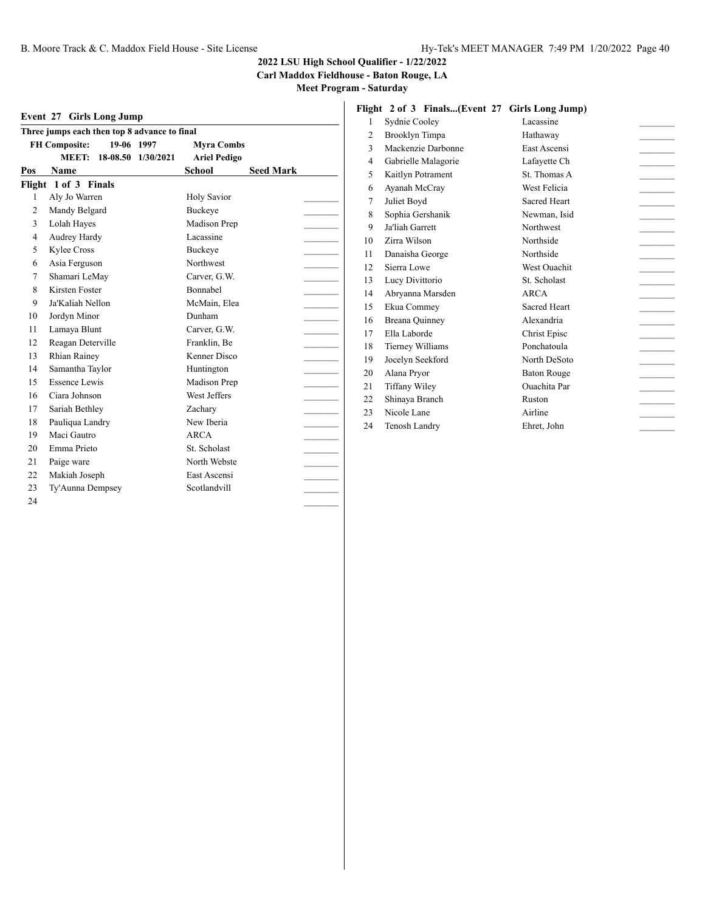**Carl Maddox Fieldhouse - Baton Rouge, LA**

**Meet Program - Saturday**

#### **Event 27 Girls Long Jump**

| 19-06 1997<br><b>FH Composite:</b><br><b>Myra Combs</b><br><b>MEET:</b><br>18-08.50 1/30/2021<br><b>Ariel Pedigo</b><br>School<br><b>Seed Mark</b><br>Pos<br>Name<br>Flight 1 of 3 Finals<br>Aly Jo Warren<br><b>Holy Savior</b><br>1<br>Mandy Belgard<br><b>Buckeve</b><br>$\overline{2}$<br>3<br>Madison Prep<br>Lolah Hayes<br>Lacassine<br>4<br>Audrey Hardy<br>5<br>Kylee Cross<br><b>Buckeye</b><br>Asia Ferguson<br><b>Northwest</b><br>6<br>Shamari LeMay<br>7<br>Carver, G.W.<br>8<br>Kirsten Foster<br>Bonnabel<br>9<br>Ja'Kaliah Nellon<br>McMain, Elea<br>Dunham<br>10<br>Jordyn Minor<br>Lamaya Blunt<br>11<br>Carver, G.W.<br>Reagan Deterville<br>Franklin, Be<br>12<br>Kenner Disco<br>13<br><b>Rhian Rainey</b><br>14<br>Samantha Taylor<br>Huntington<br>Essence Lewis<br>Madison Prep<br>15<br>West Jeffers<br>Ciara Johnson<br>16<br>17<br>Sariah Bethley<br>Zachary<br>18<br>Pauliqua Landry<br>New Iberia<br>Maci Gautro<br>19<br>ARCA<br>Emma Prieto<br>St. Scholast<br>20 | Three jumps each then top 8 advance to final |  |  |  |  |
|---------------------------------------------------------------------------------------------------------------------------------------------------------------------------------------------------------------------------------------------------------------------------------------------------------------------------------------------------------------------------------------------------------------------------------------------------------------------------------------------------------------------------------------------------------------------------------------------------------------------------------------------------------------------------------------------------------------------------------------------------------------------------------------------------------------------------------------------------------------------------------------------------------------------------------------------------------------------------------------------------|----------------------------------------------|--|--|--|--|
|                                                                                                                                                                                                                                                                                                                                                                                                                                                                                                                                                                                                                                                                                                                                                                                                                                                                                                                                                                                                   |                                              |  |  |  |  |
|                                                                                                                                                                                                                                                                                                                                                                                                                                                                                                                                                                                                                                                                                                                                                                                                                                                                                                                                                                                                   |                                              |  |  |  |  |
|                                                                                                                                                                                                                                                                                                                                                                                                                                                                                                                                                                                                                                                                                                                                                                                                                                                                                                                                                                                                   |                                              |  |  |  |  |
|                                                                                                                                                                                                                                                                                                                                                                                                                                                                                                                                                                                                                                                                                                                                                                                                                                                                                                                                                                                                   |                                              |  |  |  |  |
|                                                                                                                                                                                                                                                                                                                                                                                                                                                                                                                                                                                                                                                                                                                                                                                                                                                                                                                                                                                                   |                                              |  |  |  |  |
|                                                                                                                                                                                                                                                                                                                                                                                                                                                                                                                                                                                                                                                                                                                                                                                                                                                                                                                                                                                                   |                                              |  |  |  |  |
|                                                                                                                                                                                                                                                                                                                                                                                                                                                                                                                                                                                                                                                                                                                                                                                                                                                                                                                                                                                                   |                                              |  |  |  |  |
|                                                                                                                                                                                                                                                                                                                                                                                                                                                                                                                                                                                                                                                                                                                                                                                                                                                                                                                                                                                                   |                                              |  |  |  |  |
|                                                                                                                                                                                                                                                                                                                                                                                                                                                                                                                                                                                                                                                                                                                                                                                                                                                                                                                                                                                                   |                                              |  |  |  |  |
|                                                                                                                                                                                                                                                                                                                                                                                                                                                                                                                                                                                                                                                                                                                                                                                                                                                                                                                                                                                                   |                                              |  |  |  |  |
|                                                                                                                                                                                                                                                                                                                                                                                                                                                                                                                                                                                                                                                                                                                                                                                                                                                                                                                                                                                                   |                                              |  |  |  |  |
|                                                                                                                                                                                                                                                                                                                                                                                                                                                                                                                                                                                                                                                                                                                                                                                                                                                                                                                                                                                                   |                                              |  |  |  |  |
|                                                                                                                                                                                                                                                                                                                                                                                                                                                                                                                                                                                                                                                                                                                                                                                                                                                                                                                                                                                                   |                                              |  |  |  |  |
|                                                                                                                                                                                                                                                                                                                                                                                                                                                                                                                                                                                                                                                                                                                                                                                                                                                                                                                                                                                                   |                                              |  |  |  |  |
|                                                                                                                                                                                                                                                                                                                                                                                                                                                                                                                                                                                                                                                                                                                                                                                                                                                                                                                                                                                                   |                                              |  |  |  |  |
|                                                                                                                                                                                                                                                                                                                                                                                                                                                                                                                                                                                                                                                                                                                                                                                                                                                                                                                                                                                                   |                                              |  |  |  |  |
|                                                                                                                                                                                                                                                                                                                                                                                                                                                                                                                                                                                                                                                                                                                                                                                                                                                                                                                                                                                                   |                                              |  |  |  |  |
|                                                                                                                                                                                                                                                                                                                                                                                                                                                                                                                                                                                                                                                                                                                                                                                                                                                                                                                                                                                                   |                                              |  |  |  |  |
|                                                                                                                                                                                                                                                                                                                                                                                                                                                                                                                                                                                                                                                                                                                                                                                                                                                                                                                                                                                                   |                                              |  |  |  |  |
|                                                                                                                                                                                                                                                                                                                                                                                                                                                                                                                                                                                                                                                                                                                                                                                                                                                                                                                                                                                                   |                                              |  |  |  |  |
|                                                                                                                                                                                                                                                                                                                                                                                                                                                                                                                                                                                                                                                                                                                                                                                                                                                                                                                                                                                                   |                                              |  |  |  |  |
|                                                                                                                                                                                                                                                                                                                                                                                                                                                                                                                                                                                                                                                                                                                                                                                                                                                                                                                                                                                                   |                                              |  |  |  |  |
|                                                                                                                                                                                                                                                                                                                                                                                                                                                                                                                                                                                                                                                                                                                                                                                                                                                                                                                                                                                                   |                                              |  |  |  |  |
|                                                                                                                                                                                                                                                                                                                                                                                                                                                                                                                                                                                                                                                                                                                                                                                                                                                                                                                                                                                                   |                                              |  |  |  |  |
| North Webste<br>21<br>Paige ware                                                                                                                                                                                                                                                                                                                                                                                                                                                                                                                                                                                                                                                                                                                                                                                                                                                                                                                                                                  |                                              |  |  |  |  |
| Makiah Joseph<br>East Ascensi<br>22                                                                                                                                                                                                                                                                                                                                                                                                                                                                                                                                                                                                                                                                                                                                                                                                                                                                                                                                                               |                                              |  |  |  |  |
| 23<br>Ty'Aunna Dempsey<br>Scotlandvill                                                                                                                                                                                                                                                                                                                                                                                                                                                                                                                                                                                                                                                                                                                                                                                                                                                                                                                                                            |                                              |  |  |  |  |
| 24                                                                                                                                                                                                                                                                                                                                                                                                                                                                                                                                                                                                                                                                                                                                                                                                                                                                                                                                                                                                |                                              |  |  |  |  |

#### **Flight 2 of 3 Finals...(Event 27 Girls Long Jump)**

| $\mathbf{1}$ | Sydnie Cooley       | Lacassine           |  |
|--------------|---------------------|---------------------|--|
| 2            | Brooklyn Timpa      | Hathaway            |  |
| 3            | Mackenzie Darbonne  | East Ascensi        |  |
| 4            | Gabrielle Malagorie | Lafayette Ch        |  |
| 5            | Kaitlyn Potrament   | St. Thomas A        |  |
| 6            | Ayanah McCray       | West Felicia        |  |
| 7            | Juliet Boyd         | <b>Sacred Heart</b> |  |
| 8            | Sophia Gershanik    | Newman, Isid        |  |
| 9            | Ja'liah Garrett     | Northwest           |  |
| 10           | Zirra Wilson        | Northside           |  |
| 11           | Danaisha George     | Northside           |  |
| 12           | Sierra Lowe         | <b>West Ouachit</b> |  |
| 13           | Lucy Divittorio     | St. Scholast        |  |
| 14           | Abryanna Marsden    | ARCA                |  |
| 15           | Ekua Commey         | Sacred Heart        |  |
| 16           | Breana Quinney      | Alexandria          |  |
| 17           | Ella Laborde        | Christ Episc        |  |
| 18           | Tierney Williams    | Ponchatoula         |  |
| 19           | Jocelyn Seekford    | North DeSoto        |  |
| 20           | Alana Pryor         | <b>Baton Rouge</b>  |  |
| 21           | Tiffany Wiley       | <b>Ouachita</b> Par |  |
| 22           | Shinaya Branch      | Ruston              |  |
| 23           | Nicole Lane         | Airline             |  |
| 24           | Tenosh Landry       | Ehret, John         |  |
|              |                     |                     |  |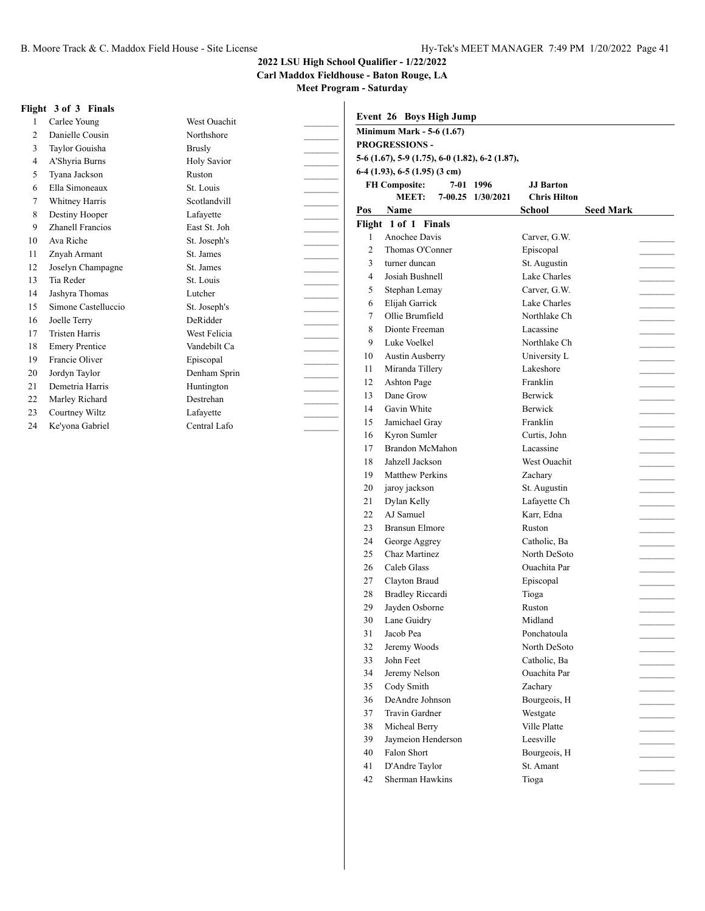**Carl Maddox Fieldhouse - Baton Rouge, LA**

**Meet Program - Saturday**

#### **Flight 3 of 3 Finals**

1 Carlee Young West Ouachit 2 Danielle Cousin Northshore 3 Taylor Gouisha Brusly \_\_\_\_\_\_\_\_\_ 4 A'Shyria Burns Holy Savior 5 Tyana Jackson Ruston 6 Ella Simoneaux St. Louis \_\_\_\_\_\_\_\_\_ 7 Whitney Harris Scotlandvill 8 Destiny Hooper Lafayette 9 Zhanell Francios East St. Joh \_\_\_\_\_\_\_\_\_ 10 Ava Riche St. Joseph's 11 Znyah Armant St. James 12 Joselyn Champagne St. James 13 Tia Reder St. Louis 14 Jashyra Thomas Lutcher \_\_\_\_\_\_\_\_\_ 15 Simone Castelluccio St. Joseph's \_\_\_\_\_\_\_\_\_ 16 Joelle Terry DeRidder 17 Tristen Harris West Felicia 18 Emery Prentice Vandebilt Ca 19 Francie Oliver Episcopal 20 Jordyn Taylor Denham Sprin \_\_\_\_\_\_\_\_\_ 21 Demetria Harris Huntington 22 Marley Richard Destrehan 23 Courtney Wiltz Lafayette 24 Ke'yona Gabriel Central Lafo

|                | <b>Minimum Mark - 5-6 (1.67)</b>                |                   |                     |                  |
|----------------|-------------------------------------------------|-------------------|---------------------|------------------|
|                | <b>PROGRESSIONS -</b>                           |                   |                     |                  |
|                | 5-6 (1.67), 5-9 (1.75), 6-0 (1.82), 6-2 (1.87), |                   |                     |                  |
|                | $6-4$ (1.93), 6-5 (1.95) (3 cm)                 |                   |                     |                  |
|                | <b>FH Composite:</b>                            | 7-01 1996         | <b>JJ</b> Barton    |                  |
|                | <b>MEET:</b>                                    | 7-00.25 1/30/2021 | <b>Chris Hilton</b> |                  |
| Pos            | Name                                            |                   | School              | <b>Seed Mark</b> |
|                | Flight 1 of 1 Finals                            |                   |                     |                  |
| 1              | Anochee Davis                                   |                   | Carver, G.W.        |                  |
| $\overline{2}$ | Thomas O'Conner                                 |                   | Episcopal           |                  |
| 3              | turner duncan                                   |                   | St. Augustin        |                  |
| 4              | Josiah Bushnell                                 |                   | Lake Charles        |                  |
| 5              | Stephan Lemay                                   |                   | Carver, G.W.        |                  |
| 6              | Elijah Garrick                                  |                   | Lake Charles        |                  |
| 7              | Ollie Brumfield                                 |                   | Northlake Ch        |                  |
| 8              | Dionte Freeman                                  |                   | Lacassine           |                  |
| 9              | Luke Voelkel                                    |                   | Northlake Ch        |                  |
| 10             | <b>Austin Ausberry</b>                          |                   | University L        |                  |
| 11             | Miranda Tillery                                 |                   | Lakeshore           |                  |
| 12             | Ashton Page                                     |                   | Franklin            |                  |
| 13             | Dane Grow                                       |                   | Berwick             |                  |
| 14             | Gavin White                                     |                   | Berwick             |                  |
| 15             | Jamichael Gray                                  |                   | Franklin            |                  |
| 16             | Kyron Sumler                                    |                   | Curtis. John        |                  |
| 17             | Brandon McMahon                                 |                   | Lacassine           |                  |
| 18             | Jahzell Jackson                                 |                   | West Ouachit        |                  |
| 19             | <b>Matthew Perkins</b>                          |                   | Zachary             |                  |
| 20             | jaroy jackson                                   |                   | St. Augustin        |                  |
| 21             | Dylan Kelly                                     |                   | Lafayette Ch        |                  |
| 22             | AJ Samuel                                       |                   | Karr, Edna          |                  |
| 23             | <b>Bransun Elmore</b>                           |                   | Ruston              |                  |
| 24             | George Aggrey                                   |                   | Catholic, Ba        |                  |
| 25             | Chaz Martinez                                   |                   | North DeSoto        |                  |
| 26             | Caleb Glass                                     |                   | Ouachita Par        |                  |
| 27             | Clayton Braud                                   |                   | Episcopal           |                  |
| 28             | <b>Bradley Riccardi</b>                         |                   | Tioga               |                  |
| 29             | Jayden Osborne                                  |                   | Ruston              |                  |
|                | 30 Lane Guidry                                  |                   | Midland             |                  |
| 31             | Jacob Pea                                       |                   | Ponchatoula         |                  |
| 32             | Jeremy Woods                                    |                   | North DeSoto        |                  |
| 33             | John Feet                                       |                   | Catholic, Ba        |                  |
| 34             | Jeremy Nelson                                   |                   | <b>Ouachita Par</b> |                  |
| 35             | Cody Smith                                      |                   | Zachary             |                  |
| 36             | DeAndre Johnson                                 |                   | Bourgeois, H        |                  |
| 37             | Travin Gardner                                  |                   | Westgate            |                  |
| 38             | Micheal Berry                                   |                   | Ville Platte        |                  |
| 39             | Jaymeion Henderson                              |                   | Leesville           |                  |
| 40             | Falon Short                                     |                   | Bourgeois, H        |                  |
| 41             | D'Andre Taylor                                  |                   | St. Amant           |                  |
|                |                                                 |                   |                     |                  |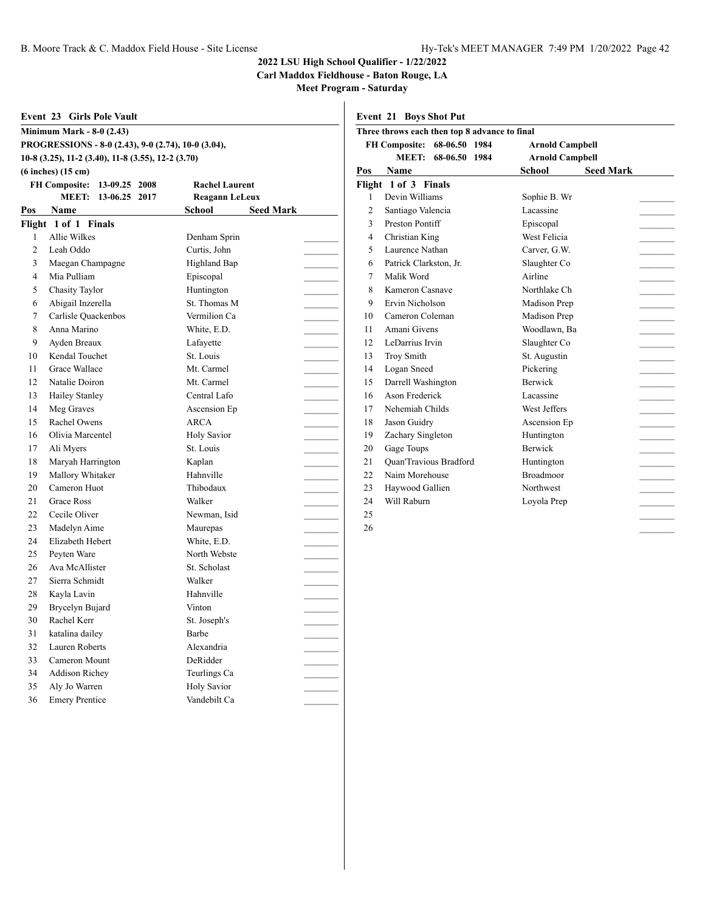**Carl Maddox Fieldhouse - Baton Rouge, LA**

**Meet Program - Saturday**

| Event 23<br><b>Girls Pole Vault</b> |                                                     |                            |  |  |  |
|-------------------------------------|-----------------------------------------------------|----------------------------|--|--|--|
| <b>Minimum Mark - 8-0 (2.43)</b>    |                                                     |                            |  |  |  |
|                                     | PROGRESSIONS - 8-0 (2.43), 9-0 (2.74), 10-0 (3.04), |                            |  |  |  |
|                                     | 10-8 (3.25), 11-2 (3.40), 11-8 (3.55), 12-2 (3.70)  |                            |  |  |  |
|                                     | $(6$ inches $)(15$ cm $)$                           |                            |  |  |  |
|                                     | <b>FH Composite:</b><br>13-09.25 2008               | <b>Rachel Laurent</b>      |  |  |  |
|                                     | MEET: 13-06.25 2017                                 | Reagann LeLeux             |  |  |  |
| Pos                                 | <b>Name</b>                                         | School<br><b>Seed Mark</b> |  |  |  |
|                                     | Flight 1 of 1 Finals                                |                            |  |  |  |
| 1                                   | Allie Wilkes                                        | Denham Sprin               |  |  |  |
| $\overline{c}$                      | Leah Oddo                                           | Curtis, John               |  |  |  |
| 3                                   | Maegan Champagne                                    | Highland Bap               |  |  |  |
| $\overline{4}$                      | Mia Pulliam                                         | Episcopal                  |  |  |  |
| 5                                   | <b>Chasity Taylor</b>                               | Huntington                 |  |  |  |
| 6                                   | Abigail Inzerella                                   | St. Thomas M               |  |  |  |
| 7                                   | Carlisle Quackenbos                                 | Vermilion Ca               |  |  |  |
| 8                                   | Anna Marino                                         | White, E.D.                |  |  |  |
| 9                                   | Ayden Breaux                                        | Lafayette                  |  |  |  |
| 10                                  | Kendal Touchet                                      | St. Louis                  |  |  |  |
| 11                                  | <b>Grace Wallace</b>                                | Mt. Carmel                 |  |  |  |
| 12                                  | Natalie Doiron                                      | Mt. Carmel                 |  |  |  |
| 13                                  | Hailey Stanley                                      | Central Lafo               |  |  |  |
| 14                                  | Meg Graves                                          | Ascension Ep               |  |  |  |
| 15                                  | Rachel Owens                                        | <b>ARCA</b>                |  |  |  |
| 16                                  | Olivia Marcentel                                    | <b>Holy Savior</b>         |  |  |  |
| 17                                  | Ali Myers                                           | St. Louis                  |  |  |  |
| 18                                  | Maryah Harrington                                   | Kaplan                     |  |  |  |
| 19                                  | Mallory Whitaker                                    | Hahnville                  |  |  |  |
| 20                                  | Cameron Huot                                        | Thibodaux                  |  |  |  |
| 21                                  | <b>Grace Ross</b>                                   | Walker                     |  |  |  |
| 22                                  | Cecile Oliver                                       | Newman, Isid               |  |  |  |
| 23                                  | Madelyn Aime                                        | Maurepas                   |  |  |  |
| 24                                  | Elizabeth Hebert                                    | White, E.D.                |  |  |  |
| 25                                  | Peyten Ware                                         | North Webste               |  |  |  |
| 26                                  | Ava McAllister                                      | St. Scholast               |  |  |  |
| 27                                  | Sierra Schmidt                                      | Walker                     |  |  |  |
| 28                                  | Kayla Lavin                                         | Hahnville                  |  |  |  |
| 29                                  | Brycelyn Bujard                                     | Vinton                     |  |  |  |
| 30                                  | Rachel Kerr                                         | St. Joseph's               |  |  |  |
| 31                                  | katalina dailey                                     | Barbe                      |  |  |  |
| 32                                  | Lauren Roberts                                      | Alexandria                 |  |  |  |
| 33                                  | Cameron Mount                                       | DeRidder                   |  |  |  |
| 34                                  | <b>Addison Richey</b>                               | Teurlings Ca               |  |  |  |
| 35                                  | Aly Jo Warren                                       | <b>Holy Savior</b>         |  |  |  |
| 36                                  | <b>Emery Prentice</b>                               | Vandebilt Ca               |  |  |  |

**Event 21 Boys Shot Put**

|                                       | Three throws each then top 8 advance to final |                        |                        |                  |  |
|---------------------------------------|-----------------------------------------------|------------------------|------------------------|------------------|--|
| <b>FH Composite:</b><br>68-06.50 1984 |                                               | <b>Arnold Campbell</b> |                        |                  |  |
|                                       | <b>MEET:</b>                                  | 68-06.50 1984          | <b>Arnold Campbell</b> |                  |  |
| Pos                                   | Name                                          |                        | <b>School</b>          | <b>Seed Mark</b> |  |
|                                       | Flight 1 of 3 Finals                          |                        |                        |                  |  |
| $\mathbf{1}$                          | Devin Williams                                |                        | Sophie B. Wr           |                  |  |
| 2                                     | Santiago Valencia                             |                        | Lacassine              |                  |  |
| 3                                     | Preston Pontiff                               |                        | Episcopal              |                  |  |
| $\overline{4}$                        | Christian King                                |                        | West Felicia           |                  |  |
| 5                                     | Laurence Nathan                               |                        | Carver, G.W.           |                  |  |
| 6                                     | Patrick Clarkston, Jr.                        |                        | Slaughter Co           |                  |  |
| 7                                     | Malik Word                                    |                        | Airline                |                  |  |
| 8                                     | Kameron Casnave                               |                        | Northlake Ch           |                  |  |
| 9                                     | Ervin Nicholson                               |                        | Madison Prep           |                  |  |
| 10                                    | Cameron Coleman                               |                        | Madison Prep           |                  |  |
| 11                                    | Amani Givens                                  |                        | Woodlawn, Ba           |                  |  |
| 12                                    | LeDarrius Irvin                               |                        | Slaughter Co           |                  |  |
| 13                                    | <b>Troy Smith</b>                             |                        | St. Augustin           |                  |  |
| 14                                    | Logan Sneed                                   |                        | Pickering              |                  |  |
| 15                                    | Darrell Washington                            |                        | <b>Berwick</b>         |                  |  |
| 16                                    | Ason Frederick                                |                        | Lacassine              |                  |  |
| 17                                    | Nehemiah Childs                               |                        | West Jeffers           |                  |  |
| 18                                    | Jason Guidry                                  |                        | Ascension Ep           |                  |  |
| 19                                    | Zachary Singleton                             |                        | Huntington             |                  |  |
| 20                                    | Gage Toups                                    |                        | <b>Berwick</b>         |                  |  |
| 21                                    | <b>Quan'Travious Bradford</b>                 |                        | Huntington             |                  |  |
| 22                                    | Naim Morehouse                                |                        | <b>Broadmoor</b>       |                  |  |
| 23                                    | Haywood Gallien                               |                        | Northwest              |                  |  |
| 24                                    | Will Raburn                                   |                        | Loyola Prep            |                  |  |
| 25                                    |                                               |                        |                        |                  |  |
| 26                                    |                                               |                        |                        |                  |  |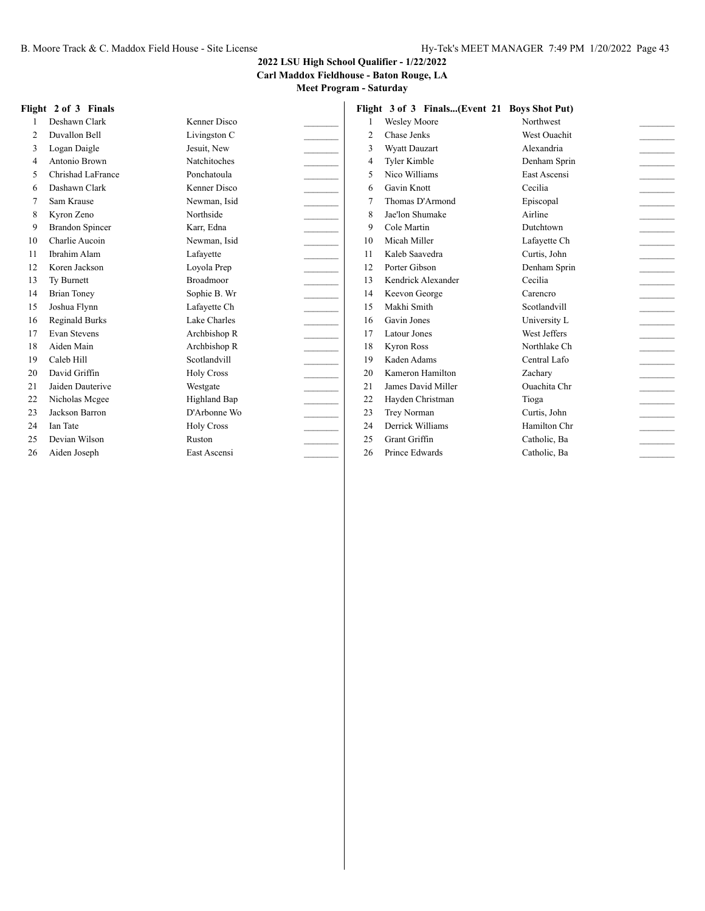#### **2022 LSU High School Qualifier - 1/22/2022**

**Carl Maddox Fieldhouse - Baton Rouge, LA**

**Meet Program - Saturday**

#### **Flight 2 of 3 Finals**

| 1  | Deshawn Clark          | Kenner Disco        |  |
|----|------------------------|---------------------|--|
| 2  | Duvallon Bell          | Livingston C        |  |
| 3  | Logan Daigle           | Jesuit, New         |  |
| 4  | Antonio Brown          | <b>Natchitoches</b> |  |
| 5  | Chrishad LaFrance      | Ponchatoula         |  |
| 6  | Dashawn Clark          | Kenner Disco        |  |
| 7  | Sam Krause             | Newman, Isid        |  |
| 8  | Kyron Zeno             | Northside           |  |
| 9  | <b>Brandon Spincer</b> | Karr, Edna          |  |
| 10 | Charlie Aucoin         | Newman, Isid        |  |
| 11 | Ibrahim Alam           | Lafayette           |  |
| 12 | Koren Jackson          | Loyola Prep         |  |
| 13 | Ty Burnett             | <b>Broadmoor</b>    |  |
| 14 | <b>Brian Toney</b>     | Sophie B. Wr        |  |
| 15 | Joshua Flynn           | Lafayette Ch        |  |
| 16 | Reginald Burks         | Lake Charles        |  |
| 17 | Evan Stevens           | Archbishop R        |  |
| 18 | Aiden Main             | Archbishop R        |  |
| 19 | Caleb Hill             | Scotlandvill        |  |
| 20 | David Griffin          | <b>Holy Cross</b>   |  |
| 21 | Jaiden Dauterive       | Westgate            |  |
| 22 | Nicholas Mcgee         | Highland Bap        |  |
| 23 | Jackson Barron         | D'Arbonne Wo        |  |
| 24 | <b>Ian Tate</b>        | <b>Holy Cross</b>   |  |
| 25 | Devian Wilson          | Ruston              |  |
| 26 | Aiden Joseph           | East Ascensi        |  |

|                | Flight 3 of 3 Finals(Event 21 Boys Shot Put) |                     |  |
|----------------|----------------------------------------------|---------------------|--|
| 1              | <b>Wesley Moore</b>                          | Northwest           |  |
| $\overline{c}$ | Chase Jenks                                  | <b>West Ouachit</b> |  |
| 3              | <b>Wyatt Dauzart</b>                         | Alexandria          |  |
| 4              | Tyler Kimble                                 | Denham Sprin        |  |
| 5              | Nico Williams                                | East Ascensi        |  |
| 6              | Gavin Knott                                  | Cecilia             |  |
| 7              | Thomas D'Armond                              | Episcopal           |  |
| 8              | Jae'lon Shumake                              | Airline             |  |
| 9              | Cole Martin                                  | Dutchtown           |  |
| 10             | Micah Miller                                 | Lafayette Ch        |  |
| 11             | Kaleb Saavedra                               | Curtis, John        |  |
| 12.            | Porter Gibson                                | Denham Sprin        |  |
| 13             | Kendrick Alexander                           | Cecilia             |  |
| 14             | Keevon George                                | Carencro            |  |
| 15             | Makhi Smith                                  | Scotlandvill        |  |
| 16             | Gavin Jones                                  | University L        |  |
| 17             | Latour Jones                                 | West Jeffers        |  |
| 18             | <b>Kyron Ross</b>                            | Northlake Ch        |  |
| 19             | Kaden Adams                                  | Central Lafo        |  |
| 20             | Kameron Hamilton                             | Zachary             |  |
| 21             | James David Miller                           | <b>Ouachita</b> Chr |  |
| 22             | Hayden Christman                             | Tioga               |  |
| 23             | Trey Norman                                  | Curtis, John        |  |
| 24             | Derrick Williams                             | Hamilton Chr        |  |
| 25             | Grant Griffin                                | Catholic, Ba        |  |
| 26             | Prince Edwards                               | Catholic, Ba        |  |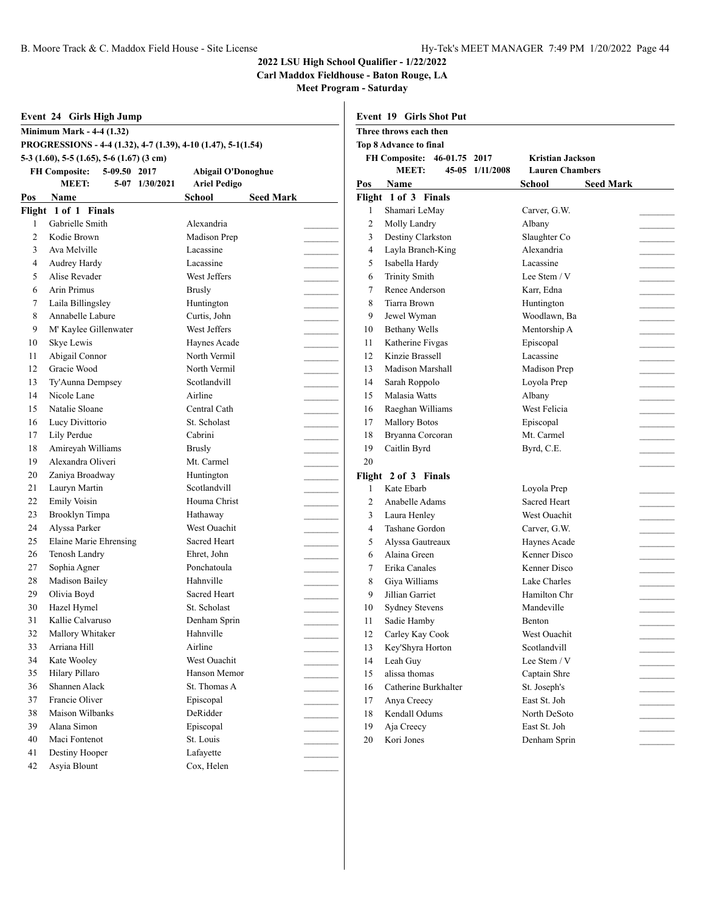#### **2022 LSU High School Qualifier - 1/22/2022**

**Carl Maddox Fieldhouse - Baton Rouge, LA**

|     | Event 24 Girls High Jump                                      |                            |                | <b>Event 19 Girls Shot Put</b>  |                        |                  |
|-----|---------------------------------------------------------------|----------------------------|----------------|---------------------------------|------------------------|------------------|
|     | <b>Minimum Mark - 4-4 (1.32)</b>                              |                            |                | Three throws each then          |                        |                  |
|     | PROGRESSIONS - 4-4 (1.32), 4-7 (1.39), 4-10 (1.47), 5-1(1.54) |                            |                | Top 8 Advance to final          |                        |                  |
|     | 5-3 $(1.60)$ , 5-5 $(1.65)$ , 5-6 $(1.67)$ $(3 \text{ cm})$   |                            |                | FH Composite: 46-01.75 2017     | Kristian Jackson       |                  |
|     | <b>FH Composite:</b><br>5-09.50 2017                          | <b>Abigail O'Donoghue</b>  |                | <b>MEET:</b><br>45-05 1/11/2008 | <b>Lauren Chambers</b> |                  |
|     | <b>MEET:</b><br>5-07 1/30/2021                                | <b>Ariel Pedigo</b>        | Pos            | <b>Name</b>                     | School                 | <b>Seed Mark</b> |
| Pos | Name                                                          | <b>Seed Mark</b><br>School |                | Flight 1 of 3 Finals            |                        |                  |
|     | Flight 1 of 1 Finals                                          |                            | 1              | Shamari LeMay                   | Carver, G.W.           |                  |
| 1   | Gabrielle Smith                                               | Alexandria                 | $\overline{c}$ | Molly Landry                    | Albany                 |                  |
| 2   | Kodie Brown                                                   | Madison Prep               | 3              | Destiny Clarkston               | Slaughter Co           |                  |
| 3   | Ava Melville                                                  | Lacassine                  | 4              | Layla Branch-King               | Alexandria             |                  |
| 4   | Audrey Hardy                                                  | Lacassine                  | 5              | Isabella Hardy                  | Lacassine              |                  |
| 5   | Alise Revader                                                 | West Jeffers               | 6              | <b>Trinity Smith</b>            | Lee Stem / V           |                  |
| 6   | <b>Arin Primus</b>                                            | <b>Brusly</b>              | 7              | Renee Anderson                  | Karr, Edna             |                  |
| 7   | Laila Billingsley                                             | Huntington                 | 8              | Tiarra Brown                    | Huntington             |                  |
| 8   | Annabelle Labure                                              | Curtis, John               | 9              | Jewel Wyman                     | Woodlawn, Ba           |                  |
| 9   | M' Kaylee Gillenwater                                         | West Jeffers               | 10             | <b>Bethany Wells</b>            | Mentorship A           |                  |
| 10  | Skye Lewis                                                    | Haynes Acade               | 11             | Katherine Fivgas                | Episcopal              |                  |
| 11  | Abigail Connor                                                | North Vermil               | 12             | Kinzie Brassell                 | Lacassine              |                  |
| 12  | Gracie Wood                                                   | North Vermil               | 13             | Madison Marshall                | Madison Prep           |                  |
| 13  | Ty'Aunna Dempsey                                              | Scotlandvill               | 14             | Sarah Roppolo                   | Loyola Prep            |                  |
| 14  | Nicole Lane                                                   | Airline                    | 15             | Malasia Watts                   | Albany                 |                  |
| 15  | Natalie Sloane                                                | Central Cath               | 16             | Raeghan Williams                | West Felicia           |                  |
| 16  | Lucy Divittorio                                               | St. Scholast               | 17             | <b>Mallory Botos</b>            | Episcopal              |                  |
| 17  | Lily Perdue                                                   | Cabrini                    | 18             | Bryanna Corcoran                | Mt. Carmel             |                  |
| 18  | Amireyah Williams                                             | <b>Brusly</b>              | 19             | Caitlin Byrd                    | Byrd, C.E.             |                  |
| 19  | Alexandra Oliveri                                             | Mt. Carmel                 | 20             |                                 |                        |                  |
| 20  | Zaniya Broadway                                               | Huntington                 |                | Flight 2 of 3 Finals            |                        |                  |
| 21  | Lauryn Martin                                                 | Scotlandvill               | 1              | Kate Ebarb                      | Loyola Prep            |                  |
| 22  | <b>Emily Voisin</b>                                           | Houma Christ               | 2              | Anabelle Adams                  | Sacred Heart           |                  |
| 23  | Brooklyn Timpa                                                | Hathaway                   | 3              | Laura Henley                    | West Ouachit           |                  |
| 24  | Alyssa Parker                                                 | West Ouachit               | 4              | Tashane Gordon                  | Carver, G.W.           |                  |
| 25  | Elaine Marie Ehrensing                                        | Sacred Heart               | 5              | Alyssa Gautreaux                | Haynes Acade           |                  |
| 26  | Tenosh Landry                                                 | Ehret, John                | 6              | Alaina Green                    | Kenner Disco           |                  |
| 27  | Sophia Agner                                                  | Ponchatoula                | 7              | Erika Canales                   | Kenner Disco           |                  |
| 28  | Madison Bailey                                                | Hahnville                  | 8              | Giya Williams                   | Lake Charles           |                  |
| 29  | Olivia Boyd                                                   | Sacred Heart               | 9              | Jillian Garriet                 | Hamilton Chr           |                  |
| 30  | Hazel Hymel                                                   | St. Scholast               | 10             | <b>Sydney Stevens</b>           | Mandeville             |                  |
| 31  | Kallie Calvaruso                                              | Denham Sprin               | 11             | Sadie Hamby                     | Benton                 |                  |
| 32  | Mallory Whitaker                                              | Hahnville                  | 12             | Carley Kay Cook                 | West Ouachit           |                  |
| 33  | Arriana Hill                                                  | Airline                    | 13             | Key'Shyra Horton                | Scotlandvill           |                  |
| 34  | Kate Wooley                                                   | West Ouachit               | 14             | Leah Guy                        | Lee Stem / V           |                  |
| 35  | Hilary Pillaro                                                | Hanson Memor               | 15             | alissa thomas                   | Captain Shre           |                  |
| 36  | Shannen Alack                                                 | St. Thomas A               | 16             | Catherine Burkhalter            | St. Joseph's           |                  |
| 37  | Francie Oliver                                                | Episcopal                  | 17             | Anya Creecy                     | East St. Joh           |                  |
| 38  | Maison Wilbanks                                               | DeRidder                   | 18             | Kendall Odums                   | North DeSoto           |                  |
| 39  | Alana Simon                                                   | Episcopal                  | 19             | Aja Creecy                      | East St. Joh           |                  |
| 40  | Maci Fontenot                                                 | St. Louis                  | 20             | Kori Jones                      | Denham Sprin           |                  |
| 41  | Destiny Hooper                                                | Lafayette                  |                |                                 |                        |                  |
| 42  | Asyia Blount                                                  | Cox, Helen                 |                |                                 |                        |                  |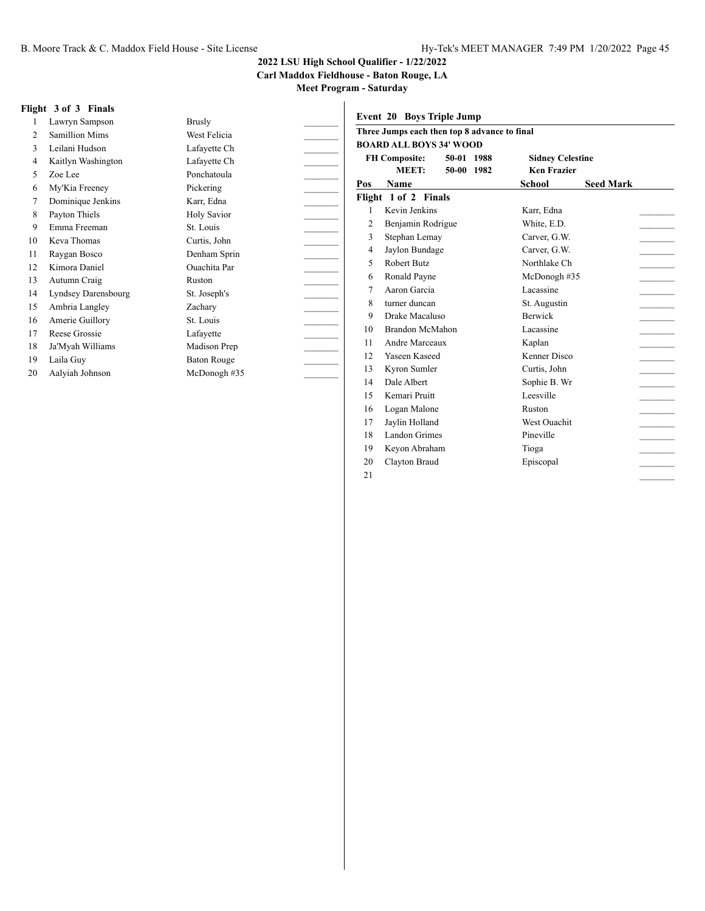**Carl Maddox Fieldhouse - Baton Rouge, LA**

**Meet Program - Saturday**

#### **Flight 3 of 3 Finals**

| 1              | Lawryn Sampson        | <b>Brusly</b>      |  |
|----------------|-----------------------|--------------------|--|
| $\overline{c}$ | <b>Samillion Mims</b> | West Felicia       |  |
| 3              | Leilani Hudson        | Lafayette Ch       |  |
| 4              | Kaitlyn Washington    | Lafayette Ch       |  |
| 5              | Zoe Lee               | Ponchatoula        |  |
| 6              | My'Kia Freeney        | Pickering          |  |
| 7              | Dominique Jenkins     | Karr, Edna         |  |
| 8              | Payton Thiels         | Holy Savior        |  |
| 9              | Emma Freeman          | St. Louis          |  |
| 10             | Keva Thomas           | Curtis, John       |  |
| 11             | Raygan Bosco          | Denham Sprin       |  |
| 12             | Kimora Daniel         | Ouachita Par       |  |
| 13             | Autumn Craig          | Ruston             |  |
| 14             | Lyndsey Darensbourg   | St. Joseph's       |  |
| 15             | Ambria Langley        | Zachary            |  |
| 16             | Amerie Guillory       | St. Louis          |  |
| 17             | Reese Grossie         | Lafayette          |  |
| 18             | Ja'Myah Williams      | Madison Prep       |  |
| 19             | Laila Guy             | <b>Baton Rouge</b> |  |
| 20             | Aalyiah Johnson       | McDonogh#35        |  |
|                |                       |                    |  |

|                          | Three Jumps each then top 8 advance to final<br><b>BOARD ALL BOYS 34' WOOD</b> |            |                         |                  |
|--------------------------|--------------------------------------------------------------------------------|------------|-------------------------|------------------|
|                          | <b>FH Composite:</b>                                                           | 50-01 1988 | <b>Sidney Celestine</b> |                  |
|                          | <b>MEET:</b>                                                                   | 50-00 1982 | <b>Ken Frazier</b>      |                  |
| Pos                      | <b>Name</b>                                                                    |            | School                  | <b>Seed Mark</b> |
|                          | Flight 1 of 2 Finals                                                           |            |                         |                  |
| $\mathbf{1}$             | Kevin Jenkins                                                                  |            | Karr, Edna              |                  |
| 2                        | Benjamin Rodrigue                                                              |            | White, E.D.             |                  |
| 3                        | Stephan Lemay                                                                  |            | Carver, G.W.            |                  |
| 4                        | Jaylon Bundage                                                                 |            | Carver, G.W.            |                  |
| $\overline{\phantom{0}}$ | Robert Butz                                                                    |            | Northlake Ch            |                  |
| 6                        | Ronald Payne                                                                   |            | McDonogh #35            |                  |
| 7                        | Aaron Garcia                                                                   |            | Lacassine               |                  |
| 8                        | turner duncan                                                                  |            | St. Augustin            |                  |
| 9                        | Drake Macaluso                                                                 |            | <b>Berwick</b>          |                  |
| 10                       | Brandon McMahon                                                                |            | Lacassine               |                  |
| 11                       | Andre Marceaux                                                                 |            | Kaplan                  |                  |
| 12                       | Yaseen Kaseed                                                                  |            | Kenner Disco            |                  |
| 13                       | Kyron Sumler                                                                   |            | Curtis, John            |                  |
| 14                       | Dale Albert                                                                    |            | Sophie B. Wr            |                  |
| 15                       | Kemari Pruitt                                                                  |            | Leesville               |                  |
| 16                       | Logan Malone                                                                   |            | Ruston                  |                  |
| 17                       | Jaylin Holland                                                                 |            | <b>West Ouachit</b>     |                  |
| 18                       | Landon Grimes                                                                  |            | Pineville               |                  |
| 19                       | Keyon Abraham                                                                  |            | Tioga                   |                  |
| 20                       | Clayton Braud                                                                  |            | Episcopal               |                  |
| 21                       |                                                                                |            |                         |                  |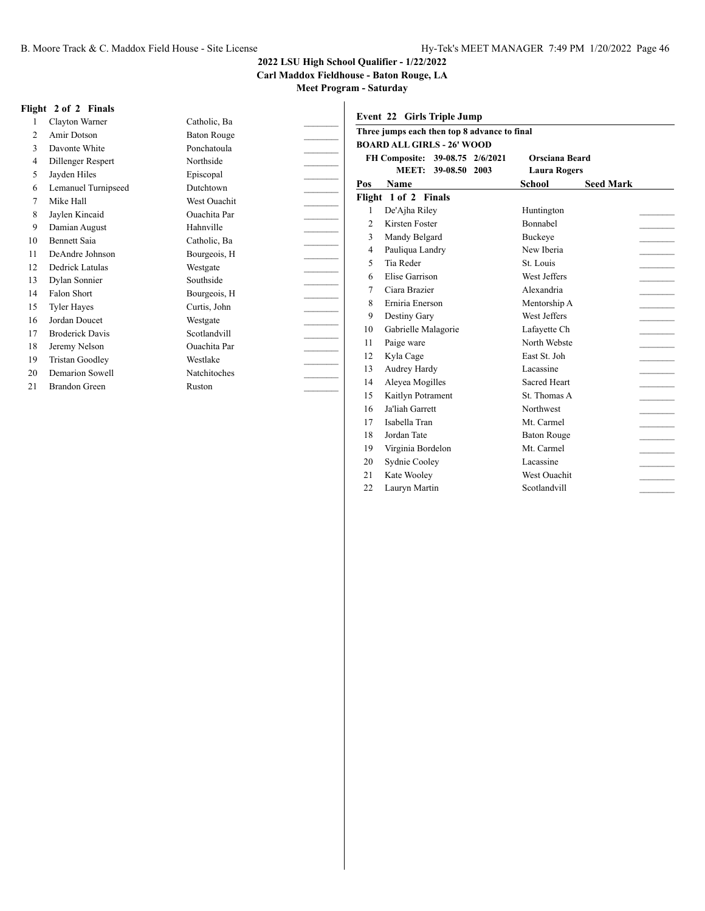**Carl Maddox Fieldhouse - Baton Rouge, LA**

**Meet Program - Saturday**

#### **Flight 2 of 2 Finals**

| 1              | Clayton Warner         | Catholic, Ba       |  |
|----------------|------------------------|--------------------|--|
| $\overline{2}$ | Amir Dotson            | <b>Baton Rouge</b> |  |
| 3              | Davonte White          | Ponchatoula        |  |
| 4              | Dillenger Respert      | Northside          |  |
| 5              | Jayden Hiles           | Episcopal          |  |
| 6              | Lemanuel Turnipseed    | Dutchtown          |  |
| 7              | Mike Hall              | West Ouachit       |  |
| 8              | Jaylen Kincaid         | Ouachita Par       |  |
| 9              | Damian August          | Hahnville          |  |
| 10             | <b>Bennett Saia</b>    | Catholic, Ba       |  |
| 11             | DeAndre Johnson        | Bourgeois, H       |  |
| 12             | Dedrick Latulas        | Westgate           |  |
| 13             | Dylan Sonnier          | Southside          |  |
| 14             | Falon Short            | Bourgeois, H       |  |
| 15             | <b>Tyler Hayes</b>     | Curtis, John       |  |
| 16             | Jordan Doucet          | Westgate           |  |
| 17             | <b>Broderick Davis</b> | Scotlandvill       |  |
| 18             | Jeremy Nelson          | Ouachita Par       |  |
| 19             | <b>Tristan Goodley</b> | Westlake           |  |
| 20             | Demarion Sowell        | Natchitoches       |  |
| 21             | <b>Brandon Green</b>   | Ruston             |  |

| Event 22 Girls Triple Jump                   |                                   |                            |  |  |  |  |  |
|----------------------------------------------|-----------------------------------|----------------------------|--|--|--|--|--|
| Three jumps each then top 8 advance to final |                                   |                            |  |  |  |  |  |
|                                              | <b>BOARD ALL GIRLS - 26' WOOD</b> |                            |  |  |  |  |  |
|                                              | FH Composite: 39-08.75 2/6/2021   | Orsciana Beard             |  |  |  |  |  |
|                                              | <b>MEET:</b><br>39-08.50 2003     | <b>Laura Rogers</b>        |  |  |  |  |  |
| Pos                                          | <b>Name</b>                       | <b>Seed Mark</b><br>School |  |  |  |  |  |
|                                              | Flight 1 of 2 Finals              |                            |  |  |  |  |  |
| 1                                            | De'Ajha Riley                     | Huntington                 |  |  |  |  |  |
| $\overline{2}$                               | Kirsten Foster                    | <b>Bonnabel</b>            |  |  |  |  |  |
| 3                                            | Mandy Belgard                     | Buckeye                    |  |  |  |  |  |
| $\overline{4}$                               | Pauliqua Landry                   | New Iberia                 |  |  |  |  |  |
| 5                                            | Tia Reder                         | St. Louis                  |  |  |  |  |  |
| 6                                            | Elise Garrison                    | West Jeffers               |  |  |  |  |  |
| 7                                            | Ciara Brazier                     | Alexandria                 |  |  |  |  |  |
| 8                                            | Erniria Enerson                   | Mentorship A               |  |  |  |  |  |
| 9                                            | Destiny Gary                      | West Jeffers               |  |  |  |  |  |
| 10                                           | Gabrielle Malagorie               | Lafayette Ch               |  |  |  |  |  |
| 11                                           | Paige ware                        | North Webste               |  |  |  |  |  |
| 12                                           | Kyla Cage                         | East St. Joh               |  |  |  |  |  |
| 13                                           | Audrey Hardy                      | Lacassine                  |  |  |  |  |  |
| 14                                           | Aleyea Mogilles                   | Sacred Heart               |  |  |  |  |  |
| 15                                           | Kaitlyn Potrament                 | St. Thomas A               |  |  |  |  |  |
| 16                                           | Ja'liah Garrett                   | Northwest                  |  |  |  |  |  |
| 17                                           | Isabella Tran                     | Mt. Carmel                 |  |  |  |  |  |
| 18                                           | Jordan Tate                       | <b>Baton Rouge</b>         |  |  |  |  |  |
| 19                                           | Virginia Bordelon                 | Mt. Carmel                 |  |  |  |  |  |
| 20                                           | Sydnie Cooley                     | Lacassine                  |  |  |  |  |  |
| 21                                           | Kate Wooley                       | <b>West Ouachit</b>        |  |  |  |  |  |
| 22                                           | Lauryn Martin                     | Scotlandvill               |  |  |  |  |  |